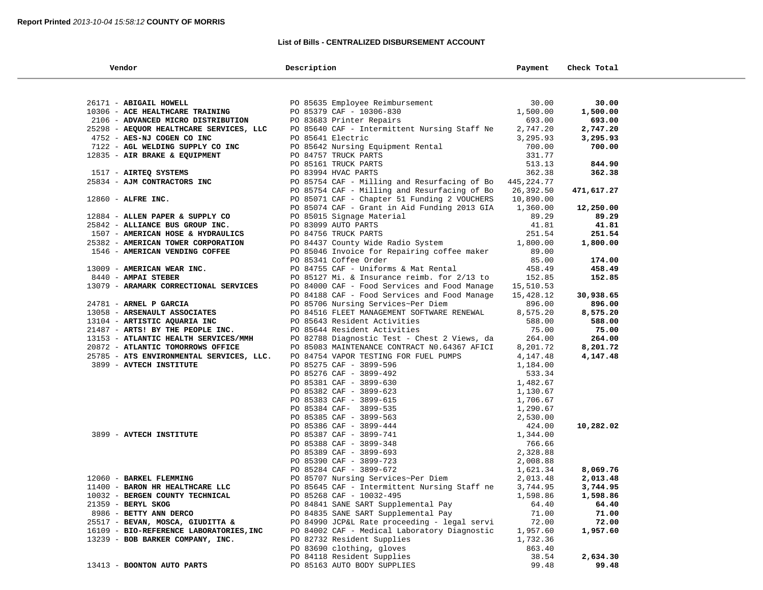## **List of Bills - CENTRALIZED DISBURSEMENT ACCOUNT**

| Vendor                                   | Description                                  | Payment    | Check Total |  |
|------------------------------------------|----------------------------------------------|------------|-------------|--|
|                                          |                                              |            |             |  |
| 26171 - ABIGAIL HOWELL                   | PO 85635 Employee Reimbursement              | 30.00      | 30.00       |  |
| 10306 - ACE HEALTHCARE TRAINING          | PO 85379 CAF - 10306-830                     | 1,500.00   | 1,500.00    |  |
| 2106 - ADVANCED MICRO DISTRIBUTION       | PO 83683 Printer Repairs                     | 693.00     | 693.00      |  |
| 25298 - AEQUOR HEALTHCARE SERVICES, LLC  | PO 85640 CAF - Intermittent Nursing Staff Ne | 2,747.20   | 2,747.20    |  |
| 4752 - AES-NJ COGEN CO INC               | PO 85641 Electric                            | 3,295.93   | 3,295.93    |  |
| 7122 - AGL WELDING SUPPLY CO INC         | PO 85642 Nursing Equipment Rental            | 700.00     | 700.00      |  |
| 12835 - AIR BRAKE & EQUIPMENT            | PO 84757 TRUCK PARTS                         | 331.77     |             |  |
|                                          | PO 85161 TRUCK PARTS                         | 513.13     | 844.90      |  |
| 1517 - AIRTEQ SYSTEMS                    | PO 83994 HVAC PARTS                          | 362.38     | 362.38      |  |
| 25834 - AJM CONTRACTORS INC              | PO 85754 CAF - Milling and Resurfacing of Bo | 445,224.77 |             |  |
|                                          | PO 85754 CAF - Milling and Resurfacing of Bo | 26,392.50  | 471,617.27  |  |
| $12860$ - ALFRE INC.                     | PO 85071 CAF - Chapter 51 Funding 2 VOUCHERS | 10,890.00  |             |  |
|                                          | PO 85074 CAF - Grant in Aid Funding 2013 GIA | 1,360.00   | 12,250.00   |  |
| 12884 - ALLEN PAPER & SUPPLY CO          | PO 85015 Signage Material                    | 89.29      | 89.29       |  |
| 25842 - ALLIANCE BUS GROUP INC.          | PO 83099 AUTO PARTS                          | 41.81      | 41.81       |  |
| 1507 - AMERICAN HOSE & HYDRAULICS        | PO 84756 TRUCK PARTS                         | 251.54     | 251.54      |  |
| 25382 - AMERICAN TOWER CORPORATION       | PO 84437 County Wide Radio System            | 1,800.00   | 1,800.00    |  |
| 1546 - AMERICAN VENDING COFFEE           | PO 85046 Invoice for Repairing coffee maker  | 89.00      |             |  |
|                                          | PO 85341 Coffee Order                        | 85.00      | 174.00      |  |
| 13009 - AMERICAN WEAR INC.               | PO 84755 CAF - Uniforms & Mat Rental         | 458.49     | 458.49      |  |
| 8440 - AMPAI STEBER                      | PO 85127 Mi. & Insurance reimb. for 2/13 to  | 152.85     | 152.85      |  |
| 13079 - ARAMARK CORRECTIONAL SERVICES    | PO 84000 CAF - Food Services and Food Manage | 15,510.53  |             |  |
|                                          | PO 84188 CAF - Food Services and Food Manage | 15,428.12  | 30,938.65   |  |
| 24781 - ARNEL P GARCIA                   | PO 85706 Nursing Services~Per Diem           | 896.00     | 896.00      |  |
| 13058 - ARSENAULT ASSOCIATES             | PO 84516 FLEET MANAGEMENT SOFTWARE RENEWAL   | 8,575.20   | 8,575.20    |  |
| 13104 - ARTISTIC AQUARIA INC             | PO 85643 Resident Activities                 | 588.00     | 588.00      |  |
| 21487 - ARTS! BY THE PEOPLE INC.         | PO 85644 Resident Activities                 | 75.00      | 75.00       |  |
| 13153 - ATLANTIC HEALTH SERVICES/MMH     | PO 82788 Diagnostic Test - Chest 2 Views, da | 264.00     | 264.00      |  |
| 20872 - ATLANTIC TOMORROWS OFFICE        | PO 85083 MAINTENANCE CONTRACT NO.64367 AFICI | 8,201.72   | 8,201.72    |  |
| 25785 - ATS ENVIRONMENTAL SERVICES, LLC. | PO 84754 VAPOR TESTING FOR FUEL PUMPS        | 4,147.48   | 4,147.48    |  |
| 3899 - AVTECH INSTITUTE                  | PO 85275 CAF - 3899-596                      | 1,184.00   |             |  |
|                                          | PO 85276 CAF - 3899-492                      | 533.34     |             |  |
|                                          | PO 85381 CAF - 3899-630                      | 1,482.67   |             |  |
|                                          | PO 85382 CAF - 3899-623                      | 1,130.67   |             |  |
|                                          | PO 85383 CAF - 3899-615                      | 1,706.67   |             |  |
|                                          | PO 85384 CAF- 3899-535                       | 1,290.67   |             |  |
|                                          | PO 85385 CAF - 3899-563                      | 2,530.00   |             |  |
|                                          | PO 85386 CAF - 3899-444                      | 424.00     | 10,282.02   |  |
| 3899 - AVTECH INSTITUTE                  | PO 85387 CAF - 3899-741                      | 1,344.00   |             |  |
|                                          | PO 85388 CAF - 3899-348                      | 766.66     |             |  |
|                                          | PO 85389 CAF - 3899-693                      | 2,328.88   |             |  |
|                                          | PO 85390 CAF - 3899-723                      | 2,008.88   |             |  |
|                                          | PO 85284 CAF - 3899-672                      | 1,621.34   | 8,069.76    |  |
| 12060 - BARKEL FLEMMING                  | PO 85707 Nursing Services~Per Diem           | 2,013.48   | 2,013.48    |  |
| 11400 - BARON HR HEALTHCARE LLC          | PO 85645 CAF - Intermittent Nursing Staff ne | 3,744.95   | 3,744.95    |  |
| 10032 - BERGEN COUNTY TECHNICAL          | PO 85268 CAF - 10032-495                     | 1,598.86   | 1,598.86    |  |
| 21359 - BERYL SKOG                       | PO 84841 SANE SART Supplemental Pay          | 64.40      | 64.40       |  |
| 8986 - BETTY ANN DERCO                   | PO 84835 SANE SART Supplemental Pay          | 71.00      | 71.00       |  |
| 25517 - BEVAN, MOSCA, GIUDITTA &         | PO 84990 JCP&L Rate proceeding - legal servi | 72.00      | 72.00       |  |
| 16109 - BIO-REFERENCE LABORATORIES, INC  | PO 84002 CAF - Medical Laboratory Diagnostic | 1,957.60   | 1,957.60    |  |
| 13239 - BOB BARKER COMPANY, INC.         | PO 82732 Resident Supplies                   | 1,732.36   |             |  |
|                                          | PO 83690 clothing, gloves                    | 863.40     |             |  |
|                                          | PO 84118 Resident Supplies                   | 38.54      | 2,634.30    |  |
| 13413 - BOONTON AUTO PARTS               | PO 85163 AUTO BODY SUPPLIES                  | 99.48      | 99.48       |  |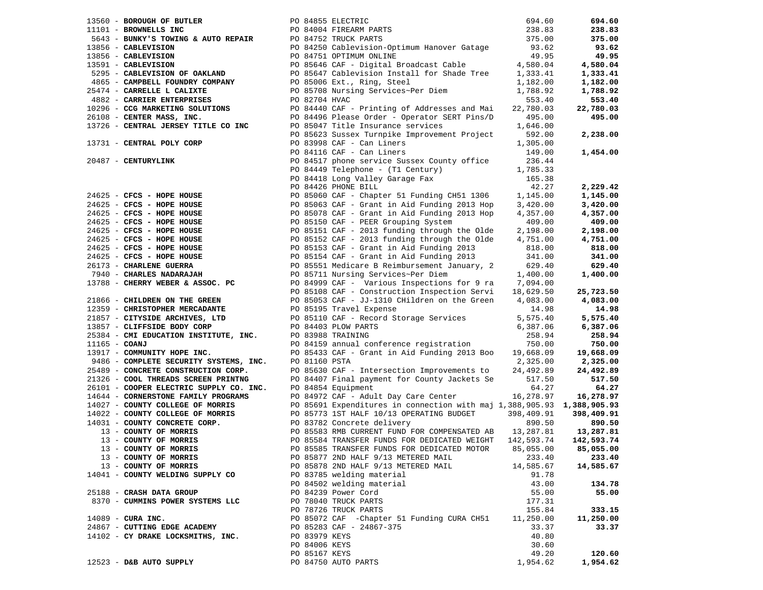|                 | 13560 - BOROUGH OF BUTLER                                                                                                                       |               |                                                                                                                                                                                                                                                    | 694.60    | 694.60     |
|-----------------|-------------------------------------------------------------------------------------------------------------------------------------------------|---------------|----------------------------------------------------------------------------------------------------------------------------------------------------------------------------------------------------------------------------------------------------|-----------|------------|
|                 | 11101 - BROWNELLS INC                                                                                                                           |               |                                                                                                                                                                                                                                                    | 238.83    | 238.83     |
|                 |                                                                                                                                                 |               | PO 84855 ELECTRIC<br>PO 84004 FIREARM PARTS<br>PO 84752 TRUCK PARTS                                                                                                                                                                                | 375.00    | 375.00     |
|                 | 13856 - CABLEVISION                                                                                                                             |               |                                                                                                                                                                                                                                                    | 93.62     | 93.62      |
|                 | 13856 - CABLEVISION                                                                                                                             |               |                                                                                                                                                                                                                                                    | 49.95     | 49.95      |
|                 | 13591 - CABLEVISION                                                                                                                             |               | 1101 - BROWNELLS INC<br>12856 - CABLEVISION<br>13856 - CABLEVISION<br>13856 - CABLEVISION<br>1391 - CABLEVISION<br>139295 - CABLEVISION<br>139295 - CABLEVISION<br>139295 - CABLEVISION<br>13935 - CABLEVISION<br>13935 - CABLEVISION<br>13935 - C | 4,580.04  | 4,580.04   |
|                 |                                                                                                                                                 |               |                                                                                                                                                                                                                                                    | 1,333.41  |            |
|                 |                                                                                                                                                 |               | PO 85647 Cablevision Install for Shade Tree                                                                                                                                                                                                        |           | 1,333.41   |
|                 | 4865 - CAMPBELL FOUNDRY COMPANY                                                                                                                 |               | PO 85006 Ext., Ring, Steel                                                                                                                                                                                                                         | 1,182.00  | 1,182.00   |
|                 | 25474 - CARRELLE L CALIXTE                                                                                                                      |               | PO 85708 Nursing Services~Per Diem                                                                                                                                                                                                                 | 1,788.92  | 1,788.92   |
|                 |                                                                                                                                                 |               |                                                                                                                                                                                                                                                    | 553.40    | 553.40     |
|                 |                                                                                                                                                 |               |                                                                                                                                                                                                                                                    | 22,780.03 | 22,780.03  |
|                 |                                                                                                                                                 |               |                                                                                                                                                                                                                                                    | 495.00    | 495.00     |
|                 | 13726 - CENTRAL JERSEY TITLE CO INC                                                                                                             |               | 4882 - CARRIER ENTERPRISES<br>10296 - CCG MARKETING SOLUTIONS<br>20096 - Printing of Audiosophe Solutions<br>20096 - Printing of Audiosophe Services                                                                                               | 1,646.00  |            |
|                 |                                                                                                                                                 |               | PO 85623 Sussex Turnpike Improvement Project                                                                                                                                                                                                       | 592.00    | 2,238.00   |
|                 | 13731 - CENTRAL POLY CORP                                                                                                                       |               |                                                                                                                                                                                                                                                    | 1,305.00  |            |
|                 |                                                                                                                                                 |               | PU 83998 CAF - Can Liners<br>PO 84116 CAF - Can Liners                                                                                                                                                                                             | 149.00    | 1,454.00   |
|                 |                                                                                                                                                 |               |                                                                                                                                                                                                                                                    |           |            |
|                 |                                                                                                                                                 |               |                                                                                                                                                                                                                                                    |           |            |
|                 |                                                                                                                                                 |               |                                                                                                                                                                                                                                                    |           |            |
|                 |                                                                                                                                                 |               |                                                                                                                                                                                                                                                    |           |            |
|                 |                                                                                                                                                 |               |                                                                                                                                                                                                                                                    |           | 2,229.42   |
|                 |                                                                                                                                                 |               |                                                                                                                                                                                                                                                    |           | 1,145.00   |
|                 |                                                                                                                                                 |               |                                                                                                                                                                                                                                                    |           | 3,420.00   |
|                 |                                                                                                                                                 |               |                                                                                                                                                                                                                                                    |           | 4,357.00   |
|                 |                                                                                                                                                 |               |                                                                                                                                                                                                                                                    |           | 409.00     |
|                 |                                                                                                                                                 |               |                                                                                                                                                                                                                                                    |           | 2,198.00   |
|                 |                                                                                                                                                 |               |                                                                                                                                                                                                                                                    |           | 4,751.00   |
|                 |                                                                                                                                                 |               |                                                                                                                                                                                                                                                    |           | 818.00     |
|                 |                                                                                                                                                 |               |                                                                                                                                                                                                                                                    |           |            |
|                 |                                                                                                                                                 |               |                                                                                                                                                                                                                                                    |           | 341.00     |
|                 |                                                                                                                                                 |               |                                                                                                                                                                                                                                                    |           | 629.40     |
|                 |                                                                                                                                                 |               |                                                                                                                                                                                                                                                    |           | 1,400.00   |
|                 |                                                                                                                                                 |               | 20487 - CENTURYLINK POR CAP CONTRESS (2013)<br>20487 - CENTURYLINK POR ENGINE CAP - Can Liners<br>20487 - CENTURYLINK POR SA116 CAP - Can Liners<br>20685 - CFCS - HOPE HOUSE<br>20695 - CFCS - HOPE HOUSE<br>20625 - CFCS - HOPE HOUSE            |           |            |
|                 |                                                                                                                                                 |               |                                                                                                                                                                                                                                                    |           | 25,723.50  |
|                 |                                                                                                                                                 |               |                                                                                                                                                                                                                                                    |           | 4,083.00   |
|                 | 12359 - CHRISTOPHER MERCADANTE                                                                                                                  |               |                                                                                                                                                                                                                                                    | 14.98     | 14.98      |
|                 | 21857 - CITYSIDE ARCHIVES, LTD                                                                                                                  |               | PO 85195 Travel Expense<br>PO 85110 CAF - Record St<br>PO 85110 CAF - Record Storage Services                                                                                                                                                      | 5,575.40  | 5,575.40   |
|                 |                                                                                                                                                 |               | PO 84403 PLOW PARTS                                                                                                                                                                                                                                | 6,387.06  | 6,387.06   |
|                 | 13857 - CLIFFSIDE BODY CORP<br>25384 - CMI EDUCATION INSTITUTE, INC. PO 83988 TRAINING                                                          |               |                                                                                                                                                                                                                                                    | 258.94    | 258.94     |
| $11165 - COANJ$ |                                                                                                                                                 |               | PO 84159 annual conference registration                                                                                                                                                                                                            | 750.00    | 750.00     |
|                 | 13917 - COMMUNITY HOPE INC.                                                                                                                     |               | PO 85433 CAF - Grant in Aid Funding 2013 Boo                                                                                                                                                                                                       | 19,668.09 | 19,668.09  |
|                 |                                                                                                                                                 |               |                                                                                                                                                                                                                                                    | 2,325.00  | 2,325.00   |
|                 | 9486 - COMPLETE SECURITY SYSTEMS, INC. PO 81160 PSTA<br>25489 - CONCRETE CONSTRUCTION CORP. PO 85630 CAF<br>25489 - CONCRETE CONSTRUCTION CORP. |               | PO 85630 CAF - Intersection Improvements to                                                                                                                                                                                                        | 24,492.89 | 24,492.89  |
|                 |                                                                                                                                                 |               | PO 84407 Final payment for County Jackets Se                                                                                                                                                                                                       | 517.50    | 517.50     |
|                 | 21326 - COOL THREADS SCREEN PRINTNG PO 84407 Final payr<br>26101 - COOPER ELECTRIC SUPPLY CO. INC. PO 84854 Equipment                           |               |                                                                                                                                                                                                                                                    | 64.27     | 64.27      |
|                 |                                                                                                                                                 |               | 26101 - COOPER EMERICING COOPER PROGRAMS<br>14644 - CORNERSTONE FAMILY PROGRAMS PO 84972 CAF - Adult Day Care Center<br>14007 - COINTY COLLEGE OF MORRIS PO 85691 Expenditures in connection with maj 1,388,905.93 1,388,905.93                    |           |            |
|                 |                                                                                                                                                 |               |                                                                                                                                                                                                                                                    |           |            |
|                 |                                                                                                                                                 |               |                                                                                                                                                                                                                                                    |           |            |
|                 |                                                                                                                                                 |               |                                                                                                                                                                                                                                                    |           |            |
|                 |                                                                                                                                                 |               |                                                                                                                                                                                                                                                    |           | 890.50     |
|                 |                                                                                                                                                 |               | 14022 - COUNTY COLLEGE OF MORRIS<br>14022 - COUNTY CONCRETE CORP.<br>14031 - COUNTY CONCRETE CORP.<br>13 - COUNTY OF MORRIS<br>13 - COUNTY OF MORRIS<br>13 - COUNTY OF MORRIS<br>13 - COUNTY OF MORRIS<br>13 - COUNTY OF MORRIS<br>13 - COUNTY     |           | 13,287.81  |
|                 |                                                                                                                                                 |               |                                                                                                                                                                                                                                                    |           | 142,593.74 |
|                 | 13 - COUNTY OF MORRIS                                                                                                                           |               | PO 85585 TRANSFER FUNDS FOR DEDICATED MOTOR                                                                                                                                                                                                        | 85,055.00 | 85,055.00  |
|                 | 13 - COUNTY OF MORRIS                                                                                                                           |               | PO 85877 2ND HALF 9/13 METERED MAIL                                                                                                                                                                                                                | 233.40    | 233.40     |
|                 | 13 - COUNTY OF MORRIS                                                                                                                           |               | PO 85878 2ND HALF 9/13 METERED MAIL                                                                                                                                                                                                                | 14,585.67 | 14,585.67  |
|                 | 14041 - COUNTY WELDING SUPPLY CO                                                                                                                |               | PO 83785 welding material                                                                                                                                                                                                                          | 91.78     |            |
|                 |                                                                                                                                                 |               | PO 84502 welding material                                                                                                                                                                                                                          | 43.00     | 134.78     |
|                 | 25188 - CRASH DATA GROUP                                                                                                                        |               | PO 84239 Power Cord                                                                                                                                                                                                                                | 55.00     | 55.00      |
|                 | 8370 - CUMMINS POWER SYSTEMS LLC                                                                                                                |               | PO 78040 TRUCK PARTS                                                                                                                                                                                                                               | 177.31    |            |
|                 |                                                                                                                                                 |               | PO 78726 TRUCK PARTS                                                                                                                                                                                                                               | 155.84    | 333.15     |
|                 | $14089$ - CURA INC.                                                                                                                             |               | PO 85072 CAF - Chapter 51 Funding CURA CH51                                                                                                                                                                                                        | 11,250.00 | 11,250.00  |
|                 | 24867 - CUTTING EDGE ACADEMY                                                                                                                    |               | PO 85283 CAF - 24867-375                                                                                                                                                                                                                           | 33.37     | 33.37      |
|                 | 14102 - CY DRAKE LOCKSMITHS, INC.                                                                                                               | PO 83979 KEYS |                                                                                                                                                                                                                                                    | 40.80     |            |
|                 |                                                                                                                                                 |               |                                                                                                                                                                                                                                                    | 30.60     |            |
|                 |                                                                                                                                                 | PO 84006 KEYS |                                                                                                                                                                                                                                                    |           |            |
|                 |                                                                                                                                                 |               | PO 85167 KEYS                                                                                                                                                                                                                                      | 49.20     | 120.60     |
|                 | 12523 - D&B AUTO SUPPLY                                                                                                                         |               | PO 84750 AUTO PARTS                                                                                                                                                                                                                                | 1,954.62  | 1,954.62   |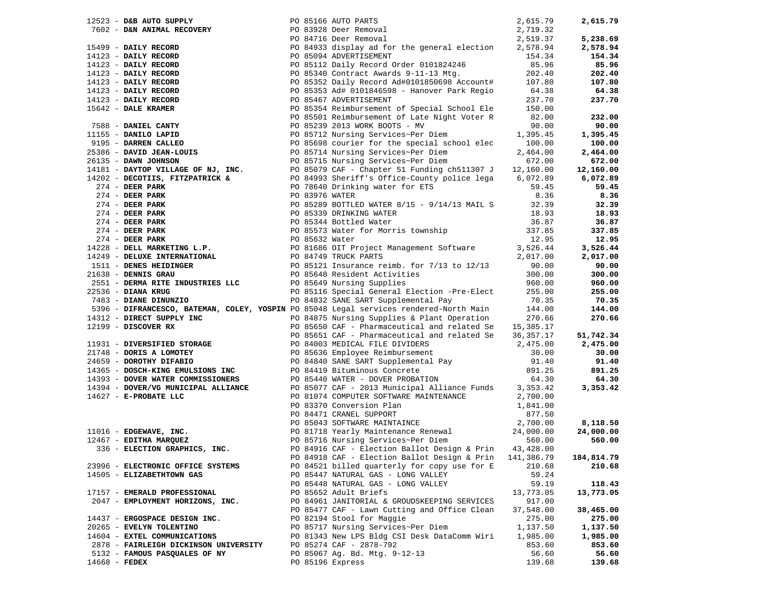|                    |                                                    |  | 17523 - DAN MURDEN 2022 - 1981 16 AUTO PARTS 2022 - 1981 - 1982 - 1982 - 1982 - 1982 - 1982 - 1982 - 1982 - 1982 - 1982 - 1982 - 1982 - 1982 - 1982 - 1982 - 1982 - 1982 - 1982 - 1982 - 1982 - 1982 - 1982 - 1982 - 1982 -                                           |            | 2,615.79   |
|--------------------|----------------------------------------------------|--|-----------------------------------------------------------------------------------------------------------------------------------------------------------------------------------------------------------------------------------------------------------------------|------------|------------|
|                    |                                                    |  |                                                                                                                                                                                                                                                                       |            |            |
|                    |                                                    |  |                                                                                                                                                                                                                                                                       |            | 5,238.69   |
|                    |                                                    |  |                                                                                                                                                                                                                                                                       |            | 2,578.94   |
|                    |                                                    |  |                                                                                                                                                                                                                                                                       |            | 154.34     |
|                    |                                                    |  |                                                                                                                                                                                                                                                                       |            | 85.96      |
|                    |                                                    |  |                                                                                                                                                                                                                                                                       |            | 202.40     |
|                    |                                                    |  |                                                                                                                                                                                                                                                                       |            | 107.80     |
|                    |                                                    |  |                                                                                                                                                                                                                                                                       |            | 64.38      |
|                    |                                                    |  |                                                                                                                                                                                                                                                                       |            | 237.70     |
|                    |                                                    |  |                                                                                                                                                                                                                                                                       |            |            |
|                    |                                                    |  |                                                                                                                                                                                                                                                                       |            | 232.00     |
|                    |                                                    |  |                                                                                                                                                                                                                                                                       |            |            |
|                    |                                                    |  |                                                                                                                                                                                                                                                                       |            | 90.00      |
|                    |                                                    |  |                                                                                                                                                                                                                                                                       |            | 1,395.45   |
|                    |                                                    |  |                                                                                                                                                                                                                                                                       |            | 100.00     |
|                    |                                                    |  |                                                                                                                                                                                                                                                                       |            | 2,464.00   |
|                    |                                                    |  |                                                                                                                                                                                                                                                                       |            | 672.00     |
|                    |                                                    |  |                                                                                                                                                                                                                                                                       |            | 12,160.00  |
|                    |                                                    |  |                                                                                                                                                                                                                                                                       |            | 6,072.89   |
|                    |                                                    |  |                                                                                                                                                                                                                                                                       |            | 59.45      |
|                    |                                                    |  |                                                                                                                                                                                                                                                                       |            | 8.36       |
|                    |                                                    |  |                                                                                                                                                                                                                                                                       |            | 32.39      |
|                    |                                                    |  |                                                                                                                                                                                                                                                                       |            | 18.93      |
|                    |                                                    |  |                                                                                                                                                                                                                                                                       |            | 36.87      |
|                    |                                                    |  |                                                                                                                                                                                                                                                                       |            | 337.85     |
|                    |                                                    |  |                                                                                                                                                                                                                                                                       |            | 12.95      |
|                    |                                                    |  |                                                                                                                                                                                                                                                                       |            | 3,526.44   |
|                    |                                                    |  |                                                                                                                                                                                                                                                                       |            | 2,017.00   |
|                    |                                                    |  |                                                                                                                                                                                                                                                                       |            | 90.00      |
|                    |                                                    |  |                                                                                                                                                                                                                                                                       |            | 300.00     |
|                    | 1638 - المصدر مصدر S51 - DERNA RITE INDUSTRIES LLC |  | PO 85649 Nursing Supplies                                                                                                                                                                                                                                             | 960.00     | 960.00     |
| 22536 - DIANA KRUG |                                                    |  | PO 85116 Special General Election -Pre-Elect 255.00                                                                                                                                                                                                                   |            | 255.00     |
|                    | 22536 - DIANA KRUG<br>7483 - DIANE DINUNZIO        |  | PO 84832 SANE SART Supplemental Pay                                                                                                                                                                                                                                   | 70.35      | 70.35      |
|                    |                                                    |  | 5396 - DIFRANCESCO, BATEMAN, COLEY, YOSPIN PO 85048 Legal services rendered-North Main 144.00                                                                                                                                                                         |            | 144.00     |
|                    |                                                    |  |                                                                                                                                                                                                                                                                       |            | 270.66     |
|                    | 14312 - DIRECT SUPPLY INC<br>12199 - DISCOVER RX   |  | PO 84875 Nursing Supplies & Plant Operation 270.66<br>PO 85650 CAF - Pharmaceutical and related Se 15,385.17                                                                                                                                                          |            |            |
|                    |                                                    |  |                                                                                                                                                                                                                                                                       |            | 51,742.34  |
|                    |                                                    |  | PO 85651 CAF - Pharmaceutical and lelaco be all the set of the pharmaceutical and lelaco be all the portion of the DIVIDERS and the portion of the DIVIDERS of the DIVIDERS of the DIVIDERS of the DIVIDERS of the DIVIDERS of                                        |            | 2,475.00   |
|                    |                                                    |  |                                                                                                                                                                                                                                                                       |            |            |
|                    |                                                    |  |                                                                                                                                                                                                                                                                       |            | 30.00      |
|                    |                                                    |  |                                                                                                                                                                                                                                                                       |            | 91.40      |
|                    |                                                    |  |                                                                                                                                                                                                                                                                       |            | 891.25     |
|                    |                                                    |  |                                                                                                                                                                                                                                                                       |            | 64.30      |
|                    |                                                    |  | 14394 - DOVER/VG MUNICIPAL ALLIANCE PO 85077 CAF - 2013 Municipal Alliance Funds 3,353.42<br>14627 - E-PROBATE LLC PO 81074 COMPUTER SOFTWARE MAINTENANCE 2,700.00                                                                                                    |            | 3,353.42   |
|                    |                                                    |  |                                                                                                                                                                                                                                                                       |            |            |
|                    |                                                    |  |                                                                                                                                                                                                                                                                       |            |            |
|                    |                                                    |  | 11016 - EDGEWAVE, INC.<br>12467 - EDITHA MARQUEZ<br>336 - ELECTION GRAPHICS, INC.<br>24,000.00<br>24,000.00<br>24,000.00<br>24,000.00<br>24,000.00<br>24,000.00<br>26,00<br>26,00<br>26,00<br>26,00<br>26,00<br>26,00<br>27,000.00<br>24,000.00<br>26,00<br>26,00<br> |            |            |
|                    |                                                    |  |                                                                                                                                                                                                                                                                       |            |            |
|                    |                                                    |  |                                                                                                                                                                                                                                                                       |            |            |
|                    |                                                    |  |                                                                                                                                                                                                                                                                       |            |            |
|                    | 336 - ELECTION GRAPHICS, INC.                      |  | PO 84916 CAF - Election Ballot Design & Prin 43,428.00                                                                                                                                                                                                                |            |            |
|                    |                                                    |  | PO 84918 CAF - Election Ballot Design & Prin                                                                                                                                                                                                                          | 141,386.79 | 184,814.79 |
|                    | 23996 - ELECTRONIC OFFICE SYSTEMS                  |  | PO 84521 billed quarterly for copy use for E                                                                                                                                                                                                                          | 210.68     | 210.68     |
|                    | 14505 - ELIZABETHTOWN GAS                          |  | PO 85447 NATURAL GAS - LONG VALLEY                                                                                                                                                                                                                                    | 59.24      |            |
|                    |                                                    |  | PO 85448 NATURAL GAS - LONG VALLEY                                                                                                                                                                                                                                    | 59.19      | 118.43     |
|                    | 17157 - EMERALD PROFESSIONAL                       |  | PO 85652 Adult Briefs                                                                                                                                                                                                                                                 | 13,773.05  | 13,773.05  |
|                    | 2047 - EMPLOYMENT HORIZONS, INC.                   |  | PO 84961 JANITORIAL & GROUDSKEEPING SERVICES                                                                                                                                                                                                                          | 917.00     |            |
|                    |                                                    |  | PO 85477 CAF - Lawn Cutting and Office Clean                                                                                                                                                                                                                          | 37,548.00  | 38,465.00  |
|                    | 14437 - ERGOSPACE DESIGN INC.                      |  | PO 82194 Stool for Maggie                                                                                                                                                                                                                                             | 275.00     | 275.00     |
|                    | 20265 - EVELYN TOLENTINO                           |  | PO 85717 Nursing Services~Per Diem                                                                                                                                                                                                                                    | 1,137.50   | 1,137.50   |
|                    | 14604 - EXTEL COMMUNICATIONS                       |  | PO 81343 New LPS Bldg CSI Desk DataComm Wiri                                                                                                                                                                                                                          | 1,985.00   | 1,985.00   |
|                    | 2878 - FAIRLEIGH DICKINSON UNIVERSITY              |  | PO 85274 CAF - 2878-792                                                                                                                                                                                                                                               | 853.60     | 853.60     |
|                    | 5132 - FAMOUS PASQUALES OF NY                      |  | PO 85067 Ag. Bd. Mtg. 9-12-13                                                                                                                                                                                                                                         | 56.60      | 56.60      |
| $14668$ - FEDEX    |                                                    |  | PO 85196 Express                                                                                                                                                                                                                                                      | 139.68     | 139.68     |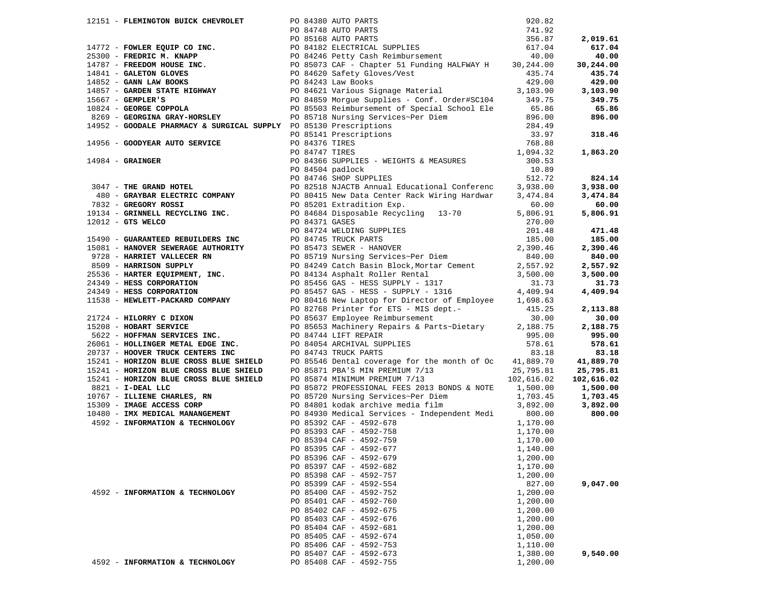|  |                                 |  |                                                                                                                                                                                                                                      |          | 824.14   |
|--|---------------------------------|--|--------------------------------------------------------------------------------------------------------------------------------------------------------------------------------------------------------------------------------------|----------|----------|
|  |                                 |  |                                                                                                                                                                                                                                      |          |          |
|  |                                 |  |                                                                                                                                                                                                                                      |          |          |
|  |                                 |  |                                                                                                                                                                                                                                      |          |          |
|  |                                 |  |                                                                                                                                                                                                                                      |          |          |
|  |                                 |  |                                                                                                                                                                                                                                      |          |          |
|  |                                 |  |                                                                                                                                                                                                                                      |          |          |
|  |                                 |  |                                                                                                                                                                                                                                      |          |          |
|  |                                 |  |                                                                                                                                                                                                                                      |          |          |
|  |                                 |  |                                                                                                                                                                                                                                      |          | 840.00   |
|  |                                 |  |                                                                                                                                                                                                                                      |          |          |
|  |                                 |  |                                                                                                                                                                                                                                      |          |          |
|  |                                 |  |                                                                                                                                                                                                                                      |          |          |
|  |                                 |  |                                                                                                                                                                                                                                      |          |          |
|  |                                 |  | 17114 <b>-FLEENDOON BUICK CHEVROLET (1972)</b> PORTER DEVELOPMENT SUITS - 2013, 113<br>17172 - POMER ROOM (1972) CHEVROLET SUITS - 1973) ENTERTAINS (1973) 2013, 123 - 123 - 124 - 124 - 124 - 124 - 124 - 124 - 124 - 124 - 124 - 1 |          |          |
|  |                                 |  |                                                                                                                                                                                                                                      |          |          |
|  |                                 |  |                                                                                                                                                                                                                                      |          |          |
|  |                                 |  |                                                                                                                                                                                                                                      |          |          |
|  |                                 |  |                                                                                                                                                                                                                                      |          |          |
|  |                                 |  |                                                                                                                                                                                                                                      |          | 578.61   |
|  |                                 |  |                                                                                                                                                                                                                                      |          |          |
|  |                                 |  |                                                                                                                                                                                                                                      |          |          |
|  |                                 |  |                                                                                                                                                                                                                                      |          |          |
|  |                                 |  |                                                                                                                                                                                                                                      |          |          |
|  |                                 |  | EXECUTE: THE SALUTE AND RESORP DENSITY OF STARLES PROFESSIONAL FEES 2013 BONDS & NOTE 1,500.00 1,500.00 1,500.00<br>10767 - ILLIENE CHARLES, RN PO 85720 Nursing Services~Per Diem 1,703.45 1,703.45<br>10480 - IMAGE ACCESS CORP    |          |          |
|  |                                 |  |                                                                                                                                                                                                                                      |          |          |
|  |                                 |  |                                                                                                                                                                                                                                      |          |          |
|  |                                 |  |                                                                                                                                                                                                                                      |          | 800.00   |
|  | 4592 - INFORMATION & TECHNOLOGY |  | PO 85392 CAF - 4592-678<br>PO 85393 CAF - 4592-758<br>PO 85394 CAF - 4592-759<br>PO 85395 CAF - 4592-677<br>1,170.00<br>PO 85395 CAF - 4592-677<br>1,140.00                                                                          | 1,170.00 |          |
|  |                                 |  |                                                                                                                                                                                                                                      |          |          |
|  |                                 |  |                                                                                                                                                                                                                                      |          |          |
|  |                                 |  |                                                                                                                                                                                                                                      |          |          |
|  |                                 |  | PO 85396 CAF - 4592-679                                                                                                                                                                                                              | 1,200.00 |          |
|  |                                 |  | PO 85397 CAF - 4592-682                                                                                                                                                                                                              | 1,170.00 |          |
|  |                                 |  | PO 85398 CAF - 4592-757                                                                                                                                                                                                              | 1,200.00 |          |
|  |                                 |  | PO 85399 CAF - 4592-554                                                                                                                                                                                                              | 827.00   | 9,047.00 |
|  | 4592 - INFORMATION & TECHNOLOGY |  | PO 85400 CAF - 4592-752                                                                                                                                                                                                              | 1,200.00 |          |
|  |                                 |  | PO 85401 CAF - 4592-760                                                                                                                                                                                                              | 1,200.00 |          |
|  |                                 |  | PO 85402 CAF - 4592-675                                                                                                                                                                                                              | 1,200.00 |          |
|  |                                 |  | PO 85403 CAF - 4592-676                                                                                                                                                                                                              | 1,200.00 |          |
|  |                                 |  | PO 85404 CAF - 4592-681                                                                                                                                                                                                              | 1,200.00 |          |
|  |                                 |  | PO 85405 CAF - 4592-674                                                                                                                                                                                                              |          |          |
|  |                                 |  | PO 85406 CAF - 4592-753                                                                                                                                                                                                              | 1,050.00 |          |
|  |                                 |  |                                                                                                                                                                                                                                      | 1,110.00 |          |
|  |                                 |  | PO 85407 CAF - 4592-673                                                                                                                                                                                                              | 1,380.00 | 9,540.00 |
|  | 4592 - INFORMATION & TECHNOLOGY |  | PO 85408 CAF - 4592-755                                                                                                                                                                                                              | 1,200.00 |          |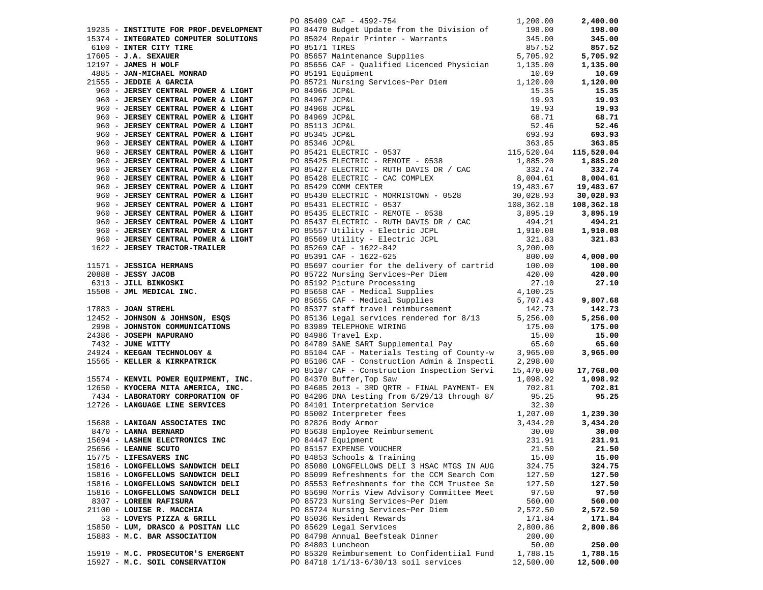|       | 19235 - INSTITUTE FOR PROF.DEVELOPMENT<br>15374 - INTEGRATED COMPUTER SOLUTIONS<br>6100 - INTER CITY TIRE |
|-------|-----------------------------------------------------------------------------------------------------------|
|       | $17605 - J.A.$ SEXAUER                                                                                    |
|       | $12197$ - JAMES H WOLF                                                                                    |
|       | 4885 - JAN-MICHAEL MONRAD                                                                                 |
|       | 21555 - JEDDIE A GARCIA                                                                                   |
|       | 960 - JERSEY CENTRAL POWER & LIGHT                                                                        |
|       | 960 - JERSEY CENTRAL POWER & LIGHT                                                                        |
|       | 960 - JERSEY CENTRAL POWER & LIGHT                                                                        |
|       | 960 - JERSEY CENTRAL POWER & LIGHT                                                                        |
| 960   | - JERSEY CENTRAL POWER & LIGHT                                                                            |
| 960   | - JERSEY CENTRAL POWER & LIGHT                                                                            |
| 960   | - JERSEY CENTRAL POWER & LIGHT                                                                            |
| 960   | - JERSEY CENTRAL POWER & LIGHT                                                                            |
| 960   | - JERSEY CENTRAL POWER & LIGHT                                                                            |
| 960   | - JERSEY CENTRAL POWER & LIGHT                                                                            |
|       | 960 - JERSEY CENTRAL POWER & LIGHT                                                                        |
| 960   | - JERSEY CENTRAL POWER & LIGHT                                                                            |
|       | 960 - JERSEY CENTRAL POWER & LIGHT                                                                        |
|       | 960 - JERSEY CENTRAL POWER & LIGHT                                                                        |
|       | 960 - JERSEY CENTRAL POWER & LIGHT                                                                        |
|       | 960 - JERSEY CENTRAL POWER & LIGHT                                                                        |
| 960 - | JERSEY CENTRAL POWER & LIGHT                                                                              |
|       | 960 - JERSEY CENTRAL POWER & LIGHT                                                                        |
|       | 1622 - JERSEY TRACTOR-TRAILER                                                                             |
|       |                                                                                                           |
|       | 11571 - JESSICA HERMANS                                                                                   |
|       | 20888 - JESSY JACOB                                                                                       |
|       | 6313 - JILL BINKOSKI                                                                                      |
|       | 15508 - JML MEDICAL INC.                                                                                  |
|       |                                                                                                           |
|       | 17883 - JOAN STREHL                                                                                       |
|       | 12452 - JOHNSON & JOHNSON, ESQS                                                                           |
|       | 2998 - JOHNSTON COMMUNICATIONS                                                                            |
| 24386 | - JOSEPH NAPURANO                                                                                         |
|       | 7432 - JUNE WITTY                                                                                         |
|       | 24924 - KEEGAN TECHNOLOGY &                                                                               |
|       | 15565 - KELLER & KIRKPATRICK                                                                              |
|       |                                                                                                           |
|       | 15574 - KENVIL POWER EQUIPMENT, INC.                                                                      |
|       | 12650 - KYOCERA MITA AMERICA, INC.                                                                        |
|       | 7434 - LABORATORY CORPORATION OF                                                                          |
|       | 12726 - LANGUAGE LINE SERVICES                                                                            |
|       |                                                                                                           |
|       | 15688 - LANIGAN ASSOCIATES INC                                                                            |
|       | 8470 - LANNA BERNARD                                                                                      |
|       | 15694 - LASHEN ELECTRONICS INC                                                                            |
|       | 25656 - LEANNE SCUTO                                                                                      |
|       | 15775 - LIFESAVERS INC                                                                                    |
|       | 15816 - LONGFELLOWS SANDWICH DELI                                                                         |
|       | 15816 - LONGFELLOWS SANDWICH DELI                                                                         |
|       | 15816 - LONGFELLOWS SANDWICH DELI                                                                         |
|       | 15816 - LONGFELLOWS SANDWICH DELI                                                                         |
|       | 8307 - LOREEN RAFISURA                                                                                    |
|       | 21100 - LOUISE R. MACCHIA                                                                                 |
|       | 53 - LOVEYS PIZZA & GRILL                                                                                 |
|       | 15850 - LUM, DRASCO & POSITAN LLC                                                                         |
|       | 15883 - M.C. BAR ASSOCIATION                                                                              |
|       |                                                                                                           |
|       | 15919 - M.C. PROSECUTOR'S EMERGENT                                                                        |
|       | 15927 - M.C. SOIL CONSERVATION                                                                            |

|                                    |  | 1,200.00<br>PO 85409 CAF - 4592-754                                                                                                                                                                                         |           | 2,400.00               |
|------------------------------------|--|-----------------------------------------------------------------------------------------------------------------------------------------------------------------------------------------------------------------------------|-----------|------------------------|
|                                    |  | 1912 - The Matrix Proposition of Matrix Control (1910) 212-13 (1911) 1912 - 1922-1911 - 1922-1911 - 1922-1922 - 1922-1922 - 1922-1922 - 1922-1922 - 1922-1922 - 1922-1922 - 1922-1922 - 1922-1922 - 1922-1922 - 1922-1922 - |           |                        |
|                                    |  |                                                                                                                                                                                                                             |           |                        |
|                                    |  |                                                                                                                                                                                                                             |           |                        |
|                                    |  |                                                                                                                                                                                                                             |           |                        |
|                                    |  |                                                                                                                                                                                                                             |           |                        |
|                                    |  |                                                                                                                                                                                                                             |           |                        |
|                                    |  |                                                                                                                                                                                                                             |           |                        |
|                                    |  |                                                                                                                                                                                                                             |           |                        |
|                                    |  |                                                                                                                                                                                                                             |           |                        |
|                                    |  |                                                                                                                                                                                                                             |           |                        |
|                                    |  |                                                                                                                                                                                                                             |           |                        |
|                                    |  |                                                                                                                                                                                                                             |           |                        |
|                                    |  |                                                                                                                                                                                                                             |           |                        |
|                                    |  |                                                                                                                                                                                                                             |           |                        |
|                                    |  |                                                                                                                                                                                                                             |           |                        |
|                                    |  |                                                                                                                                                                                                                             |           |                        |
|                                    |  |                                                                                                                                                                                                                             |           |                        |
|                                    |  |                                                                                                                                                                                                                             |           |                        |
|                                    |  |                                                                                                                                                                                                                             |           |                        |
|                                    |  |                                                                                                                                                                                                                             |           |                        |
|                                    |  |                                                                                                                                                                                                                             |           |                        |
|                                    |  |                                                                                                                                                                                                                             |           |                        |
|                                    |  |                                                                                                                                                                                                                             |           |                        |
|                                    |  |                                                                                                                                                                                                                             |           |                        |
|                                    |  |                                                                                                                                                                                                                             |           |                        |
|                                    |  |                                                                                                                                                                                                                             |           |                        |
|                                    |  |                                                                                                                                                                                                                             |           |                        |
|                                    |  |                                                                                                                                                                                                                             |           |                        |
|                                    |  |                                                                                                                                                                                                                             |           |                        |
|                                    |  |                                                                                                                                                                                                                             |           | $4,000.00$<br>$100.00$ |
|                                    |  |                                                                                                                                                                                                                             |           |                        |
|                                    |  |                                                                                                                                                                                                                             |           |                        |
|                                    |  |                                                                                                                                                                                                                             |           |                        |
|                                    |  |                                                                                                                                                                                                                             |           |                        |
|                                    |  |                                                                                                                                                                                                                             |           |                        |
|                                    |  |                                                                                                                                                                                                                             |           |                        |
|                                    |  |                                                                                                                                                                                                                             |           |                        |
|                                    |  |                                                                                                                                                                                                                             |           |                        |
|                                    |  |                                                                                                                                                                                                                             |           |                        |
|                                    |  |                                                                                                                                                                                                                             |           |                        |
|                                    |  |                                                                                                                                                                                                                             |           |                        |
|                                    |  |                                                                                                                                                                                                                             |           |                        |
|                                    |  |                                                                                                                                                                                                                             |           |                        |
|                                    |  |                                                                                                                                                                                                                             |           | 17,768.00              |
|                                    |  |                                                                                                                                                                                                                             |           |                        |
|                                    |  |                                                                                                                                                                                                                             |           |                        |
|                                    |  |                                                                                                                                                                                                                             |           |                        |
|                                    |  |                                                                                                                                                                                                                             |           |                        |
|                                    |  |                                                                                                                                                                                                                             |           |                        |
|                                    |  |                                                                                                                                                                                                                             |           |                        |
|                                    |  |                                                                                                                                                                                                                             |           |                        |
|                                    |  |                                                                                                                                                                                                                             |           |                        |
|                                    |  |                                                                                                                                                                                                                             |           |                        |
|                                    |  |                                                                                                                                                                                                                             |           |                        |
| 15775 - LIFESAVERS INC             |  | PO 84853 Schools & Training                                                                                                                                                                                                 | 15.00     | 15.00                  |
| 15816 - LONGFELLOWS SANDWICH DELI  |  | PO 85080 LONGFELLOWS DELI 3 HSAC MTGS IN AUG                                                                                                                                                                                | 324.75    | 324.75                 |
| 15816 - LONGFELLOWS SANDWICH DELI  |  | PO 85099 Refreshments for the CCM Search Com                                                                                                                                                                                | 127.50    | 127.50                 |
| 15816 - LONGFELLOWS SANDWICH DELI  |  | PO 85553 Refreshments for the CCM Trustee Se                                                                                                                                                                                | 127.50    | 127.50                 |
| 15816 - LONGFELLOWS SANDWICH DELI  |  | PO 85690 Morris View Advisory Committee Meet                                                                                                                                                                                | 97.50     | 97.50                  |
|                                    |  |                                                                                                                                                                                                                             |           |                        |
| 8307 - LOREEN RAFISURA             |  | PO 85723 Nursing Services~Per Diem                                                                                                                                                                                          | 560.00    | 560.00                 |
| 21100 - LOUISE R. MACCHIA          |  | PO 85724 Nursing Services~Per Diem                                                                                                                                                                                          | 2,572.50  | 2,572.50               |
| 53 - LOVEYS PIZZA & GRILL          |  | PO 85036 Resident Rewards                                                                                                                                                                                                   | 171.84    | 171.84                 |
| 15850 - LUM, DRASCO & POSITAN LLC  |  | PO 85629 Legal Services                                                                                                                                                                                                     | 2,800.86  | 2,800.86               |
| 15883 - M.C. BAR ASSOCIATION       |  | PO 84798 Annual Beefsteak Dinner                                                                                                                                                                                            | 200.00    |                        |
|                                    |  | PO 84803 Luncheon                                                                                                                                                                                                           | 50.00     | 250.00                 |
| 15919 - M.C. PROSECUTOR'S EMERGENT |  | PO 85320 Reimbursement to Confidentiial Fund                                                                                                                                                                                | 1,788.15  | 1,788.15               |
| 15927 - M.C. SOIL CONSERVATION     |  | PO 84718 1/1/13-6/30/13 soil services                                                                                                                                                                                       | 12,500.00 | 12,500.00              |
|                                    |  |                                                                                                                                                                                                                             |           |                        |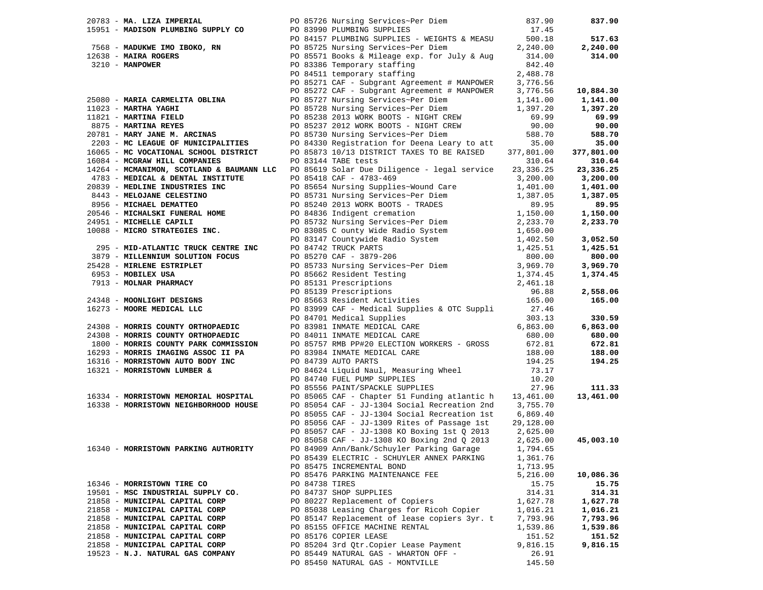|                                                                              |                | 20783 - <b>MA. LIZA IMPERIAL</b> PO 85726 Nursing Services~Per Diem (837.90)<br>15951 - <b>MADISON PLUMBING SUPPLY CO</b> PO 83990 PLUMBING SUPPLIES<br>200.18 PO 84157 PLUMBING SUPPLIES - WEIGHTS & MEASU                                     |                | 837.90     |
|------------------------------------------------------------------------------|----------------|-------------------------------------------------------------------------------------------------------------------------------------------------------------------------------------------------------------------------------------------------|----------------|------------|
|                                                                              |                |                                                                                                                                                                                                                                                 |                |            |
|                                                                              |                |                                                                                                                                                                                                                                                 |                | 517.63     |
|                                                                              |                |                                                                                                                                                                                                                                                 |                | 2,240.00   |
|                                                                              |                |                                                                                                                                                                                                                                                 |                | 314.00     |
|                                                                              |                | 7568 - MADUKWE IMO IBOKO, RN<br>12638 - MAIRA ROGERS<br>12638 - MAIRA ROGERS<br>2,240.00<br>12638 - MAIRA ROGERS<br>2,240.00<br>2,240.00<br>PO 85725 Nursing Services~Per Diem<br>PO 85725 Nursing Services~Per Diem<br>PO 85571 Books & Mileag |                |            |
|                                                                              |                |                                                                                                                                                                                                                                                 |                |            |
|                                                                              |                | PO 85271 CAF - Subgrant Agreement # MANPOWER<br>PO 85271 CAF - Subgrant Agreement # NANPOWER<br>PO 85272 CAF - Subgrant Agreement # MANPOWER                                                                                                    | 3,776.56       |            |
|                                                                              |                |                                                                                                                                                                                                                                                 | 3,776.56       | 10,884.30  |
|                                                                              |                |                                                                                                                                                                                                                                                 |                | 1,141.00   |
|                                                                              |                |                                                                                                                                                                                                                                                 |                | 1,397.20   |
|                                                                              |                |                                                                                                                                                                                                                                                 |                | 69.99      |
|                                                                              |                |                                                                                                                                                                                                                                                 |                | 90.00      |
| 20781 - MARY JANE M. ARCINAS<br>2203 - MC LEAGUE OF MUNICIPALITIES           |                | 25080 - MARIA CARMELITA OBLINA<br>25080 - MARIA YAGHI PO 85727 Nursing Services~Per Diem<br>20085727 Nursing Services~Per Diem<br>20085728 Nursing Services~Per Diem<br>20085728 Nursing Services~Per Diem<br>20085730 Nursing Services         |                | 588.70     |
|                                                                              |                | PO 84330 Registration for Deena Leary to att                                                                                                                                                                                                    | 35.00          | 35.00      |
| 16065 - MC VOCATIONAL SCHOOL DISTRICT                                        |                | PO 85873 10/13 DISTRICT TAXES TO BE RAISED                                                                                                                                                                                                      | 377,801.00     | 377,801.00 |
| 16084 - MCGRAW HILL COMPANIES                                                |                | PO 83144 TABE tests                                                                                                                                                                                                                             | 310.64         | 310.64     |
| 14264 - MCMANIMON, SCOTLAND & BAUMANN LLC                                    |                | PO 85619 Solar Due Diligence - legal service                                                                                                                                                                                                    | 23, 336. 25    | 23,336.25  |
| 4783 - MEDICAL & DENTAL INSTITUTE                                            |                | PO 85418 CAF - 4783-469                                                                                                                                                                                                                         | 3,200.00       | 3,200.00   |
|                                                                              |                |                                                                                                                                                                                                                                                 |                | 1,401.00   |
|                                                                              |                |                                                                                                                                                                                                                                                 |                | 1,387.05   |
|                                                                              |                |                                                                                                                                                                                                                                                 |                | 89.95      |
|                                                                              |                |                                                                                                                                                                                                                                                 |                | 1,150.00   |
|                                                                              |                |                                                                                                                                                                                                                                                 |                | 2,233.70   |
|                                                                              |                |                                                                                                                                                                                                                                                 |                |            |
|                                                                              |                |                                                                                                                                                                                                                                                 |                | 3,052.50   |
|                                                                              |                |                                                                                                                                                                                                                                                 |                | 1,425.51   |
|                                                                              |                |                                                                                                                                                                                                                                                 |                | 800.00     |
|                                                                              |                |                                                                                                                                                                                                                                                 |                | 3,969.70   |
|                                                                              |                |                                                                                                                                                                                                                                                 |                | 1,374.45   |
|                                                                              |                |                                                                                                                                                                                                                                                 |                |            |
|                                                                              |                |                                                                                                                                                                                                                                                 |                | 2,558.06   |
|                                                                              |                |                                                                                                                                                                                                                                                 |                | 165.00     |
|                                                                              |                |                                                                                                                                                                                                                                                 | 303.13         | 330.59     |
| 24308 - MORRIS COUNTY ORTHOPAEDIC                                            |                | PO 84701 Medical Supplies<br>PO 83981 INMATE MEDICAL CARE                                                                                                                                                                                       | 6,863.00       | 6,863.00   |
| 24308 - MORRIS COUNTY ORTHOPAEDIC                                            |                | PO 84011 INMATE MEDICAL CARE                                                                                                                                                                                                                    | 680.00         | 680.00     |
| 1800 - MORRIS COUNTY PARK COMMISSION<br>1600 - MORRIS COUNTY PARK COMMISSION |                | PO 85757 RMB PP#20 ELECTION WORKERS - GROSS                                                                                                                                                                                                     | 672.81         | 672.81     |
|                                                                              |                | PO 83984 INMATE MEDICAL CARE                                                                                                                                                                                                                    | 188.00         | 188.00     |
| 1000 AVALLE FEED<br>16293 - MORRIS IMAGING ASSOC II PA                       |                | PO 84739 AUTO PARTS                                                                                                                                                                                                                             | 194.25         | 194.25     |
| 16321 - MORRISTOWN LUMBER &                                                  |                |                                                                                                                                                                                                                                                 |                |            |
|                                                                              |                | PO 84624 Liquid Naul, Measuring Wheel<br>PO 84740 FUEL PUMP SUPPLIES<br>PO 85556 PAINT/SPACKLE SUPPLIES                                                                                                                                         | 73.17<br>10.20 |            |
|                                                                              |                |                                                                                                                                                                                                                                                 | 27.96          | 111.33     |
| 16334 - MORRISTOWN MEMORIAL HOSPITAL                                         |                | PO 85065 CAF - Chapter 51 Funding atlantic h 13,461.00                                                                                                                                                                                          |                | 13,461.00  |
| 16338 - MORRISTOWN NEIGHBORHOOD HOUSE                                        |                | PO 85054 CAF - JJ-1304 Social Recreation 2nd 3,755.70                                                                                                                                                                                           |                |            |
|                                                                              |                | PO 85055 CAF - JJ-1304 Social Recreation 1st $6,869.40$                                                                                                                                                                                         |                |            |
|                                                                              |                | PO 85056 CAF - JJ-1309 Rites of Passage 1st                                                                                                                                                                                                     | 29,128.00      |            |
|                                                                              |                | PO 85057 CAF - JJ-1308 KO Boxing 1st Q 2013                                                                                                                                                                                                     | 2,625.00       |            |
|                                                                              |                | PO 85058 CAF - JJ-1308 KO Boxing 2nd Q 2013                                                                                                                                                                                                     | 2,625.00       | 45,003.10  |
| 16340 - MORRISTOWN PARKING AUTHORITY                                         |                | PO 84909 Ann/Bank/Schuyler Parking Garage 1,794.65                                                                                                                                                                                              |                |            |
|                                                                              |                | PO 85439 ELECTRIC - SCHUYLER ANNEX PARKING                                                                                                                                                                                                      | 1,361.76       |            |
|                                                                              |                | PO 85475 INCREMENTAL BOND                                                                                                                                                                                                                       | 1,713.95       |            |
|                                                                              |                | PO 85476 PARKING MAINTENANCE FEE                                                                                                                                                                                                                | 5,216.00       | 10,086.36  |
| 16346 - MORRISTOWN TIRE CO                                                   | PO 84738 TIRES |                                                                                                                                                                                                                                                 | 15.75          | 15.75      |
| 19501 - MSC INDUSTRIAL SUPPLY CO.                                            |                | PO 84737 SHOP SUPPLIES                                                                                                                                                                                                                          | 314.31         | 314.31     |
| 21858 - MUNICIPAL CAPITAL CORP                                               |                | PO 80227 Replacement of Copiers                                                                                                                                                                                                                 | 1,627.78       | 1,627.78   |
| 21858 - MUNICIPAL CAPITAL CORP                                               |                | PO 85038 Leasing Charges for Ricoh Copier                                                                                                                                                                                                       | 1,016.21       | 1,016.21   |
| 21858 - MUNICIPAL CAPITAL CORP                                               |                | PO 85147 Replacement of lease copiers 3yr. t                                                                                                                                                                                                    | 7,793.96       | 7,793.96   |
| 21858 - MUNICIPAL CAPITAL CORP                                               |                | PO 85155 OFFICE MACHINE RENTAL                                                                                                                                                                                                                  | 1,539.86       | 1,539.86   |
| 21858 - MUNICIPAL CAPITAL CORP                                               |                | PO 85176 COPIER LEASE                                                                                                                                                                                                                           | 151.52         | 151.52     |
| 21858 - MUNICIPAL CAPITAL CORP                                               |                | PO 85204 3rd Qtr. Copier Lease Payment                                                                                                                                                                                                          | 9,816.15       | 9,816.15   |
| 19523 - N.J. NATURAL GAS COMPANY                                             |                | PO 85449 NATURAL GAS - WHARTON OFF -                                                                                                                                                                                                            | 26.91          |            |
|                                                                              |                | PO 85450 NATURAL GAS - MONTVILLE                                                                                                                                                                                                                | 145.50         |            |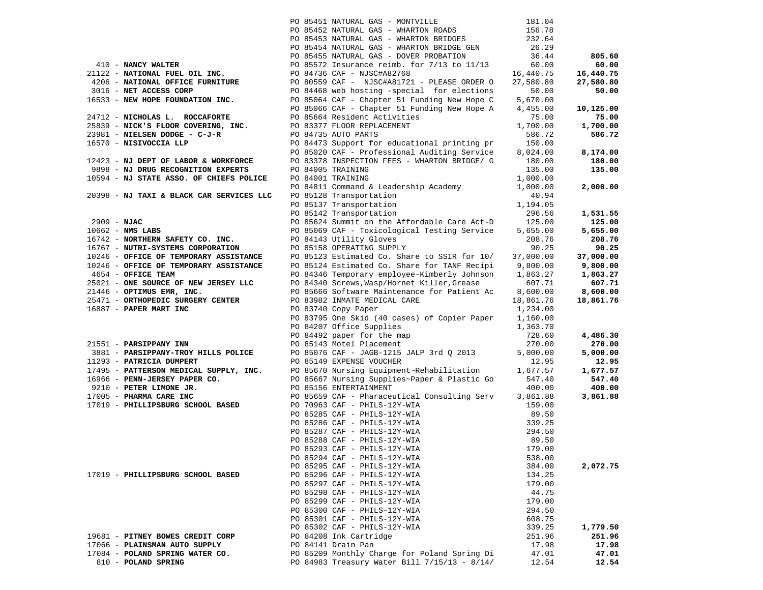|               |                                          | PO 85451 NATURAL GAS - MONTVILLE             | 181.04    |           |
|---------------|------------------------------------------|----------------------------------------------|-----------|-----------|
|               |                                          | PO 85452 NATURAL GAS - WHARTON ROADS         | 156.78    |           |
|               |                                          | PO 85453 NATURAL GAS - WHARTON BRIDGES       | 232.64    |           |
|               |                                          | PO 85454 NATURAL GAS - WHARTON BRIDGE GEN    | 26.29     |           |
|               |                                          | PO 85455 NATURAL GAS - DOVER PROBATION       | 36.44     | 805.60    |
|               | 410 - NANCY WALTER                       | PO 85572 Insurance reimb. for 7/13 to 11/13  | 60.00     | 60.00     |
|               | 21122 - NATIONAL FUEL OIL INC.           | PO 84736 CAF - NJSC#A82768                   | 16,440.75 | 16,440.75 |
|               | 4206 - NATIONAL OFFICE FURNITURE         | PO 80559 CAF - NJSC#A81721 - PLEASE ORDER O  | 27,580.80 | 27,580.80 |
|               | 3016 - NET ACCESS CORP                   | PO 84468 web hosting -special for elections  | 50.00     | 50.00     |
|               | 16533 - NEW HOPE FOUNDATION INC.         | PO 85064 CAF - Chapter 51 Funding New Hope C | 5,670.00  |           |
|               |                                          | PO 85066 CAF - Chapter 51 Funding New Hope A | 4,455.00  | 10,125.00 |
|               | 24712 - NICHOLAS L. ROCCAFORTE           | PO 85664 Resident Activities                 | 75.00     | 75.00     |
|               | 25839 - NICK'S FLOOR COVERING, INC.      | PO 83377 FLOOR REPLACEMENT                   | 1,700.00  | 1,700.00  |
|               | 23981 - NIELSEN DODGE - C-J-R            | PO 84735 AUTO PARTS                          | 586.72    | 586.72    |
|               | 16570 - NISIVOCCIA LLP                   | PO 84473 Support for educational printing pr | 150.00    |           |
|               |                                          | PO 85020 CAF - Professional Auditing Service | 8,024.00  | 8,174.00  |
|               | 12423 - NJ DEPT OF LABOR & WORKFORCE     | PO 83378 INSPECTION FEES - WHARTON BRIDGE/ G | 180.00    | 180.00    |
|               | 9898 - NJ DRUG RECOGNITION EXPERTS       | PO 84005 TRAINING                            | 135.00    | 135.00    |
|               | 10594 - NJ STATE ASSO. OF CHIEFS POLICE  | PO 84001 TRAINING                            | 1,000.00  |           |
|               |                                          | PO 84811 Command & Leadership Academy        | 1,000.00  | 2,000.00  |
|               | 20398 - NJ TAXI & BLACK CAR SERVICES LLC | PO 85128 Transportation                      | 40.94     |           |
|               |                                          | PO 85137 Transportation                      | 1,194.05  |           |
|               |                                          | PO 85142 Transportation                      | 296.56    | 1,531.55  |
| $2909 - NJAC$ |                                          | PO 85624 Summit on the Affordable Care Act-D | 125.00    | 125.00    |
|               | $10662 - NMS$ LABS                       | PO 85069 CAF - Toxicological Testing Service | 5,655.00  | 5,655.00  |
|               | 16742 - NORTHERN SAFETY CO. INC.         | PO 84143 Utility Gloves                      | 208.76    | 208.76    |
|               | 16767 - NUTRI-SYSTEMS CORPORATION        | PO 85158 OPERATING SUPPLY                    | 90.25     | 90.25     |
|               | 10246 - OFFICE OF TEMPORARY ASSISTANCE   | PO 85123 Estimated Co. Share to SSIR for 10/ | 37,000.00 | 37,000.00 |
|               | 10246 - OFFICE OF TEMPORARY ASSISTANCE   | PO 85124 Estimated Co. Share for TANF Recipi | 9,800.00  | 9,800.00  |
|               | 4654 - OFFICE TEAM                       | PO 84346 Temporary employee-Kimberly Johnson | 1,863.27  | 1,863.27  |
|               | 25021 - ONE SOURCE OF NEW JERSEY LLC     | PO 84340 Screws, Wasp/Hornet Killer, Grease  | 607.71    | 607.71    |
|               | 21446 - OPTIMUS EMR, INC.                | PO 85666 Software Maintenance for Patient Ac | 8,600.00  | 8,600.00  |
|               | 25471 - ORTHOPEDIC SURGERY CENTER        | PO 83982 INMATE MEDICAL CARE                 | 18,861.76 | 18,861.76 |
|               | 16887 - PAPER MART INC                   | PO 83740 Copy Paper                          | 1,234.00  |           |
|               |                                          | PO 83795 One Skid (40 cases) of Copier Paper | 1,160.00  |           |
|               |                                          | PO 84207 Office Supplies                     | 1,363.70  |           |
|               |                                          | PO 84492 paper for the map                   | 728.60    | 4,486.30  |
|               | 21551 - PARSIPPANY INN                   | PO 85143 Motel Placement                     | 270.00    | 270.00    |
|               | 3881 - PARSIPPANY-TROY HILLS POLICE      | PO 85076 CAF - JAGB-1215 JALP 3rd Q 2013     | 5,000.00  | 5,000.00  |
|               | 11293 - PATRICIA DUMPERT                 | PO 85149 EXPENSE VOUCHER                     | 12.95     | 12.95     |
|               | 17495 - PATTERSON MEDICAL SUPPLY, INC.   | PO 85670 Nursing Equipment~Rehabilitation    | 1,677.57  | 1,677.57  |
|               | 16966 - PENN-JERSEY PAPER CO.            | PO 85667 Nursing Supplies~Paper & Plastic Go | 547.40    | 547.40    |
|               | 9210 - PETER LIMONE JR.                  | PO 85156 ENTERTAINMENT                       | 400.00    | 400.00    |
|               | 17005 - PHARMA CARE INC                  | PO 85659 CAF - Pharaceutical Consulting Serv | 3,861.88  | 3,861.88  |
|               | 17019 - PHILLIPSBURG SCHOOL BASED        | PO 70963 CAF - PHILS-12Y-WIA                 | 159.00    |           |
|               |                                          | PO 85285 CAF - PHILS-12Y-WIA                 | 89.50     |           |
|               |                                          | PO 85286 CAF - PHILS-12Y-WIA                 | 339.25    |           |
|               |                                          | PO 85287 CAF - PHILS-12Y-WIA                 | 294.50    |           |
|               |                                          | PO 85288 CAF - PHILS-12Y-WIA                 | 89.50     |           |
|               |                                          | PO 85293 CAF - PHILS-12Y-WIA                 | 179.00    |           |
|               |                                          | PO 85294 CAF - PHILS-12Y-WIA                 | 538.00    |           |
|               |                                          | PO 85295 CAF - PHILS-12Y-WIA                 | 384.00    | 2,072.75  |
|               | 17019 - PHILLIPSBURG SCHOOL BASED        | PO 85296 CAF - PHILS-12Y-WIA                 | 134.25    |           |
|               |                                          | PO 85297 CAF - PHILS-12Y-WIA                 | 179.00    |           |
|               |                                          | PO 85298 CAF - PHILS-12Y-WIA                 | 44.75     |           |
|               |                                          | PO 85299 CAF - PHILS-12Y-WIA                 | 179.00    |           |
|               |                                          | PO 85300 CAF - PHILS-12Y-WIA                 | 294.50    |           |
|               |                                          | PO 85301 CAF - PHILS-12Y-WIA                 | 608.75    |           |
|               |                                          | PO 85302 CAF - PHILS-12Y-WIA                 | 339.25    | 1,779.50  |
|               | 19681 - PITNEY BOWES CREDIT CORP         | PO 84208 Ink Cartridge                       | 251.96    | 251.96    |
|               | 17066 - PLAINSMAN AUTO SUPPLY            | PO 84141 Drain Pan                           | 17.98     | 17.98     |
|               | 17084 - POLAND SPRING WATER CO.          | PO 85209 Monthly Charge for Poland Spring Di | 47.01     | 47.01     |
|               | 810 - POLAND SPRING                      | PO 84983 Treasury Water Bill 7/15/13 - 8/14/ | 12.54     | 12.54     |
|               |                                          |                                              |           |           |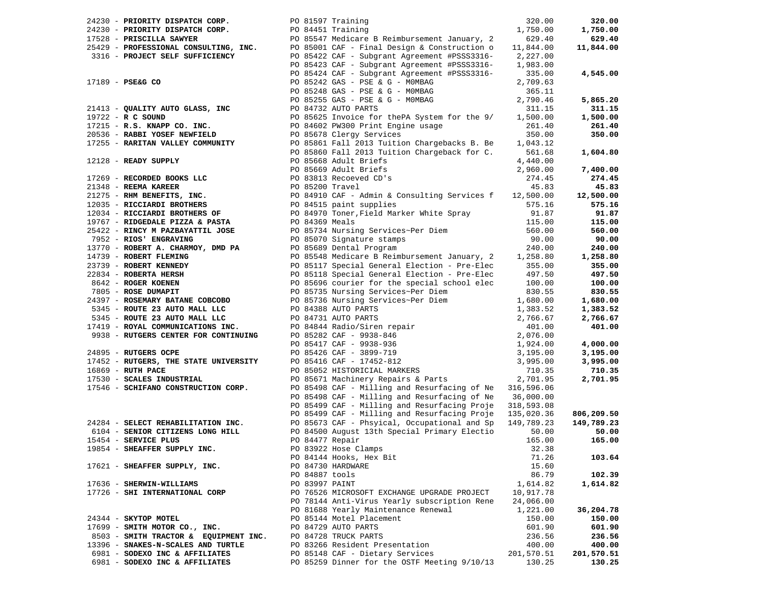| 24230 - PRIORITY DISPATCH CORP. PO 81597 Training                                                                                                                                                                                |                 |                                                                                                                                                                                                                                                                         | 320.00     | 320.00     |
|----------------------------------------------------------------------------------------------------------------------------------------------------------------------------------------------------------------------------------|-----------------|-------------------------------------------------------------------------------------------------------------------------------------------------------------------------------------------------------------------------------------------------------------------------|------------|------------|
|                                                                                                                                                                                                                                  |                 |                                                                                                                                                                                                                                                                         | 1,750.00   | 1,750.00   |
|                                                                                                                                                                                                                                  |                 |                                                                                                                                                                                                                                                                         | 629.40     | 629.40     |
|                                                                                                                                                                                                                                  |                 | 25429 - PROFESSIONAL CONSULTING, INC.<br>25429 - PROFESSIONAL CONSULTING, INC. PO 85001 CAF - Final Design & Construction o<br>2316 - PROJECT SELF SUFFICIENCY PO 85422 CAF - Subgrant Agreement #PSSS3316-                                                             | 11,844.00  | 11,844.00  |
|                                                                                                                                                                                                                                  |                 |                                                                                                                                                                                                                                                                         | 2,227.00   |            |
|                                                                                                                                                                                                                                  |                 | PO 85423 CAF - Subgrant Agreement #PSSS3316-                                                                                                                                                                                                                            | 1,983.00   |            |
|                                                                                                                                                                                                                                  |                 |                                                                                                                                                                                                                                                                         |            |            |
|                                                                                                                                                                                                                                  |                 | PO 85424 CAF - Subgrant Agreement #PSSS3316-                                                                                                                                                                                                                            | 335.00     | 4,545.00   |
| 17189 - PSE&G CO                                                                                                                                                                                                                 |                 | PO 85242 GAS - PSE & G - MOMBAG                                                                                                                                                                                                                                         | 2,709.63   |            |
|                                                                                                                                                                                                                                  |                 | PO 85248 GAS - PSE & G - MOMBAG                                                                                                                                                                                                                                         | 365.11     |            |
|                                                                                                                                                                                                                                  |                 | PO 85255 GAS - PSE & G - MOMBAG                                                                                                                                                                                                                                         | 2,790.46   | 5,865.20   |
| $21413$ - QUALITY AUTO GLASS, INC<br>19722 - B.C. SOUND                                                                                                                                                                          |                 | PO 84732 AUTO PARTS                                                                                                                                                                                                                                                     | 311.15     | 311.15     |
| 19722 - R C SOUND                                                                                                                                                                                                                |                 | PO 85625 Invoice for thePA System for the 9/                                                                                                                                                                                                                            | 1,500.00   | 1,500.00   |
| 17215 - R.S. KNAPP CO. INC.                                                                                                                                                                                                      |                 | PO 84602 PW300 Print Engine usage                                                                                                                                                                                                                                       | 261.40     | 261.40     |
| 20536 - RABBI YOSEF NEWFIELD                                                                                                                                                                                                     |                 | PO 85678 Clergy Services                                                                                                                                                                                                                                                | 350.00     | 350.00     |
| 17255 - RARITAN VALLEY COMMUNITY                                                                                                                                                                                                 |                 | PO 85861 Fall 2013 Tuition Chargebacks B. Be                                                                                                                                                                                                                            | 1,043.12   |            |
|                                                                                                                                                                                                                                  |                 | PO 85860 Fall 2013 Tuition Chargeback for C.                                                                                                                                                                                                                            | 561.68     | 1,604.80   |
|                                                                                                                                                                                                                                  |                 |                                                                                                                                                                                                                                                                         |            |            |
| 12128 - READY SUPPLY                                                                                                                                                                                                             |                 | PO 85668 Adult Briefs                                                                                                                                                                                                                                                   | 4,440.00   |            |
|                                                                                                                                                                                                                                  |                 | PO 85669 Adult Briefs<br>17269 - RECORDED BOOKS LLC<br>21348 - REEMA KAREER<br>21275 - RHM BENEFITS, INC.<br>2275 - RHM BENEFITS, INC.<br>2275 - RICCIARDI BROTHERS<br>2200 - RICCIARDI BROTHERS<br>2200 - PICCIARDI BROTHERS<br>2200 - PICCIARDI BROTHERS<br>2200 - PI | 2,960.00   | 7,400.00   |
|                                                                                                                                                                                                                                  |                 |                                                                                                                                                                                                                                                                         |            | 274.45     |
|                                                                                                                                                                                                                                  |                 |                                                                                                                                                                                                                                                                         |            | 45.83      |
|                                                                                                                                                                                                                                  |                 |                                                                                                                                                                                                                                                                         |            | 12,500.00  |
|                                                                                                                                                                                                                                  |                 |                                                                                                                                                                                                                                                                         |            | 575.16     |
|                                                                                                                                                                                                                                  |                 |                                                                                                                                                                                                                                                                         |            | 91.87      |
|                                                                                                                                                                                                                                  |                 |                                                                                                                                                                                                                                                                         |            | 115.00     |
| 25422 - RINCY M PAZBAYATTIL JOSE                                                                                                                                                                                                 |                 |                                                                                                                                                                                                                                                                         | 560.00     | 560.00     |
| 7952 - RIOS' ENGRAVING                                                                                                                                                                                                           |                 | PO 85734 Nursing Services~Per Diem                                                                                                                                                                                                                                      | 90.00      | 90.00      |
|                                                                                                                                                                                                                                  |                 | PO 85070 Signature stamps<br>PO 85689 Dental Program                                                                                                                                                                                                                    |            |            |
| 13770 - ROBERT A. CHARMOY, DMD PA                                                                                                                                                                                                |                 | PO 85689 Dental Program                                                                                                                                                                                                                                                 | 240.00     | 240.00     |
| 14739 - ROBERT FLEMING                                                                                                                                                                                                           |                 | PO 85548 Medicare B Reimbursement January, 2 1,258.80                                                                                                                                                                                                                   |            | 1,258.80   |
| 23739 - ROBERT KENNEDY<br>22834 - ROBERTA HERSH                                                                                                                                                                                  |                 | PO 85117 Special General Election - Pre-Elec                                                                                                                                                                                                                            | 355.00     | 355.00     |
|                                                                                                                                                                                                                                  |                 | PO 85118 Special General Election - Pre-Elec                                                                                                                                                                                                                            | 497.50     | 497.50     |
|                                                                                                                                                                                                                                  |                 | PO 85696 courier for the special school elec                                                                                                                                                                                                                            | 100.00     | 100.00     |
| 8642 - ROGER KOENEN<br>7805 - ROSE DUMAPIT                                                                                                                                                                                       |                 | PO 85735 Nursing Services~Per Diem                                                                                                                                                                                                                                      | 830.55     | 830.55     |
| 24397 - ROSEMARY BATANE COBCOBO                                                                                                                                                                                                  |                 | PO 85736 Nursing Services~Per Diem                                                                                                                                                                                                                                      | 1,680.00   | 1,680.00   |
| 5345 - ROUTE 23 AUTO MALL LLC                                                                                                                                                                                                    |                 |                                                                                                                                                                                                                                                                         | 1,383.52   | 1,383.52   |
| 5345 - ROUTE 23 AUTO MALL LLC                                                                                                                                                                                                    |                 | PO 83736 Nursing Services~Per Diem<br>PO 84388 AUTO PARTS<br>PO 84844 Radio/Siren repair<br>PO 85282 CAF - 9938-846<br>PO 85417 CAF - 9938-936<br>PO 85416 CAF - 3899-719<br>PO 85416 CAF - 17452-812<br>PO 85671 Machinery Repairs & Parts<br>                         | 2,766.67   | 2,766.67   |
| $17419$ - ROYAL COMMUNICATIONS INC.<br>9939 - PILETTE - ANDREW PORT OF THE SERIES OF THE SERIES OF THE SERIES OF THE SERIES OF THE SERIES OF THE SERIES OF THE SERIES OF THE SERIES OF THE SERIES OF THE SERIES OF THE SERIES OF |                 |                                                                                                                                                                                                                                                                         | 401.00     | 401.00     |
|                                                                                                                                                                                                                                  |                 |                                                                                                                                                                                                                                                                         |            |            |
| 9938 - RUTGERS CENTER FOR CONTINUING                                                                                                                                                                                             |                 |                                                                                                                                                                                                                                                                         | 2,076.00   |            |
|                                                                                                                                                                                                                                  |                 |                                                                                                                                                                                                                                                                         | 1,924.00   | 4,000.00   |
| 24895 - RUTGERS OCPE                                                                                                                                                                                                             |                 |                                                                                                                                                                                                                                                                         | 3,195.00   | 3,195.00   |
| 17452 - RUTGERS, THE STATE UNIVERSITY                                                                                                                                                                                            |                 |                                                                                                                                                                                                                                                                         | 3,995.00   | 3,995.00   |
| 16869 - RUTH PACE                                                                                                                                                                                                                |                 |                                                                                                                                                                                                                                                                         | 710.35     | 710.35     |
| 17530 - SCALES INDUSTRIAL                                                                                                                                                                                                        |                 |                                                                                                                                                                                                                                                                         | 2,701.95   | 2,701.95   |
| 17546 - SCHIFANO CONSTRUCTION CORP.                                                                                                                                                                                              |                 | PO 85498 CAF - Milling and Resurfacing of Ne 316,596.06                                                                                                                                                                                                                 |            |            |
|                                                                                                                                                                                                                                  |                 | PO 85498 CAF - Milling and Resurfacing of Ne 36,000.00                                                                                                                                                                                                                  |            |            |
|                                                                                                                                                                                                                                  |                 | PO 85499 CAF - Milling and Resurfacing Proje 318,593.08                                                                                                                                                                                                                 |            |            |
|                                                                                                                                                                                                                                  |                 | PO 85499 CAF - Milling and Resurfacing Proje 135,020.36                                                                                                                                                                                                                 |            | 806,209.50 |
| 24284 - SELECT REHABILITATION INC.                                                                                                                                                                                               |                 | PO 85673 CAF - Phsyical, Occupational and Sp                                                                                                                                                                                                                            | 149,789.23 | 149,789.23 |
| 6104 - SENIOR CITIZENS LONG HILL                                                                                                                                                                                                 |                 | PO 84500 August 13th Special Primary Electio                                                                                                                                                                                                                            | 50.00      | 50.00      |
| 15454 - SERVICE PLUS                                                                                                                                                                                                             | PO 84477 Repair |                                                                                                                                                                                                                                                                         | 165.00     | 165.00     |
|                                                                                                                                                                                                                                  |                 |                                                                                                                                                                                                                                                                         |            |            |
| 19854 - SHEAFFER SUPPLY INC.                                                                                                                                                                                                     |                 | PO 83922 Hose Clamps                                                                                                                                                                                                                                                    | 32.38      |            |
|                                                                                                                                                                                                                                  |                 | PO 84144 Hooks, Hex Bit                                                                                                                                                                                                                                                 | 71.26      | 103.64     |
| 17621 - SHEAFFER SUPPLY, INC.                                                                                                                                                                                                    |                 | PO 84730 HARDWARE                                                                                                                                                                                                                                                       | 15.60      |            |
|                                                                                                                                                                                                                                  | PO 84887 tools  |                                                                                                                                                                                                                                                                         | 86.79      | 102.39     |
| 17636 - SHERWIN-WILLIAMS                                                                                                                                                                                                         | PO 83997 PAINT  |                                                                                                                                                                                                                                                                         | 1,614.82   | 1,614.82   |
| 17726 - SHI INTERNATIONAL CORP                                                                                                                                                                                                   |                 | PO 76526 MICROSOFT EXCHANGE UPGRADE PROJECT                                                                                                                                                                                                                             | 10,917.78  |            |
|                                                                                                                                                                                                                                  |                 | PO 78144 Anti-Virus Yearly subscription Rene                                                                                                                                                                                                                            | 24,066.00  |            |
|                                                                                                                                                                                                                                  |                 | PO 81688 Yearly Maintenance Renewal                                                                                                                                                                                                                                     | 1,221.00   | 36,204.78  |
| 24344 - SKYTOP MOTEL                                                                                                                                                                                                             |                 | PO 85144 Motel Placement                                                                                                                                                                                                                                                | 150.00     | 150.00     |
| 17699 - SMITH MOTOR CO., INC.                                                                                                                                                                                                    |                 | PO 84729 AUTO PARTS                                                                                                                                                                                                                                                     | 601.90     | 601.90     |
| 8503 - SMITH TRACTOR & EQUIPMENT INC.                                                                                                                                                                                            |                 | PO 84728 TRUCK PARTS                                                                                                                                                                                                                                                    | 236.56     | 236.56     |
| 13396 - SNAKES-N-SCALES AND TURTLE                                                                                                                                                                                               |                 |                                                                                                                                                                                                                                                                         |            |            |
|                                                                                                                                                                                                                                  |                 | PO 83266 Resident Presentation                                                                                                                                                                                                                                          | 400.00     | 400.00     |
| 6981 - SODEXO INC & AFFILIATES                                                                                                                                                                                                   |                 | PO 85148 CAF - Dietary Services                                                                                                                                                                                                                                         | 201,570.51 | 201,570.51 |
| 6981 - SODEXO INC & AFFILIATES                                                                                                                                                                                                   |                 | PO 85259 Dinner for the OSTF Meeting 9/10/13                                                                                                                                                                                                                            | 130.25     | 130.25     |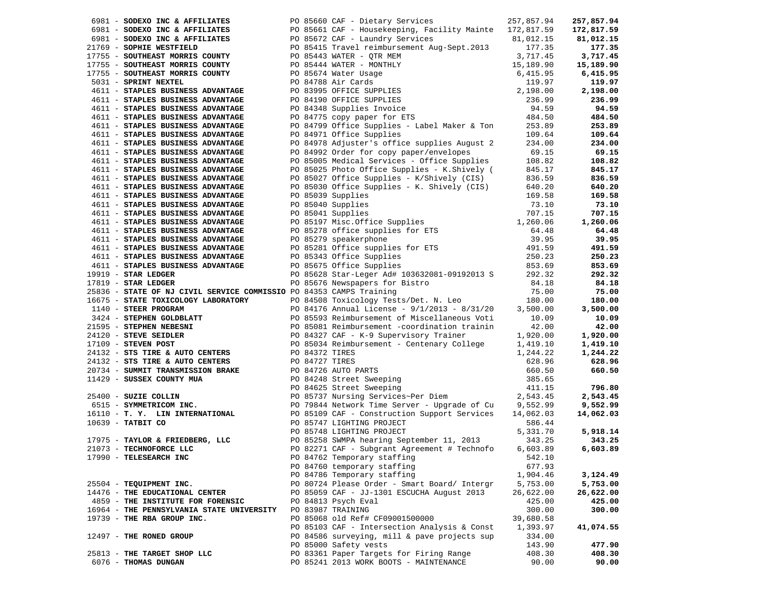| 6981 - SODEXO INC & AFFILIATES PO 85660 CAF - Dietary Services                                                                                                                                                                                                                   |  |                                                                                                                                                                                                                                                  | 257,857.94 | 257,857.94 |
|----------------------------------------------------------------------------------------------------------------------------------------------------------------------------------------------------------------------------------------------------------------------------------|--|--------------------------------------------------------------------------------------------------------------------------------------------------------------------------------------------------------------------------------------------------|------------|------------|
| 6981 - SODEXO INC & AFFILIATES<br>6981 - SODEXO INC & AFFILIATES<br>81,012.15<br>81,012.15<br>81,012.15<br>81,012.15<br>81,012.15<br>81,012.15<br>81,012.15<br>81,012.15<br>82,017.35<br>82,017.35<br>82,717.35<br>82,717.35<br>82,717.35<br>82,717.35<br>82,7                   |  |                                                                                                                                                                                                                                                  |            | 172,817.59 |
|                                                                                                                                                                                                                                                                                  |  |                                                                                                                                                                                                                                                  | 81,012.15  | 81,012.15  |
| 21769 - SOPHIE WESTFIELD                                                                                                                                                                                                                                                         |  |                                                                                                                                                                                                                                                  |            | 177.35     |
| 17755 - SOUTHEAST MORRIS COUNTY                                                                                                                                                                                                                                                  |  | PO 85443 WATER - QTR MEM<br>PO 85444 WATER - QTR MEM<br>PO 85674 Water Usage<br>PO 85674 Water Usage<br>PO 84788 Air Cards<br>PO 84788 Air Cards<br>PO 84789 OFFICE SUPPLIES<br>PO 84190 OFFICE SUPPLIES<br>PO 84348 Supplies Invoice<br>PO 8475 |            | 3,717.45   |
| 17755 - SOUTHEAST MORRIS COUNTY                                                                                                                                                                                                                                                  |  |                                                                                                                                                                                                                                                  |            | 15,189.90  |
| 17755 - SOUTHEAST MORRIS COUNTY                                                                                                                                                                                                                                                  |  |                                                                                                                                                                                                                                                  |            | 6,415.95   |
| 5031 - SPRINT NEXTEL                                                                                                                                                                                                                                                             |  |                                                                                                                                                                                                                                                  |            | 119.97     |
| 4611 - STAPLES BUSINESS ADVANTAGE                                                                                                                                                                                                                                                |  |                                                                                                                                                                                                                                                  |            | 2,198.00   |
| 4611 - STAPLES BUSINESS ADVANTAGE                                                                                                                                                                                                                                                |  |                                                                                                                                                                                                                                                  |            | 236.99     |
| 4611 - STAPLES BUSINESS ADVANTAGE                                                                                                                                                                                                                                                |  |                                                                                                                                                                                                                                                  |            | 94.59      |
| 4611 - STAPLES BUSINESS ADVANTAGE                                                                                                                                                                                                                                                |  |                                                                                                                                                                                                                                                  |            | 484.50     |
| 4611 - STAPLES BUSINESS ADVANTAGE                                                                                                                                                                                                                                                |  | PO 84799 Office Supplies - Label Maker & Ton                                                                                                                                                                                                     | 253.89     | 253.89     |
| 4611 - STAPLES BUSINESS ADVANTAGE                                                                                                                                                                                                                                                |  | PO 84971 Office Supplies                                                                                                                                                                                                                         | 109.64     | 109.64     |
| 4611 - STAPLES BUSINESS ADVANTAGE                                                                                                                                                                                                                                                |  | PO 84978 Adjuster's office supplies August 2                                                                                                                                                                                                     | 234.00     | 234.00     |
| 4611 - STAPLES BUSINESS ADVANTAGE                                                                                                                                                                                                                                                |  | PO 84992 Order for copy paper/envelopes                                                                                                                                                                                                          | 69.15      | 69.15      |
| 4611 - STAPLES BUSINESS ADVANTAGE                                                                                                                                                                                                                                                |  | PO 85005 Medical Services - Office Supplies 108.82                                                                                                                                                                                               |            | 108.82     |
| 4611 - STAPLES BUSINESS ADVANTAGE                                                                                                                                                                                                                                                |  | PO 85025 Photo Office Supplies - K.Shively (                                                                                                                                                                                                     | 845.17     | 845.17     |
| 4611 - STAPLES BUSINESS ADVANTAGE                                                                                                                                                                                                                                                |  | PO 85027 Office Supplies - K/Shively (CIS)                                                                                                                                                                                                       | 836.59     | 836.59     |
| 4611 - STAPLES BUSINESS ADVANTAGE                                                                                                                                                                                                                                                |  | PO 85030 Office Supplies - K. Shively (CIS)                                                                                                                                                                                                      | 640.20     | 640.20     |
| 4611 - STAPLES BUSINESS ADVANTAGE                                                                                                                                                                                                                                                |  | PO 85039 Supplies                                                                                                                                                                                                                                | 169.58     | 169.58     |
| 4611 - STAPLES BUSINESS ADVANTAGE                                                                                                                                                                                                                                                |  |                                                                                                                                                                                                                                                  |            | 73.10      |
| 4611 - STAPLES BUSINESS ADVANTAGE                                                                                                                                                                                                                                                |  |                                                                                                                                                                                                                                                  |            | 707.15     |
| 4611 - STAPLES BUSINESS ADVANTAGE                                                                                                                                                                                                                                                |  |                                                                                                                                                                                                                                                  |            | 1,260.06   |
| 4611 - STAPLES BUSINESS ADVANTAGE                                                                                                                                                                                                                                                |  |                                                                                                                                                                                                                                                  |            | 64.48      |
| 4611 - STAPLES BUSINESS ADVANTAGE                                                                                                                                                                                                                                                |  |                                                                                                                                                                                                                                                  |            | 39.95      |
| 4611 - STAPLES BUSINESS ADVANTAGE                                                                                                                                                                                                                                                |  |                                                                                                                                                                                                                                                  |            | 491.59     |
| 4611 - STAPLES BUSINESS ADVANTAGE                                                                                                                                                                                                                                                |  |                                                                                                                                                                                                                                                  |            | 250.23     |
| 4611 - STAPLES BUSINESS ADVANTAGE                                                                                                                                                                                                                                                |  | PO 85049 Supplies<br>PO 85049 Supplies<br>PO 85041 Supplies<br>PO 85041 Supplies<br>PO 85197 Misc.Office Supplies<br>PO 85278 office supplies<br>PO 85279 speakerphone<br>PO 85281 Office supplies<br>PO 85281 Office supplies<br>PO 85343 Offic |            | 853.69     |
| $19919$ - STAR LEDGER                                                                                                                                                                                                                                                            |  | PO 85628 Star-Leger Ad# 103632081-09192013 S 292.32                                                                                                                                                                                              |            | 292.32     |
| $17819$ - STAR LEDGER                                                                                                                                                                                                                                                            |  | PO 85676 Newspapers for Bistro<br>DO 84252 CAMPS Training                                                                                                                                                                                        | 84.18      | 84.18      |
| 25836 - STATE OF NJ CIVIL SERVICE COMMISSIO PO 84353 CAMPS Training                                                                                                                                                                                                              |  |                                                                                                                                                                                                                                                  |            | 75.00      |
| 16675 - STATE TOXICOLOGY LABORATORY<br>1140 - STEER PROGRAM                                                                                                                                                                                                                      |  | PO 84353 CAMPS Training 75.00<br>PO 84508 Toxicology Tests/Det. N. Leo 180.00                                                                                                                                                                    |            | 180.00     |
|                                                                                                                                                                                                                                                                                  |  | PO 84176 Annual License - $9/1/2013$ - $8/31/20$                                                                                                                                                                                                 | 3,500.00   | 3,500.00   |
| 1140 - <b>STEER PROGRAM</b><br>3424 - <b>STEPHEN GOLDBLATT</b><br>21595 - <b>STEPHEN NEBESNI</b><br>24120 - <b>STEVE SEIDLER</b><br>17109 - <b>STEVEN POST</b><br>24120 - <b>STEVEN POST</b><br>24120 - <b>STEVEN POST</b><br>26 24372 TIRE & AUTO CENTERS<br>22 2427 TIRE & AUT |  | PO 85593 Reimbursement of Miscellaneous Voti                                                                                                                                                                                                     | 10.09      | 10.09      |
|                                                                                                                                                                                                                                                                                  |  | PO 85081 Reimbursement -coordination trainin                                                                                                                                                                                                     | 42.00      | 42.00      |
|                                                                                                                                                                                                                                                                                  |  | PO 84327 CAF - K-9 Supervisory Trainer                                                                                                                                                                                                           | 1,920.00   | 1,920.00   |
|                                                                                                                                                                                                                                                                                  |  | PO 85034 Reimbursement - Centenary College                                                                                                                                                                                                       | 1,419.10   | 1,419.10   |
|                                                                                                                                                                                                                                                                                  |  |                                                                                                                                                                                                                                                  |            | 1,244.22   |
|                                                                                                                                                                                                                                                                                  |  |                                                                                                                                                                                                                                                  |            | 628.96     |
|                                                                                                                                                                                                                                                                                  |  |                                                                                                                                                                                                                                                  |            | 660.50     |
|                                                                                                                                                                                                                                                                                  |  |                                                                                                                                                                                                                                                  |            |            |
|                                                                                                                                                                                                                                                                                  |  |                                                                                                                                                                                                                                                  |            | 796.80     |
| 24132 - STS TIRE & AUTO CENTERS<br>24132 - STS TIRE & AUTO CENTERS<br>2628.96<br>2628.96<br>2628.96<br>2629.96<br>25400 - SUZIE COLLIN<br>25400 - SUZIE COLLIN<br>25400 - SUZIE COLLIN<br>25400 - SUZIE COLLIN<br>25400 - SUZIE COLLIN<br>25400 - SU                             |  |                                                                                                                                                                                                                                                  |            | 2,543.45   |
|                                                                                                                                                                                                                                                                                  |  |                                                                                                                                                                                                                                                  |            | 9,552.99   |
| 16110 - T. Y. LIN INTERNATIONAL PO 85109 CAF - Construction Support Services                                                                                                                                                                                                     |  |                                                                                                                                                                                                                                                  | 14,062.03  | 14,062.03  |
| 10639 - TATBIT CO                                                                                                                                                                                                                                                                |  | PO 85747 LIGHTING PROJECT<br>PO 85748 LIGHTING PROJECT                                                                                                                                                                                           | 586.44     |            |
|                                                                                                                                                                                                                                                                                  |  |                                                                                                                                                                                                                                                  | 5,331.70   | 5,918.14   |
| 17975 - TAYLOR & FRIEDBERG, LLC<br>21073 - TECHNOFORCE LLC                                                                                                                                                                                                                       |  | PO 85258 SWMPA hearing September 11, 2013                                                                                                                                                                                                        | 343.25     | 343.25     |
| 21073 - TECHNOFORCE LLC                                                                                                                                                                                                                                                          |  | PO 82271 CAF - Subgrant Agreement # Technofo                                                                                                                                                                                                     | 6,603.89   | 6,603.89   |
| 17990 - TELESEARCH INC                                                                                                                                                                                                                                                           |  | PO 84762 Temporary staffing                                                                                                                                                                                                                      | 542.10     |            |
|                                                                                                                                                                                                                                                                                  |  | PO 84760 temporary staffing                                                                                                                                                                                                                      | 677.93     |            |
|                                                                                                                                                                                                                                                                                  |  | PO 84786 Temporary staffing                                                                                                                                                                                                                      | 1,904.46   | 3,124.49   |
| 25504 - TEQUIPMENT INC.                                                                                                                                                                                                                                                          |  | PO 80724 Please Order - Smart Board/ Intergr                                                                                                                                                                                                     | 5,753.00   | 5,753.00   |
| 14476 - THE EDUCATIONAL CENTER                                                                                                                                                                                                                                                   |  | PO 85059 CAF - JJ-1301 ESCUCHA August 2013                                                                                                                                                                                                       | 26,622.00  | 26,622.00  |
| 4859 - THE INSTITUTE FOR FORENSIC                                                                                                                                                                                                                                                |  | PO 84813 Psych Eval                                                                                                                                                                                                                              | 425.00     | 425.00     |
| 16964 - THE PENNSYLVANIA STATE UNIVERSITY                                                                                                                                                                                                                                        |  | PO 83987 TRAINING                                                                                                                                                                                                                                | 300.00     | 300.00     |
| 19739 - THE RBA GROUP INC.                                                                                                                                                                                                                                                       |  | PO 85068 old Ref# CF09001500000                                                                                                                                                                                                                  | 39,680.58  |            |
|                                                                                                                                                                                                                                                                                  |  | PO 85103 CAF - Intersection Analysis & Const                                                                                                                                                                                                     | 1,393.97   | 41,074.55  |
| 12497 - THE RONED GROUP                                                                                                                                                                                                                                                          |  | PO 84586 surveying, mill & pave projects sup                                                                                                                                                                                                     | 334.00     |            |
|                                                                                                                                                                                                                                                                                  |  | PO 85000 Safety vests                                                                                                                                                                                                                            | 143.90     | 477.90     |
| 25813 - THE TARGET SHOP LLC                                                                                                                                                                                                                                                      |  | PO 83361 Paper Targets for Firing Range                                                                                                                                                                                                          | 408.30     | 408.30     |
| 6076 - THOMAS DUNGAN                                                                                                                                                                                                                                                             |  | PO 85241 2013 WORK BOOTS - MAINTENANCE                                                                                                                                                                                                           | 90.00      | 90.00      |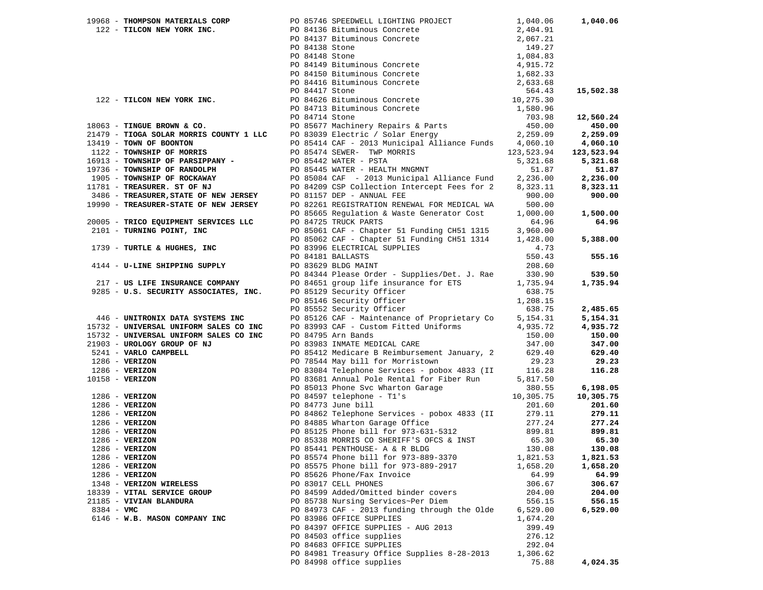|              |                                                                 |                                                                                                       |          | 1,040.06   |
|--------------|-----------------------------------------------------------------|-------------------------------------------------------------------------------------------------------|----------|------------|
|              |                                                                 |                                                                                                       |          |            |
|              |                                                                 |                                                                                                       |          |            |
|              |                                                                 |                                                                                                       |          |            |
|              |                                                                 |                                                                                                       |          |            |
|              |                                                                 |                                                                                                       |          |            |
|              |                                                                 |                                                                                                       |          |            |
|              |                                                                 |                                                                                                       |          |            |
|              |                                                                 |                                                                                                       |          |            |
|              |                                                                 |                                                                                                       |          | 15,502.38  |
|              |                                                                 |                                                                                                       |          |            |
|              |                                                                 |                                                                                                       |          |            |
|              |                                                                 |                                                                                                       |          | 12,560.24  |
|              |                                                                 |                                                                                                       |          | 450.00     |
|              |                                                                 |                                                                                                       |          | 2,259.09   |
|              |                                                                 |                                                                                                       |          | 4,060.10   |
|              |                                                                 |                                                                                                       |          | 123,523.94 |
|              |                                                                 |                                                                                                       |          | 5,321.68   |
|              |                                                                 |                                                                                                       |          | 51.87      |
|              |                                                                 |                                                                                                       |          | 2,236.00   |
|              |                                                                 |                                                                                                       |          | 8,323.11   |
|              |                                                                 |                                                                                                       |          | 900.00     |
|              |                                                                 |                                                                                                       |          |            |
|              |                                                                 |                                                                                                       | 1,000.00 | 1,500.00   |
|              |                                                                 |                                                                                                       |          | 64.96      |
|              |                                                                 |                                                                                                       |          |            |
|              |                                                                 |                                                                                                       |          | 5,388.00   |
|              |                                                                 |                                                                                                       |          |            |
|              |                                                                 |                                                                                                       |          |            |
|              |                                                                 |                                                                                                       |          | 555.16     |
|              |                                                                 |                                                                                                       |          |            |
|              |                                                                 | PO 84344 Please Order - Supplies/Det. J. Rae 330.90<br>PO 84651 group life insurance for ETS 1,735.94 |          | 539.50     |
|              | 217 - US LIFE INSURANCE COMPANY                                 |                                                                                                       |          | 1,735.94   |
|              | 9285 - U.S. SECURITY ASSOCIATES, INC. PO 85129 Security Officer |                                                                                                       | 638.75   |            |
|              |                                                                 | PO 85146 Security Officer                                                                             | 1,208.15 |            |
|              |                                                                 |                                                                                                       |          | 2,485.65   |
|              |                                                                 |                                                                                                       |          | 5,154.31   |
|              |                                                                 |                                                                                                       |          | 4,935.72   |
|              |                                                                 |                                                                                                       |          | 150.00     |
|              |                                                                 |                                                                                                       |          | 347.00     |
|              |                                                                 |                                                                                                       |          | 629.40     |
|              |                                                                 |                                                                                                       |          | 29.23      |
|              |                                                                 |                                                                                                       |          | 116.28     |
|              |                                                                 |                                                                                                       |          |            |
|              |                                                                 |                                                                                                       |          | 6,198.05   |
|              |                                                                 |                                                                                                       |          | 10,305.75  |
|              |                                                                 |                                                                                                       |          | 201.60     |
|              |                                                                 |                                                                                                       |          | 279.11     |
|              |                                                                 |                                                                                                       |          | 277.24     |
|              |                                                                 |                                                                                                       |          | 899.81     |
|              |                                                                 |                                                                                                       |          | 65.30      |
|              |                                                                 |                                                                                                       |          | 130.08     |
|              | 1286 - VERIZON                                                  | PO 85574 Phone bill for 973-889-3370                                                                  | 1,821.53 | 1,821.53   |
|              | 1286 - VERIZON                                                  | PO 85575 Phone bill for 973-889-2917                                                                  | 1,658.20 | 1,658.20   |
|              | $1286$ - VERIZON                                                | PO 85626 Phone/Fax Invoice                                                                            | 64.99    | 64.99      |
|              | 1348 - VERIZON WIRELESS                                         | PO 83017 CELL PHONES                                                                                  | 306.67   | 306.67     |
|              | 18339 - VITAL SERVICE GROUP                                     | PO 84599 Added/Omitted binder covers                                                                  | 204.00   | 204.00     |
|              | 21185 - VIVIAN BLANDURA                                         | PO 85738 Nursing Services~Per Diem                                                                    | 556.15   | 556.15     |
| $8384 - VMC$ |                                                                 | PO 84973 CAF - 2013 funding through the Olde                                                          | 6,529.00 | 6,529.00   |
|              | 6146 - W.B. MASON COMPANY INC                                   | PO 83986 OFFICE SUPPLIES                                                                              | 1,674.20 |            |
|              |                                                                 | PO 84397 OFFICE SUPPLIES - AUG 2013                                                                   | 399.49   |            |
|              |                                                                 | PO 84503 office supplies                                                                              | 276.12   |            |
|              |                                                                 | PO 84683 OFFICE SUPPLIES                                                                              | 292.04   |            |
|              |                                                                 |                                                                                                       | 1,306.62 |            |
|              |                                                                 | PO 84981 Treasury Office Supplies 8-28-2013                                                           |          |            |
|              |                                                                 | PO 84998 office supplies                                                                              | 75.88    | 4,024.35   |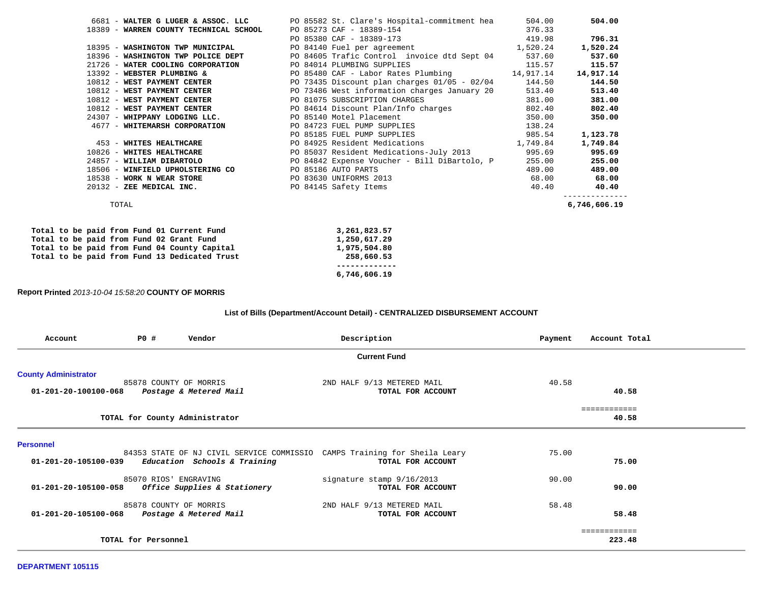|                                                      | 6681 - WALTER G LUGER & ASSOC. LLC PO 85582 St. Clare's Hospital-commitment hea         | 504.00       | 504.00   |
|------------------------------------------------------|-----------------------------------------------------------------------------------------|--------------|----------|
| 18389 - WARREN COUNTY TECHNICAL SCHOOL               |                                                                                         |              |          |
|                                                      | PO 85273 CAF - 18389-154<br>PO 85380 CAF - 18389-173 (1999) 1998 (1998)                 |              | 796.31   |
|                                                      | 1,520.24 18395 - WASHINGTON TWP MUNICIPAL PO 84140 Fuel per agreement 1,520.24          |              | 1,520.24 |
|                                                      | 18396 - WASHINGTON TWP POLICE DEPT PO 84605 Trafic Control invoice dtd Sept 04 537.60   |              | 537.60   |
| 21726 - WATER COOLING CORPORATION                    | PO 84014 PLUMBING SUPPLIES<br>115.57                                                    |              | 115.57   |
| 13392 - WEBSTER PLUMBING &                           | PO 85480 CAF - Labor Rates Plumbing 14,917.14                                           | 14,917.14    |          |
|                                                      | 10812 - WEST PAYMENT CENTER TERM PO 73435 Discount plan charges 01/05 - 02/04 144.50    |              | 144.50   |
|                                                      | 10812 - WEST PAYMENT CENTER THE RESOLUTION PO 73486 West information charges January 20 | 513.40       | 513.40   |
|                                                      | 10812 - WEST PAYMENT CENTER PO 81075 SUBSCRIPTION CHARGES                               | 381.00       | 381.00   |
|                                                      | 10812 - WEST PAYMENT CENTER PO 84614 Discount Plan/Info charges                         | 802.40       | 802.40   |
|                                                      | 24307 - WHIPPANY LODGING LLC. PO 85140 Motel Placement                                  | 350.00       | 350.00   |
|                                                      | 4677 - WHITEMARSH CORPORATION PO 84723 FUEL PUMP SUPPLIES 24                            |              |          |
|                                                      | PO 85185 FUEL PUMP SUPPLIES 985.54                                                      |              | 1,123.78 |
| 453 - WHITES HEALTHCARE                              | PO 84925 Resident Medications 1,749.84                                                  |              | 1,749.84 |
|                                                      | 10826 - WHITES HEALTHCARE PO 85037 Resident Medications-July 2013                       | 995.69       | 995.69   |
| 24857 - WILLIAM DIBARTOLO                            | PO 84842 Expense Voucher - Bill DiBartolo, P                                            | 255.00       | 255.00   |
| 18506 - WINFIELD UPHOLSTERING CO PO 85186 AUTO PARTS |                                                                                         | 489.00       | 489.00   |
| 18538 - WORK N WEAR STORE                            | PO 83630 UNIFORMS 2013                                                                  | 68.00        | 68.00    |
|                                                      | 20132 - ZEE MEDICAL INC. PO 84145 Safety Items                                          | 40.40 40.40  |          |
| TOTAL                                                |                                                                                         | 6,746,606.19 |          |
| Total to be paid from Fund 01 Current Fund           | 3,261,823.57                                                                            |              |          |
| Total to be paid from Fund 02 Grant Fund             | 1,250,617.29                                                                            |              |          |
| Total to be paid from Fund 04 County Capital         | 1,975,504.80                                                                            |              |          |
| Total to be paid from Fund 13 Dedicated Trust        | 258,660.53                                                                              |              |          |
|                                                      |                                                                                         |              |          |

 **6,746,606.19** 

**Report Printed** *2013-10-04 15:58:20* **COUNTY OF MORRIS**

## **List of Bills (Department/Account Detail) - CENTRALIZED DISBURSEMENT ACCOUNT**

| Account                                             | P0 #                           | Vendor                                                                    | Description                                          | Payment | Account Total          |  |
|-----------------------------------------------------|--------------------------------|---------------------------------------------------------------------------|------------------------------------------------------|---------|------------------------|--|
|                                                     |                                |                                                                           | <b>Current Fund</b>                                  |         |                        |  |
| <b>County Administrator</b><br>01-201-20-100100-068 | 85878 COUNTY OF MORRIS         | Postage & Metered Mail                                                    | 2ND HALF 9/13 METERED MAIL<br>TOTAL FOR ACCOUNT      | 40.58   | 40.58                  |  |
|                                                     | TOTAL for County Administrator |                                                                           |                                                      |         | ============<br>40.58  |  |
| <b>Personnel</b><br>01-201-20-105100-039            |                                | 84353 STATE OF NJ CIVIL SERVICE COMMISSIO<br>Education Schools & Training | CAMPS Training for Sheila Leary<br>TOTAL FOR ACCOUNT | 75.00   | 75.00                  |  |
| 01-201-20-105100-058                                | 85070 RIOS' ENGRAVING          | Office Supplies & Stationery                                              | signature stamp 9/16/2013<br>TOTAL FOR ACCOUNT       | 90.00   | 90.00                  |  |
| 01-201-20-105100-068                                | 85878 COUNTY OF MORRIS         | Postage & Metered Mail                                                    | 2ND HALF 9/13 METERED MAIL<br>TOTAL FOR ACCOUNT      | 58.48   | 58.48                  |  |
|                                                     | TOTAL for Personnel            |                                                                           |                                                      |         | ============<br>223.48 |  |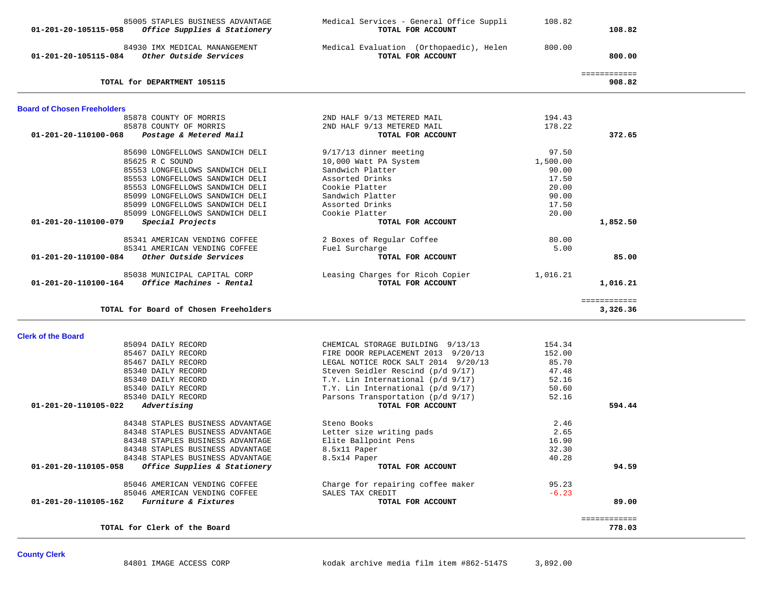| 85005 STAPLES BUSINESS ADVANTAGE<br><i>Office Supplies &amp; Stationery</i><br>01-201-20-105115-058 | Medical Services - General Office Suppli<br>TOTAL FOR ACCOUNT | 108.82   | 108.82                       |  |
|-----------------------------------------------------------------------------------------------------|---------------------------------------------------------------|----------|------------------------------|--|
| 84930 IMX MEDICAL MANANGEMENT<br>Other Outside Services<br>01-201-20-105115-084                     | Medical Evaluation (Orthopaedic), Helen<br>TOTAL FOR ACCOUNT  | 800.00   | 800.00                       |  |
| TOTAL for DEPARTMENT 105115                                                                         |                                                               |          | <b>EEEEEEEEEEE</b><br>908.82 |  |
| <b>Board of Chosen Freeholders</b>                                                                  |                                                               |          |                              |  |
| 85878 COUNTY OF MORRIS                                                                              | 2ND HALF 9/13 METERED MAIL                                    | 194.43   |                              |  |
| 85878 COUNTY OF MORRIS                                                                              | 2ND HALF 9/13 METERED MAIL                                    | 178.22   |                              |  |
| 01-201-20-110100-068<br>Postage & Metered Mail                                                      | TOTAL FOR ACCOUNT                                             |          | 372.65                       |  |
| 85690 LONGFELLOWS SANDWICH DELI                                                                     | $9/17/13$ dinner meeting                                      | 97.50    |                              |  |
| 85625 R C SOUND                                                                                     | 10,000 Watt PA System                                         | 1,500.00 |                              |  |
| 85553 LONGFELLOWS SANDWICH DELI                                                                     | Sandwich Platter                                              | 90.00    |                              |  |
| 85553 LONGFELLOWS SANDWICH DELI                                                                     | Assorted Drinks                                               | 17.50    |                              |  |
| 85553 LONGFELLOWS SANDWICH DELI                                                                     | Cookie Platter                                                | 20.00    |                              |  |
| 85099 LONGFELLOWS SANDWICH DELI                                                                     | Sandwich Platter                                              | 90.00    |                              |  |
| 85099 LONGFELLOWS SANDWICH DELI                                                                     | Assorted Drinks                                               | 17.50    |                              |  |
| 85099 LONGFELLOWS SANDWICH DELI                                                                     | Cookie Platter                                                | 20.00    |                              |  |
| Special Projects<br>01-201-20-110100-079                                                            | TOTAL FOR ACCOUNT                                             |          | 1,852.50                     |  |
|                                                                                                     |                                                               |          |                              |  |
| 85341 AMERICAN VENDING COFFEE                                                                       | 2 Boxes of Regular Coffee                                     | 80.00    |                              |  |
| 85341 AMERICAN VENDING COFFEE                                                                       | Fuel Surcharge                                                | 5.00     |                              |  |
| Other Outside Services<br>01-201-20-110100-084                                                      | TOTAL FOR ACCOUNT                                             |          | 85.00                        |  |
|                                                                                                     |                                                               |          |                              |  |
| 85038 MUNICIPAL CAPITAL CORP                                                                        | Leasing Charges for Ricoh Copier                              | 1,016.21 |                              |  |
| Office Machines - Rental<br>01-201-20-110100-164                                                    | TOTAL FOR ACCOUNT                                             |          | 1,016.21                     |  |
|                                                                                                     |                                                               |          | ============                 |  |
| TOTAL for Board of Chosen Freeholders                                                               |                                                               |          | 3,326.36                     |  |
| <b>Clerk of the Board</b>                                                                           |                                                               |          |                              |  |
| 85094 DAILY RECORD                                                                                  | CHEMICAL STORAGE BUILDING 9/13/13                             | 154.34   |                              |  |
| 85467 DAILY RECORD                                                                                  | FIRE DOOR REPLACEMENT 2013 9/20/13                            | 152.00   |                              |  |
| 85467 DAILY RECORD                                                                                  | LEGAL NOTICE ROCK SALT 2014 9/20/13                           | 85.70    |                              |  |
| 85340 DAILY RECORD                                                                                  | Steven Seidler Rescind (p/d 9/17)                             | 47.48    |                              |  |
| 85340 DAILY RECORD                                                                                  | T.Y. Lin International (p/d 9/17)                             | 52.16    |                              |  |
| 85340 DAILY RECORD                                                                                  | T.Y. Lin International (p/d 9/17)                             | 50.60    |                              |  |
| 85340 DAILY RECORD                                                                                  | Parsons Transportation (p/d 9/17)                             | 52.16    |                              |  |
| 01-201-20-110105-022<br>Advertising                                                                 | TOTAL FOR ACCOUNT                                             |          | 594.44                       |  |
|                                                                                                     |                                                               |          |                              |  |
| 84348 STAPLES BUSINESS ADVANTAGE                                                                    | Steno Books                                                   | 2.46     |                              |  |
| 84348 STAPLES BUSINESS ADVANTAGE                                                                    | Letter size writing pads                                      | 2.65     |                              |  |
| 84348 STAPLES BUSINESS ADVANTAGE                                                                    | Elite Ballpoint Pens                                          | 16.90    |                              |  |
| 84348 STAPLES BUSINESS ADVANTAGE                                                                    | 8.5x11 Paper                                                  | 32.30    |                              |  |
| 84348 STAPLES BUSINESS ADVANTAGE                                                                    | 8.5x14 Paper                                                  | 40.28    |                              |  |
| Office Supplies & Stationery<br>01-201-20-110105-058                                                | TOTAL FOR ACCOUNT                                             |          | 94.59                        |  |
|                                                                                                     |                                                               |          |                              |  |
| 85046 AMERICAN VENDING COFFEE                                                                       | Charge for repairing coffee maker                             | 95.23    |                              |  |
| 85046 AMERICAN VENDING COFFEE                                                                       |                                                               |          |                              |  |
| 01-201-20-110105-162<br>Furniture & Fixtures                                                        | SALES TAX CREDIT                                              | $-6.23$  |                              |  |
|                                                                                                     | TOTAL FOR ACCOUNT                                             |          | 89.00                        |  |
|                                                                                                     |                                                               |          |                              |  |
| TOTAL for Clerk of the Board                                                                        |                                                               |          | ============<br>778.03       |  |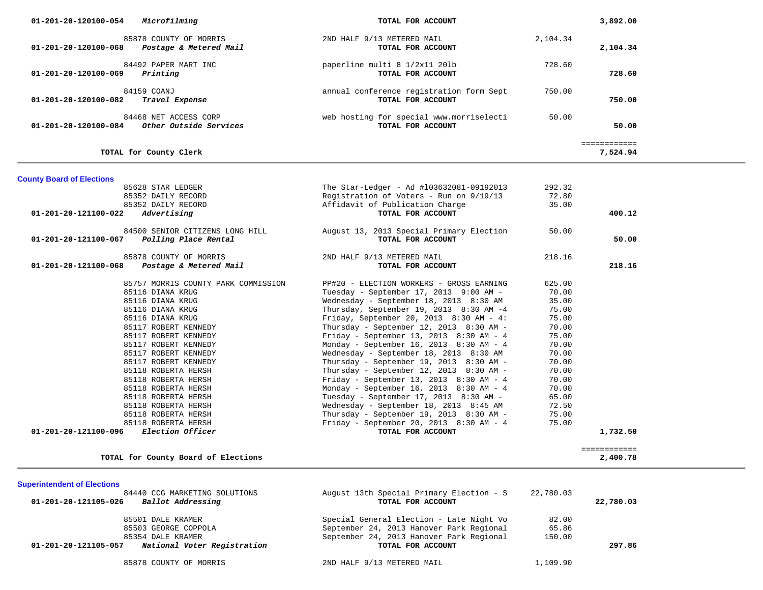| Microfilming<br>01-201-20-120100-054                                     | TOTAL FOR ACCOUNT                                             | 3,892.00                 |
|--------------------------------------------------------------------------|---------------------------------------------------------------|--------------------------|
| 85878 COUNTY OF MORRIS<br>01-201-20-120100-068<br>Postage & Metered Mail | 2ND HALF 9/13 METERED MAIL<br>TOTAL FOR ACCOUNT               | 2,104.34<br>2,104.34     |
| 84492 PAPER MART INC<br>01-201-20-120100-069<br>Printing                 | paperline multi 8 1/2x11 201b<br>TOTAL FOR ACCOUNT            | 728.60<br>728.60         |
| 84159 COANJ<br>01-201-20-120100-082<br>Travel Expense                    | annual conference registration form Sept<br>TOTAL FOR ACCOUNT | 750.00<br>750.00         |
| 84468 NET ACCESS CORP<br>01-201-20-120100-084<br>Other Outside Services  | web hosting for special www.morriselecti<br>TOTAL FOR ACCOUNT | 50.00<br>50.00           |
| TOTAL for County Clerk                                                   |                                                               | ============<br>7,524.94 |
| <b>County Board of Elections</b>                                         |                                                               |                          |
| 85628 STAR LEDGER                                                        | The Star-Ledger - Ad #103632081-09192013                      | 292.32                   |
| 85352 DAILY RECORD                                                       | Registration of Voters - Run on 9/19/13                       | 72.80                    |

| 00002 DAIDI RECURD                              |                                     |                                           | 74.00  |          |
|-------------------------------------------------|-------------------------------------|-------------------------------------------|--------|----------|
| 85352 DAILY RECORD                              |                                     | Affidavit of Publication Charge           | 35.00  |          |
| 01-201-20-121100-022<br>Advertising             |                                     | TOTAL FOR ACCOUNT                         |        | 400.12   |
|                                                 | 84500 SENIOR CITIZENS LONG HILL     | August 13, 2013 Special Primary Election  | 50.00  |          |
| 01-201-20-121100-067<br>Polling Place Rental    |                                     | TOTAL FOR ACCOUNT                         |        | 50.00    |
| 85878 COUNTY OF MORRIS                          |                                     | 2ND HALF 9/13 METERED MAIL                | 218.16 |          |
| 01-201-20-121100-068                            | Postage & Metered Mail              | TOTAL FOR ACCOUNT                         |        | 218.16   |
|                                                 | 85757 MORRIS COUNTY PARK COMMISSION | PP#20 - ELECTION WORKERS - GROSS EARNING  | 625.00 |          |
| 85116 DIANA KRUG                                |                                     | Tuesday - September 17, 2013 9:00 AM -    | 70.00  |          |
| 85116 DIANA KRUG                                |                                     | Wednesday - September 18, 2013 8:30 AM    | 35.00  |          |
| 85116 DIANA KRUG                                |                                     | Thursday, September 19, 2013 8:30 AM -4   | 75.00  |          |
| 85116 DIANA KRUG                                |                                     | Friday, September 20, 2013 $8:30$ AM - 4: | 75.00  |          |
| 85117 ROBERT KENNEDY                            |                                     | Thursday - September 12, 2013 $8:30$ AM - | 70.00  |          |
| 85117 ROBERT KENNEDY                            |                                     | Friday - September 13, 2013 8:30 AM - 4   | 75.00  |          |
| 85117 ROBERT KENNEDY                            |                                     | Monday - September 16, 2013 8:30 AM - 4   | 70.00  |          |
| 85117 ROBERT KENNEDY                            |                                     | Wednesday - September 18, 2013 8:30 AM    | 70.00  |          |
| 85117 ROBERT KENNEDY                            |                                     | Thursday - September 19, 2013 $8:30$ AM - | 70.00  |          |
| 85118 ROBERTA HERSH                             |                                     | Thursday - September 12, 2013 $8:30$ AM - | 70.00  |          |
| 85118 ROBERTA HERSH                             |                                     | Friday - September 13, 2013 $8:30$ AM - 4 | 70.00  |          |
| 85118 ROBERTA HERSH                             |                                     | Monday - September 16, 2013 $8:30$ AM - 4 | 70.00  |          |
| 85118 ROBERTA HERSH                             |                                     | Tuesday - September 17, 2013 8:30 AM -    | 65.00  |          |
| 85118 ROBERTA HERSH                             |                                     | Wednesday - September 18, 2013 8:45 AM    | 72.50  |          |
| 85118 ROBERTA HERSH                             |                                     | Thursday - September 19, 2013 8:30 AM -   | 75.00  |          |
| 85118 ROBERTA HERSH                             |                                     | Friday - September 20, 2013 8:30 AM - 4   | 75.00  |          |
| <i>Election Officer</i><br>01-201-20-121100-096 |                                     | TOTAL FOR ACCOUNT                         |        | 1,732.50 |
|                                                 |                                     |                                           |        |          |

**TOTAL for County Board of Elections 2,400.78**

**Superintendent of Elections**

| 84440 CCG MARKETING SOLUTIONS<br>Ballot Addressing<br>01-201-20-121105-026 |                             | August 13th Special Primary Election - S<br>22,780.03<br>TOTAL FOR ACCOUNT |        | 22,780.03 |  |
|----------------------------------------------------------------------------|-----------------------------|----------------------------------------------------------------------------|--------|-----------|--|
|                                                                            | 85501 DALE KRAMER           | Special General Election - Late Night Vo                                   | 82.00  |           |  |
|                                                                            | 85503 GEORGE COPPOLA        | September 24, 2013 Hanover Park Regional                                   | 65.86  |           |  |
|                                                                            | 85354 DALE KRAMER           | September 24, 2013 Hanover Park Regional                                   | 150.00 |           |  |
| 01-201-20-121105-057                                                       | National Voter Registration | TOTAL FOR ACCOUNT                                                          |        | 297.86    |  |
|                                                                            |                             |                                                                            |        |           |  |

============

85878 COUNTY OF MORRIS 2ND HALF 9/13 METERED MAIL 1,109.90

2,400.78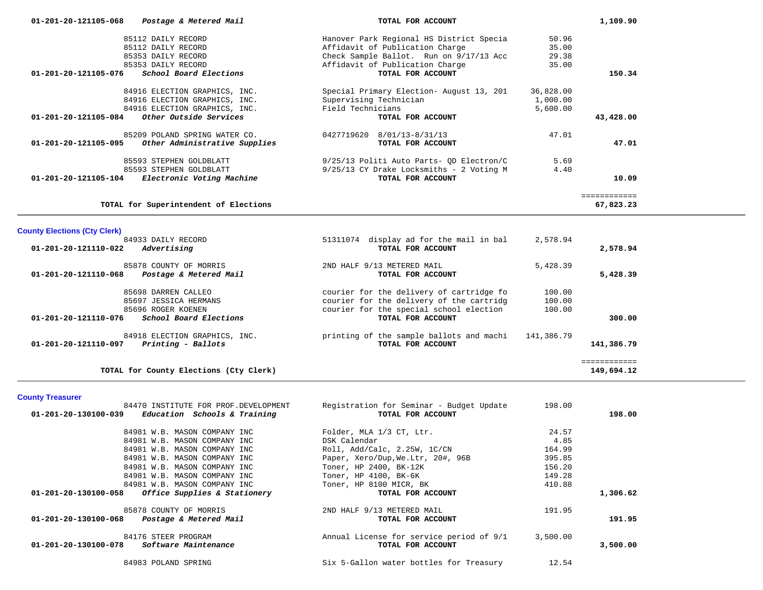| 01-201-20-121105-068<br>Postage & Metered Mail           |                               | TOTAL FOR ACCOUNT                        |           | 1,109.90     |  |
|----------------------------------------------------------|-------------------------------|------------------------------------------|-----------|--------------|--|
| 85112 DAILY RECORD                                       |                               | Hanover Park Regional HS District Specia | 50.96     |              |  |
| 85112 DAILY RECORD                                       |                               | Affidavit of Publication Charge          | 35.00     |              |  |
| 85353 DAILY RECORD                                       |                               | Check Sample Ballot. Run on 9/17/13 Acc  | 29.38     |              |  |
| 85353 DAILY RECORD                                       |                               | Affidavit of Publication Charge          | 35.00     |              |  |
| 01-201-20-121105-076<br>School Board Elections           |                               | TOTAL FOR ACCOUNT                        |           | 150.34       |  |
| 84916 ELECTION GRAPHICS, INC.                            |                               | Special Primary Election- August 13, 201 | 36,828.00 |              |  |
| 84916 ELECTION GRAPHICS, INC.                            |                               | Supervising Technician                   | 1,000.00  |              |  |
| 84916 ELECTION GRAPHICS, INC.                            |                               | Field Technicians                        | 5,600.00  |              |  |
| Other Outside Services<br>$01 - 201 - 20 - 121105 - 084$ |                               | TOTAL FOR ACCOUNT                        |           | 43,428.00    |  |
| 85209 POLAND SPRING WATER CO.                            |                               | 0427719620 8/01/13-8/31/13               | 47.01     |              |  |
| 01-201-20-121105-095                                     | Other Administrative Supplies | TOTAL FOR ACCOUNT                        |           | 47.01        |  |
| 85593 STEPHEN GOLDBLATT                                  |                               | 9/25/13 Politi Auto Parts- QD Electron/C | 5.69      |              |  |
| 85593 STEPHEN GOLDBLATT                                  |                               | 9/25/13 CY Drake Locksmiths - 2 Voting M | 4.40      |              |  |
| Electronic Voting Machine<br>01-201-20-121105-104        |                               | TOTAL FOR ACCOUNT                        |           | 10.09        |  |
|                                                          |                               |                                          |           | ============ |  |
| TOTAL for Superintendent of Elections                    |                               |                                          |           | 67,823.23    |  |
| <b>County Elections (Cty Clerk)</b>                      |                               |                                          |           |              |  |
| 84933 DAILY RECORD                                       |                               | 51311074 display ad for the mail in bal  | 2,578.94  |              |  |
| Advertising<br>01-201-20-121110-022                      |                               | TOTAL FOR ACCOUNT                        |           | 2,578.94     |  |
| 85878 COUNTY OF MORRIS                                   |                               | 2ND HALF 9/13 METERED MAIL               | 5,428.39  |              |  |
| 01-201-20-121110-068<br>Postage & Metered Mail           |                               | TOTAL FOR ACCOUNT                        |           | 5,428.39     |  |
| 85698 DARREN CALLEO                                      |                               | courier for the delivery of cartridge fo | 100.00    |              |  |
| 85697 JESSICA HERMANS                                    |                               | courier for the delivery of the cartridg | 100.00    |              |  |
| 85696 ROGER KOENEN                                       |                               | courier for the special school election  | 100.00    |              |  |
| School Board Elections<br>01-201-20-121110-076           |                               | TOTAL FOR ACCOUNT                        |           | 300.00       |  |
|                                                          |                               |                                          |           |              |  |

149,694.12

 84918 ELECTION GRAPHICS, INC. printing of the sample ballots and machi 141,386.79  **01-201-20-121110-097** *Printing - Ballots* **TOTAL FOR ACCOUNT 141,386.79**

**TOTAL for County Elections (Cty Clerk) 149,694.12**

**County Treasurer** 

| 84470 INSTITUTE FOR PROF.DEVELOPMENT                 | Registration for Seminar - Budget Update | 198.00   |          |
|------------------------------------------------------|------------------------------------------|----------|----------|
| Education Schools & Training<br>01-201-20-130100-039 | TOTAL FOR ACCOUNT                        |          | 198.00   |
| 84981 W.B. MASON COMPANY INC                         | Folder, MLA 1/3 CT, Ltr.                 | 24.57    |          |
| 84981 W.B. MASON COMPANY INC                         | DSK Calendar                             | 4.85     |          |
| 84981 W.B. MASON COMPANY INC                         | Roll, Add/Calc, 2.25W, 1C/CN             | 164.99   |          |
| 84981 W.B. MASON COMPANY INC                         | Paper, Xero/Dup, We.Ltr, 20#, 96B        | 395.85   |          |
| 84981 W.B. MASON COMPANY INC                         | Toner, HP 2400, BK-12K                   | 156.20   |          |
| 84981 W.B. MASON COMPANY INC                         | Toner, HP 4100, BK-6K                    | 149.28   |          |
| 84981 W.B. MASON COMPANY INC                         | Toner, HP 8100 MICR, BK                  | 410.88   |          |
| Office Supplies & Stationery<br>01-201-20-130100-058 | TOTAL FOR ACCOUNT                        |          | 1,306.62 |
| 85878 COUNTY OF MORRIS                               | 2ND HALF 9/13 METERED MAIL               | 191.95   |          |
| 01-201-20-130100-068<br>Postage & Metered Mail       | TOTAL FOR ACCOUNT                        |          | 191.95   |
| 84176 STEER PROGRAM                                  | Annual License for service period of 9/1 | 3,500.00 |          |
| 01-201-20-130100-078<br><i>Software Maintenance</i>  | TOTAL FOR ACCOUNT                        |          | 3,500.00 |
| 84983 POLAND SPRING                                  | Six 5-Gallon water bottles for Treasury  | 12.54    |          |

============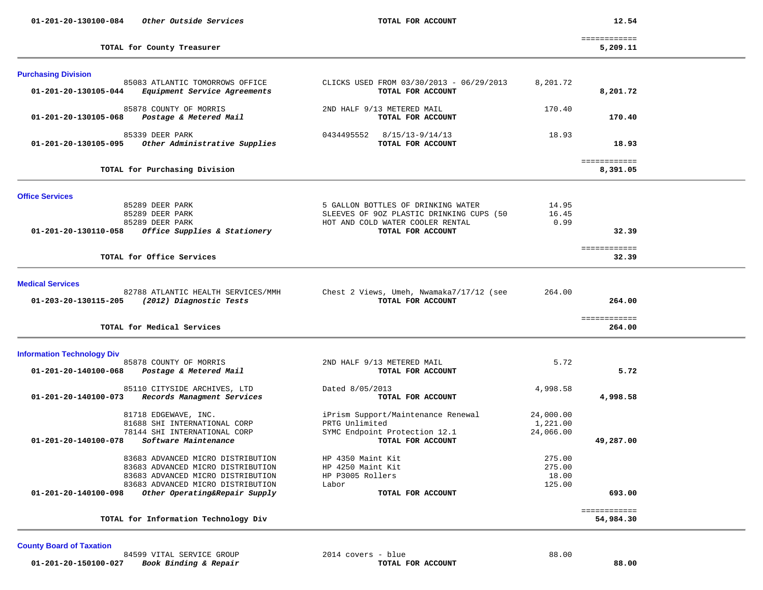| 01-201-20-130100-084<br>Other Outside Services                                                                                                                                                                                                                                                                                                    | TOTAL FOR ACCOUNT                                                                                                                                                                                      |                                                                           | 12.54                     |  |
|---------------------------------------------------------------------------------------------------------------------------------------------------------------------------------------------------------------------------------------------------------------------------------------------------------------------------------------------------|--------------------------------------------------------------------------------------------------------------------------------------------------------------------------------------------------------|---------------------------------------------------------------------------|---------------------------|--|
| TOTAL for County Treasurer                                                                                                                                                                                                                                                                                                                        |                                                                                                                                                                                                        |                                                                           | ============<br>5,209.11  |  |
| <b>Purchasing Division</b><br>85083 ATLANTIC TOMORROWS OFFICE<br>01-201-20-130105-044<br>Equipment Service Agreements                                                                                                                                                                                                                             | CLICKS USED FROM 03/30/2013 - 06/29/2013<br>TOTAL FOR ACCOUNT                                                                                                                                          | 8,201.72                                                                  | 8,201.72                  |  |
| 85878 COUNTY OF MORRIS<br>01-201-20-130105-068<br>Postage & Metered Mail                                                                                                                                                                                                                                                                          | 2ND HALF 9/13 METERED MAIL<br>TOTAL FOR ACCOUNT                                                                                                                                                        | 170.40                                                                    | 170.40                    |  |
| 85339 DEER PARK<br>Other Administrative Supplies<br>01-201-20-130105-095                                                                                                                                                                                                                                                                          | 0434495552<br>8/15/13-9/14/13<br>TOTAL FOR ACCOUNT                                                                                                                                                     | 18.93                                                                     | 18.93                     |  |
| TOTAL for Purchasing Division                                                                                                                                                                                                                                                                                                                     |                                                                                                                                                                                                        |                                                                           | ============<br>8,391.05  |  |
| <b>Office Services</b><br>85289 DEER PARK<br>85289 DEER PARK<br>85289 DEER PARK<br>Office Supplies & Stationery<br>01-201-20-130110-058                                                                                                                                                                                                           | 5 GALLON BOTTLES OF DRINKING WATER<br>SLEEVES OF 90Z PLASTIC DRINKING CUPS (50<br>HOT AND COLD WATER COOLER RENTAL<br>TOTAL FOR ACCOUNT                                                                | 14.95<br>16.45<br>0.99                                                    | 32.39<br>============     |  |
| TOTAL for Office Services                                                                                                                                                                                                                                                                                                                         |                                                                                                                                                                                                        |                                                                           | 32.39                     |  |
| <b>Medical Services</b><br>82788 ATLANTIC HEALTH SERVICES/MMH<br>01-203-20-130115-205<br>(2012) Diagnostic Tests                                                                                                                                                                                                                                  | Chest 2 Views, Umeh, Nwamaka7/17/12 (see<br>TOTAL FOR ACCOUNT                                                                                                                                          | 264.00                                                                    | 264.00                    |  |
| TOTAL for Medical Services                                                                                                                                                                                                                                                                                                                        |                                                                                                                                                                                                        |                                                                           | ============<br>264.00    |  |
| <b>Information Technology Div</b><br>85878 COUNTY OF MORRIS<br>Postage & Metered Mail<br>01-201-20-140100-068                                                                                                                                                                                                                                     | 2ND HALF 9/13 METERED MAIL<br>TOTAL FOR ACCOUNT                                                                                                                                                        | 5.72                                                                      | 5.72                      |  |
| 85110 CITYSIDE ARCHIVES, LTD<br>Records Managment Services<br>01-201-20-140100-073                                                                                                                                                                                                                                                                | Dated 8/05/2013<br>TOTAL FOR ACCOUNT                                                                                                                                                                   | 4,998.58                                                                  | 4,998.58                  |  |
| 81718 EDGEWAVE, INC.<br>81688 SHI INTERNATIONAL CORP<br>78144 SHI INTERNATIONAL CORP<br>01-201-20-140100-078<br>Software Maintenance<br>83683 ADVANCED MICRO DISTRIBUTION<br>83683 ADVANCED MICRO DISTRIBUTION<br>83683 ADVANCED MICRO DISTRIBUTION<br>83683 ADVANCED MICRO DISTRIBUTION<br>01-201-20-140100-098<br>Other Operating&Repair Supply | iPrism Support/Maintenance Renewal<br>PRTG Unlimited<br>SYMC Endpoint Protection 12.1<br>TOTAL FOR ACCOUNT<br>HP 4350 Maint Kit<br>HP 4250 Maint Kit<br>HP P3005 Rollers<br>Labor<br>TOTAL FOR ACCOUNT | 24,000.00<br>1,221.00<br>24,066.00<br>275.00<br>275.00<br>18.00<br>125.00 | 49,287.00<br>693.00       |  |
| TOTAL for Information Technology Div                                                                                                                                                                                                                                                                                                              |                                                                                                                                                                                                        |                                                                           | ============<br>54,984.30 |  |

## **County Board of Taxation**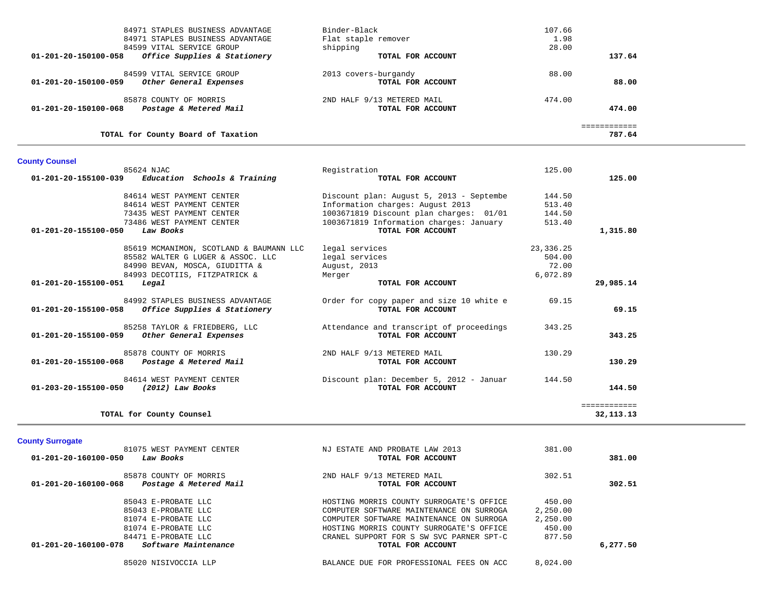| 84971 STAPLES BUSINESS ADVANTAGE                     | Binder-Black               | 107.66 |  |
|------------------------------------------------------|----------------------------|--------|--|
| 84971 STAPLES BUSINESS ADVANTAGE                     | Flat staple remover        | 1.98   |  |
| 84599 VITAL SERVICE GROUP                            | shipping                   | 28.00  |  |
| 01-201-20-150100-058<br>Office Supplies & Stationery | TOTAL FOR ACCOUNT          | 137.64 |  |
| 84599 VITAL SERVICE GROUP                            | 2013 covers-burgandy       | 88.00  |  |
| 01-201-20-150100-059<br>Other General Expenses       | TOTAL FOR ACCOUNT          | 88.00  |  |
| 85878 COUNTY OF MORRIS                               | 2ND HALF 9/13 METERED MAIL | 474.00 |  |
| 01-201-20-150100-068<br>Postage & Metered Mail       | TOTAL FOR ACCOUNT          | 474.00 |  |
|                                                      |                            |        |  |
| TOTAL for County Board of Taxation                   |                            | 787.64 |  |

# **County Counsel**

| Registration                                                                                                                                                                                                                                                                                                                                                                                                                                                                                                                                                                     | 125.00      |                             |
|----------------------------------------------------------------------------------------------------------------------------------------------------------------------------------------------------------------------------------------------------------------------------------------------------------------------------------------------------------------------------------------------------------------------------------------------------------------------------------------------------------------------------------------------------------------------------------|-------------|-----------------------------|
| TOTAL FOR ACCOUNT                                                                                                                                                                                                                                                                                                                                                                                                                                                                                                                                                                |             | 125.00                      |
| Discount plan: August 5, 2013 - Septembe                                                                                                                                                                                                                                                                                                                                                                                                                                                                                                                                         | 144.50      |                             |
| Information charges: August 2013                                                                                                                                                                                                                                                                                                                                                                                                                                                                                                                                                 | 513.40      |                             |
| 1003671819 Discount plan charges: 01/01                                                                                                                                                                                                                                                                                                                                                                                                                                                                                                                                          | 144.50      |                             |
| 1003671819 Information charges: January                                                                                                                                                                                                                                                                                                                                                                                                                                                                                                                                          | 513.40      |                             |
| TOTAL FOR ACCOUNT                                                                                                                                                                                                                                                                                                                                                                                                                                                                                                                                                                |             | 1,315.80                    |
| legal services                                                                                                                                                                                                                                                                                                                                                                                                                                                                                                                                                                   | 23, 336. 25 |                             |
| legal services                                                                                                                                                                                                                                                                                                                                                                                                                                                                                                                                                                   | 504.00      |                             |
| August, 2013                                                                                                                                                                                                                                                                                                                                                                                                                                                                                                                                                                     | 72.00       |                             |
| Merger                                                                                                                                                                                                                                                                                                                                                                                                                                                                                                                                                                           | 6,072.89    |                             |
| TOTAL FOR ACCOUNT                                                                                                                                                                                                                                                                                                                                                                                                                                                                                                                                                                |             | 29,985.14                   |
| Order for copy paper and size 10 white e<br>TOTAL FOR ACCOUNT                                                                                                                                                                                                                                                                                                                                                                                                                                                                                                                    | 69.15       | 69.15                       |
| Attendance and transcript of proceedings<br>TOTAL FOR ACCOUNT                                                                                                                                                                                                                                                                                                                                                                                                                                                                                                                    | 343.25      | 343.25                      |
| 2ND HALF 9/13 METERED MAIL<br>TOTAL FOR ACCOUNT                                                                                                                                                                                                                                                                                                                                                                                                                                                                                                                                  | 130.29      | 130.29                      |
| Discount plan: December 5, 2012 - Januar<br>TOTAL FOR ACCOUNT                                                                                                                                                                                                                                                                                                                                                                                                                                                                                                                    | 144.50      | 144.50                      |
|                                                                                                                                                                                                                                                                                                                                                                                                                                                                                                                                                                                  |             | ============<br>32, 113. 13 |
| Education Schools & Training<br>84614 WEST PAYMENT CENTER<br>84614 WEST PAYMENT CENTER<br>73435 WEST PAYMENT CENTER<br>73486 WEST PAYMENT CENTER<br>Law Books<br>85619 MCMANIMON, SCOTLAND & BAUMANN LLC<br>85582 WALTER G LUGER & ASSOC. LLC<br>84990 BEVAN, MOSCA, GIUDITTA &<br>84993 DECOTIIS, FITZPATRICK &<br>84992 STAPLES BUSINESS ADVANTAGE<br>Office Supplies & Stationery<br>85258 TAYLOR & FRIEDBERG, LLC<br>Other General Expenses<br>85878 COUNTY OF MORRIS<br>Postage & Metered Mail<br>84614 WEST PAYMENT CENTER<br>(2012) Law Books<br>TOTAL for County Counsel |             |                             |

# **County Surrogate**

| 81075 WEST PAYMENT CENTER                      | NJ ESTATE AND PROBATE LAW 2013           | 381.00   |          |
|------------------------------------------------|------------------------------------------|----------|----------|
| 01-201-20-160100-050<br>Law Books              | TOTAL FOR ACCOUNT                        |          | 381.00   |
| 85878 COUNTY OF MORRIS                         | 2ND HALF 9/13 METERED MAIL               | 302.51   |          |
| 01-201-20-160100-068<br>Postage & Metered Mail | TOTAL FOR ACCOUNT                        |          | 302.51   |
| 85043 E-PROBATE LLC                            | HOSTING MORRIS COUNTY SURROGATE'S OFFICE | 450.00   |          |
| 85043 E-PROBATE LLC                            | COMPUTER SOFTWARE MAINTENANCE ON SURROGA | 2,250.00 |          |
| 81074 E-PROBATE LLC                            | COMPUTER SOFTWARE MAINTENANCE ON SURROGA | 2,250.00 |          |
| 81074 E-PROBATE LLC                            | HOSTING MORRIS COUNTY SURROGATE'S OFFICE | 450.00   |          |
| 84471 E-PROBATE LLC                            | CRANEL SUPPORT FOR S SW SVC PARNER SPT-C | 877.50   |          |
| 01-201-20-160100-078<br>Software Maintenance   | TOTAL FOR ACCOUNT                        |          | 6,277.50 |
| 85020 NISIVOCCIA LLP                           | BALANCE DUE FOR PROFESSIONAL FEES ON ACC | 8,024.00 |          |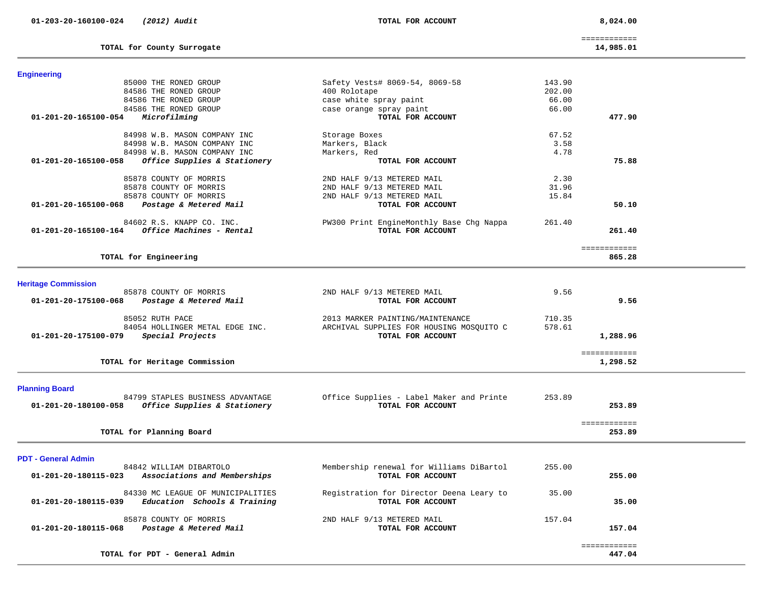**01-203-20-160100-024** *(2012) Audit* **TOTAL FOR ACCOUNT 8,024.00**

**TOTAL for County Surrogate 14,985.01**

============

14,985.01

| <b>Engineering</b>                                   |                                          |        |              |  |
|------------------------------------------------------|------------------------------------------|--------|--------------|--|
| 85000 THE RONED GROUP                                | Safety Vests# 8069-54, 8069-58           | 143.90 |              |  |
| 84586 THE RONED GROUP                                | 400 Rolotape                             | 202.00 |              |  |
| 84586 THE RONED GROUP                                | case white spray paint                   | 66.00  |              |  |
| 84586 THE RONED GROUP                                | case orange spray paint                  | 66.00  |              |  |
| 01-201-20-165100-054<br>Microfilming                 | TOTAL FOR ACCOUNT                        |        | 477.90       |  |
| 84998 W.B. MASON COMPANY INC                         | Storage Boxes                            | 67.52  |              |  |
| 84998 W.B. MASON COMPANY INC                         | Markers, Black                           | 3.58   |              |  |
| 84998 W.B. MASON COMPANY INC                         | Markers, Red                             | 4.78   |              |  |
| 01-201-20-165100-058<br>Office Supplies & Stationery | TOTAL FOR ACCOUNT                        |        | 75.88        |  |
|                                                      |                                          |        |              |  |
| 85878 COUNTY OF MORRIS                               | 2ND HALF 9/13 METERED MAIL               | 2.30   |              |  |
| 85878 COUNTY OF MORRIS                               | 2ND HALF 9/13 METERED MAIL               | 31.96  |              |  |
| 85878 COUNTY OF MORRIS                               | 2ND HALF 9/13 METERED MAIL               | 15.84  | 50.10        |  |
| Postage & Metered Mail<br>01-201-20-165100-068       | TOTAL FOR ACCOUNT                        |        |              |  |
| 84602 R.S. KNAPP CO. INC.                            | PW300 Print EngineMonthly Base Chg Nappa | 261.40 |              |  |
| Office Machines - Rental<br>01-201-20-165100-164     | TOTAL FOR ACCOUNT                        |        | 261.40       |  |
|                                                      |                                          |        |              |  |
|                                                      |                                          |        | ============ |  |
| TOTAL for Engineering                                |                                          |        | 865.28       |  |
|                                                      |                                          |        |              |  |
| <b>Heritage Commission</b>                           |                                          |        |              |  |
| 85878 COUNTY OF MORRIS                               | 2ND HALF 9/13 METERED MAIL               | 9.56   |              |  |
| 01-201-20-175100-068<br>Postage & Metered Mail       | TOTAL FOR ACCOUNT                        |        | 9.56         |  |
| 85052 RUTH PACE                                      | 2013 MARKER PAINTING/MAINTENANCE         | 710.35 |              |  |
| 84054 HOLLINGER METAL EDGE INC.                      | ARCHIVAL SUPPLIES FOR HOUSING MOSQUITO C | 578.61 |              |  |
| Special Projects<br>01-201-20-175100-079             | TOTAL FOR ACCOUNT                        |        | 1,288.96     |  |
|                                                      |                                          |        |              |  |
|                                                      |                                          |        | ============ |  |
| TOTAL for Heritage Commission                        |                                          |        | 1,298.52     |  |
|                                                      |                                          |        |              |  |
| <b>Planning Board</b>                                |                                          |        |              |  |
| 84799 STAPLES BUSINESS ADVANTAGE                     | Office Supplies - Label Maker and Printe | 253.89 |              |  |
| Office Supplies & Stationery<br>01-201-20-180100-058 | TOTAL FOR ACCOUNT                        |        | 253.89       |  |
|                                                      |                                          |        | ============ |  |
| TOTAL for Planning Board                             |                                          |        | 253.89       |  |
|                                                      |                                          |        |              |  |
| <b>PDT - General Admin</b>                           |                                          |        |              |  |
| 84842 WILLIAM DIBARTOLO                              | Membership renewal for Williams DiBartol | 255.00 |              |  |
| 01-201-20-180115-023<br>Associations and Memberships | TOTAL FOR ACCOUNT                        |        | 255.00       |  |
|                                                      |                                          |        |              |  |
| 84330 MC LEAGUE OF MUNICIPALITIES                    | Registration for Director Deena Leary to | 35.00  |              |  |
| 01-201-20-180115-039<br>Education Schools & Training | TOTAL FOR ACCOUNT                        |        | 35.00        |  |
| 85878 COUNTY OF MORRIS                               | 2ND HALF 9/13 METERED MAIL               | 157.04 |              |  |
| 01-201-20-180115-068<br>Postage & Metered Mail       | TOTAL FOR ACCOUNT                        |        | 157.04       |  |
|                                                      |                                          |        |              |  |
|                                                      |                                          |        | ============ |  |
| TOTAL for PDT - General Admin                        |                                          |        | 447.04       |  |
|                                                      |                                          |        |              |  |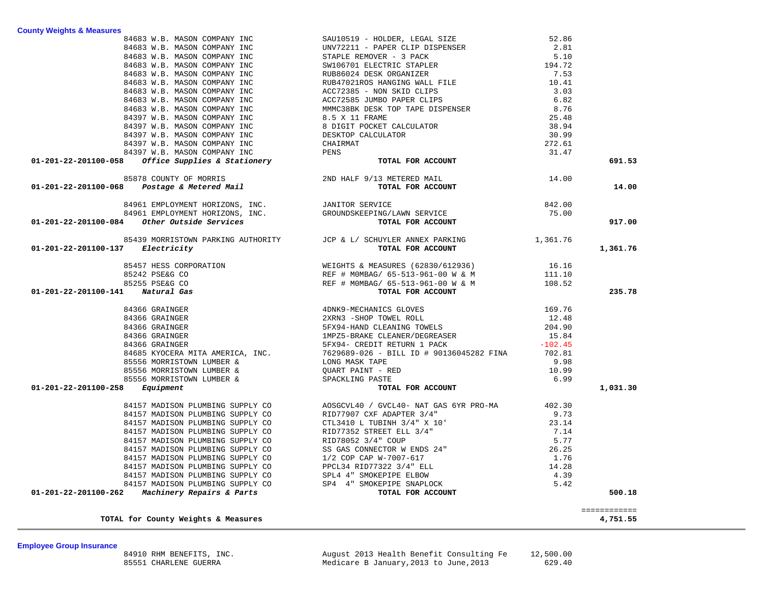84910 RHM BENEFITS, INC. August 2013 Health Benefit Consulting Fe 12,500.00 Medicare B January,2013 to June,2013

# **Employee Group Insurance**

| 84683 W.B. MASON COMPANY INC SAULDEDR, LEGAL SIZE CLEP ISPENSER<br>84683 W.B. MASON COMPANY INC STAPLE REMOVER - 3 PACK 5.10<br>84683 W.B. MASON COMPANY INC STAPLE REMOVER - 3 PACK 5.10<br>84683 W.B. MASON COMPANY INC SWILG ECC                                                                                                                                                         |                                                                                                            | 691.53       |
|---------------------------------------------------------------------------------------------------------------------------------------------------------------------------------------------------------------------------------------------------------------------------------------------------------------------------------------------------------------------------------------------|------------------------------------------------------------------------------------------------------------|--------------|
|                                                                                                                                                                                                                                                                                                                                                                                             |                                                                                                            |              |
|                                                                                                                                                                                                                                                                                                                                                                                             |                                                                                                            | 14.00        |
|                                                                                                                                                                                                                                                                                                                                                                                             |                                                                                                            |              |
|                                                                                                                                                                                                                                                                                                                                                                                             |                                                                                                            |              |
|                                                                                                                                                                                                                                                                                                                                                                                             |                                                                                                            |              |
| $\begin{array}{cccc} & 85878 \text{ COUNTY OF MORRIS} & & 2ND \text{ HALF } 9/13 \text{ METERED MAIL} & & 14.00\\ \text{TOTAL FOR ACCOUNT} & & & 14.00\\ & & 84961 \text{ EMPLOYMENT HORIZONS, INC.} & & \text{JANTOR SERVICE} & & 842.00\\ & & 84961 \text{ EMPLOYMENT HORISONS, INC.} & & \text{GROUNDSKEEPING/LANN SERVICE} & & 842.00\\ 01-201-22-201100-084 & & 000000000000000000000$ |                                                                                                            | 917.00       |
|                                                                                                                                                                                                                                                                                                                                                                                             |                                                                                                            |              |
| $01 - 201 - 22 - 201100 - 137$ Electricity                                                                                                                                                                                                                                                                                                                                                  | 85439 MORRISTOWN PARKING AUTHORITY JCP & L/ SCHUYLER ANNEX PARKING 1,361.76<br><b>Electricity</b> 1,361.76 | 1,361.76     |
|                                                                                                                                                                                                                                                                                                                                                                                             |                                                                                                            |              |
|                                                                                                                                                                                                                                                                                                                                                                                             |                                                                                                            |              |
|                                                                                                                                                                                                                                                                                                                                                                                             |                                                                                                            |              |
|                                                                                                                                                                                                                                                                                                                                                                                             |                                                                                                            | 235.78       |
|                                                                                                                                                                                                                                                                                                                                                                                             |                                                                                                            |              |
|                                                                                                                                                                                                                                                                                                                                                                                             |                                                                                                            |              |
|                                                                                                                                                                                                                                                                                                                                                                                             |                                                                                                            |              |
|                                                                                                                                                                                                                                                                                                                                                                                             |                                                                                                            |              |
|                                                                                                                                                                                                                                                                                                                                                                                             |                                                                                                            |              |
|                                                                                                                                                                                                                                                                                                                                                                                             |                                                                                                            |              |
|                                                                                                                                                                                                                                                                                                                                                                                             |                                                                                                            |              |
|                                                                                                                                                                                                                                                                                                                                                                                             |                                                                                                            |              |
|                                                                                                                                                                                                                                                                                                                                                                                             |                                                                                                            |              |
|                                                                                                                                                                                                                                                                                                                                                                                             |                                                                                                            |              |
|                                                                                                                                                                                                                                                                                                                                                                                             |                                                                                                            | 1,031.30     |
| 01-201-22-201100-137 <i>Electricity</i> FORM POR ACCODIT<br>81-201-22-201100-137 <i>Electricity</i> Sexus (1820)<br>81-22-201100-146 SS242 PERGE CODEOR<br>81-22-201100-146 SS242 PERGE CODEOR<br>81-201-22-201100-146 SS242 PERGE CODE REF # N                                                                                                                                             |                                                                                                            |              |
|                                                                                                                                                                                                                                                                                                                                                                                             |                                                                                                            |              |
|                                                                                                                                                                                                                                                                                                                                                                                             |                                                                                                            |              |
|                                                                                                                                                                                                                                                                                                                                                                                             |                                                                                                            |              |
|                                                                                                                                                                                                                                                                                                                                                                                             |                                                                                                            |              |
|                                                                                                                                                                                                                                                                                                                                                                                             |                                                                                                            |              |
|                                                                                                                                                                                                                                                                                                                                                                                             |                                                                                                            |              |
|                                                                                                                                                                                                                                                                                                                                                                                             |                                                                                                            |              |
|                                                                                                                                                                                                                                                                                                                                                                                             |                                                                                                            |              |
|                                                                                                                                                                                                                                                                                                                                                                                             |                                                                                                            |              |
|                                                                                                                                                                                                                                                                                                                                                                                             |                                                                                                            | 500.18       |
|                                                                                                                                                                                                                                                                                                                                                                                             |                                                                                                            |              |
|                                                                                                                                                                                                                                                                                                                                                                                             |                                                                                                            | ============ |
|                                                                                                                                                                                                                                                                                                                                                                                             |                                                                                                            | 4,751.55     |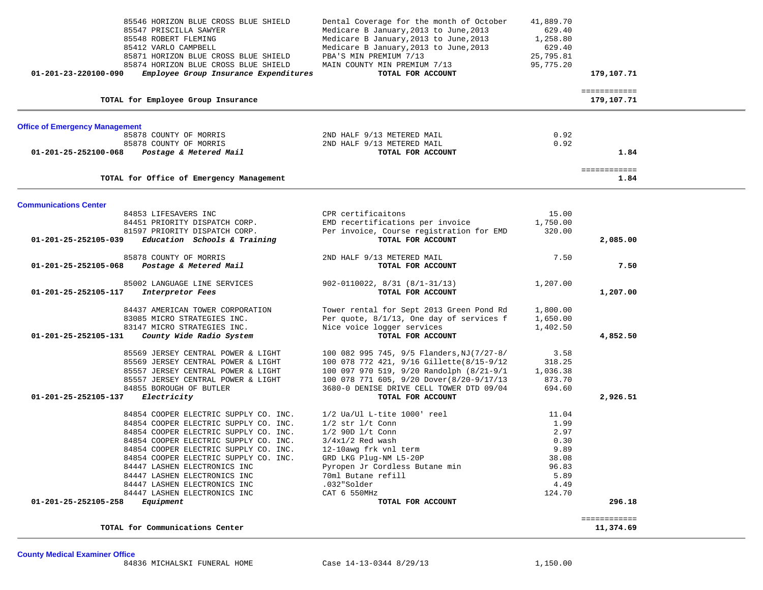| 01-201-23-220100-090                  | 85546 HORIZON BLUE CROSS BLUE SHIELD<br>85547 PRISCILLA SAWYER<br>85548 ROBERT FLEMING<br>85412 VARLO CAMPBELL<br>85871 HORIZON BLUE CROSS BLUE SHIELD<br>85874 HORIZON BLUE CROSS BLUE SHIELD<br>Employee Group Insurance Expenditures | Dental Coverage for the month of October<br>Medicare B January, 2013 to June, 2013<br>Medicare B January, 2013 to June, 2013<br>Medicare B January, 2013 to June, 2013<br>PBA'S MIN PREMIUM 7/13<br>MAIN COUNTY MIN PREMIUM 7/13<br>TOTAL FOR ACCOUNT | 41,889.70<br>629.40<br>1,258.80<br>629.40<br>25,795.81<br>95,775.20 | 179,107.71           |  |
|---------------------------------------|-----------------------------------------------------------------------------------------------------------------------------------------------------------------------------------------------------------------------------------------|-------------------------------------------------------------------------------------------------------------------------------------------------------------------------------------------------------------------------------------------------------|---------------------------------------------------------------------|----------------------|--|
|                                       |                                                                                                                                                                                                                                         |                                                                                                                                                                                                                                                       |                                                                     | ============         |  |
|                                       | TOTAL for Employee Group Insurance                                                                                                                                                                                                      |                                                                                                                                                                                                                                                       |                                                                     | 179,107.71           |  |
| <b>Office of Emergency Management</b> |                                                                                                                                                                                                                                         |                                                                                                                                                                                                                                                       |                                                                     |                      |  |
|                                       | 85878 COUNTY OF MORRIS                                                                                                                                                                                                                  | 2ND HALF 9/13 METERED MAIL                                                                                                                                                                                                                            | 0.92                                                                |                      |  |
|                                       | 85878 COUNTY OF MORRIS                                                                                                                                                                                                                  | 2ND HALF 9/13 METERED MAIL                                                                                                                                                                                                                            | 0.92                                                                |                      |  |
| 01-201-25-252100-068                  | Postage & Metered Mail                                                                                                                                                                                                                  | TOTAL FOR ACCOUNT                                                                                                                                                                                                                                     |                                                                     | 1.84                 |  |
|                                       | TOTAL for Office of Emergency Management                                                                                                                                                                                                |                                                                                                                                                                                                                                                       |                                                                     | ============<br>1.84 |  |
|                                       |                                                                                                                                                                                                                                         |                                                                                                                                                                                                                                                       |                                                                     |                      |  |
| <b>Communications Center</b>          | 84853 LIFESAVERS INC                                                                                                                                                                                                                    | CPR certificaitons                                                                                                                                                                                                                                    | 15.00                                                               |                      |  |
|                                       | 84451 PRIORITY DISPATCH CORP.                                                                                                                                                                                                           | EMD recertifications per invoice                                                                                                                                                                                                                      | 1,750.00                                                            |                      |  |
|                                       | 81597 PRIORITY DISPATCH CORP.                                                                                                                                                                                                           | Per invoice, Course registration for EMD                                                                                                                                                                                                              | 320.00                                                              |                      |  |
| 01-201-25-252105-039                  | Education Schools & Training                                                                                                                                                                                                            | TOTAL FOR ACCOUNT                                                                                                                                                                                                                                     |                                                                     | 2,085.00             |  |
|                                       | 85878 COUNTY OF MORRIS                                                                                                                                                                                                                  | 2ND HALF 9/13 METERED MAIL                                                                                                                                                                                                                            | 7.50                                                                |                      |  |
| 01-201-25-252105-068                  | Postage & Metered Mail                                                                                                                                                                                                                  | TOTAL FOR ACCOUNT                                                                                                                                                                                                                                     |                                                                     | 7.50                 |  |
|                                       | 85002 LANGUAGE LINE SERVICES                                                                                                                                                                                                            | $902 - 0110022, 8/31 (8/1-31/13)$                                                                                                                                                                                                                     | 1,207.00                                                            |                      |  |
| 01-201-25-252105-117                  | Interpretor Fees                                                                                                                                                                                                                        | TOTAL FOR ACCOUNT                                                                                                                                                                                                                                     |                                                                     | 1,207.00             |  |
|                                       | 84437 AMERICAN TOWER CORPORATION                                                                                                                                                                                                        | Tower rental for Sept 2013 Green Pond Rd                                                                                                                                                                                                              | 1,800.00                                                            |                      |  |
|                                       | 83085 MICRO STRATEGIES INC.                                                                                                                                                                                                             | Per quote, 8/1/13, One day of services f                                                                                                                                                                                                              | 1,650.00                                                            |                      |  |
|                                       | 83147 MICRO STRATEGIES INC.                                                                                                                                                                                                             | Nice voice logger services                                                                                                                                                                                                                            | 1,402.50                                                            |                      |  |
| 01-201-25-252105-131                  | County Wide Radio System                                                                                                                                                                                                                | TOTAL FOR ACCOUNT                                                                                                                                                                                                                                     |                                                                     | 4,852.50             |  |
|                                       | 85569 JERSEY CENTRAL POWER & LIGHT                                                                                                                                                                                                      | 100 082 995 745, 9/5 Flanders, NJ (7/27-8/                                                                                                                                                                                                            | 3.58                                                                |                      |  |
|                                       | 85569 JERSEY CENTRAL POWER & LIGHT                                                                                                                                                                                                      | 100 078 772 421, 9/16 Gillette(8/15-9/12                                                                                                                                                                                                              | 318.25                                                              |                      |  |
|                                       | 85557 JERSEY CENTRAL POWER & LIGHT                                                                                                                                                                                                      | 100 097 970 519, 9/20 Randolph (8/21-9/1                                                                                                                                                                                                              | 1,036.38                                                            |                      |  |
|                                       | 85557 JERSEY CENTRAL POWER & LIGHT                                                                                                                                                                                                      | 100 078 771 605, 9/20 Dover(8/20-9/17/13                                                                                                                                                                                                              | 873.70                                                              |                      |  |
|                                       | 84855 BOROUGH OF BUTLER                                                                                                                                                                                                                 | 3680-0 DENISE DRIVE CELL TOWER DTD 09/04                                                                                                                                                                                                              | 694.60                                                              |                      |  |
| 01-201-25-252105-137                  | Electricity                                                                                                                                                                                                                             | TOTAL FOR ACCOUNT                                                                                                                                                                                                                                     |                                                                     | 2,926.51             |  |
|                                       | 84854 COOPER ELECTRIC SUPPLY CO. INC.                                                                                                                                                                                                   | $1/2$ Ua/Ul L-tite $1000'$ reel                                                                                                                                                                                                                       | 11.04                                                               |                      |  |
|                                       | 84854 COOPER ELECTRIC SUPPLY CO. INC.                                                                                                                                                                                                   | $1/2$ str $1/t$ Conn                                                                                                                                                                                                                                  | 1.99                                                                |                      |  |
|                                       | 84854 COOPER ELECTRIC SUPPLY CO. INC.                                                                                                                                                                                                   | $1/2$ 90D $1/t$ Conn                                                                                                                                                                                                                                  | 2.97                                                                |                      |  |
|                                       | 84854 COOPER ELECTRIC SUPPLY CO. INC.                                                                                                                                                                                                   | $3/4x1/2$ Red wash                                                                                                                                                                                                                                    | 0.30                                                                |                      |  |
|                                       | 84854 COOPER ELECTRIC SUPPLY CO. INC.                                                                                                                                                                                                   | 12-10awg frk vnl term                                                                                                                                                                                                                                 | 9.89                                                                |                      |  |
|                                       | 84854 COOPER ELECTRIC SUPPLY CO. INC.                                                                                                                                                                                                   | GRD LKG Plug-NM L5-20P                                                                                                                                                                                                                                | 38.08                                                               |                      |  |
|                                       | 84447 LASHEN ELECTRONICS INC                                                                                                                                                                                                            | Pyropen Jr Cordless Butane min                                                                                                                                                                                                                        | 96.83                                                               |                      |  |
|                                       | 84447 LASHEN ELECTRONICS INC                                                                                                                                                                                                            | 70ml Butane refill                                                                                                                                                                                                                                    | 5.89                                                                |                      |  |
|                                       | 84447 LASHEN ELECTRONICS INC                                                                                                                                                                                                            | .032"Solder                                                                                                                                                                                                                                           | 4.49                                                                |                      |  |
|                                       | 84447 LASHEN ELECTRONICS INC                                                                                                                                                                                                            | CAT 6 550MHz                                                                                                                                                                                                                                          | 124.70                                                              |                      |  |
| 01-201-25-252105-258                  | Equipment                                                                                                                                                                                                                               | TOTAL FOR ACCOUNT                                                                                                                                                                                                                                     |                                                                     | 296.18               |  |
|                                       |                                                                                                                                                                                                                                         |                                                                                                                                                                                                                                                       |                                                                     | ============         |  |
|                                       | TOTAL for Communications Center                                                                                                                                                                                                         |                                                                                                                                                                                                                                                       |                                                                     | 11,374.69            |  |

**County Medical Examiner Office**

84836 MICHALSKI FUNERAL HOME Case 14-13-0344 8/29/13 1,150.00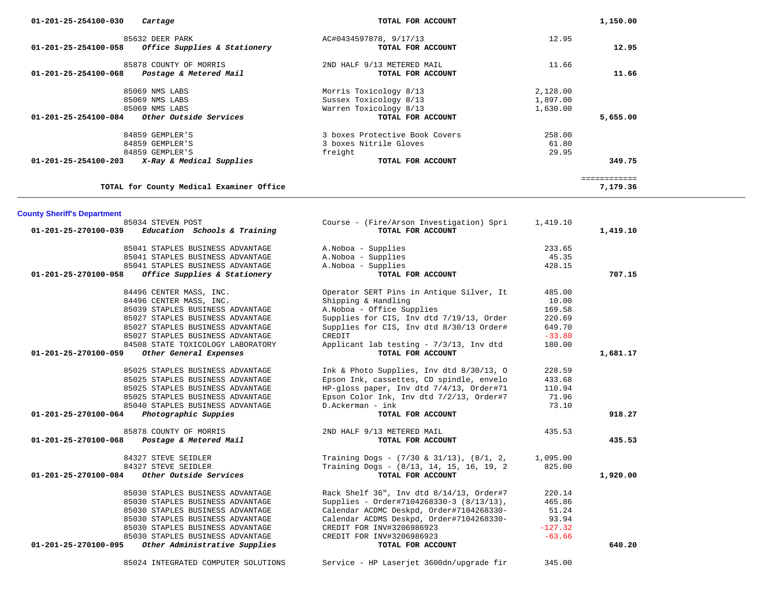| 85632 DEER PARK                                       | AC#0434597878, 9/17/13                         | 12.95     |              |
|-------------------------------------------------------|------------------------------------------------|-----------|--------------|
| Office Supplies & Stationery<br>01-201-25-254100-058  | TOTAL FOR ACCOUNT                              |           | 12.95        |
|                                                       |                                                |           |              |
| 85878 COUNTY OF MORRIS                                | 2ND HALF 9/13 METERED MAIL                     | 11.66     |              |
| 01-201-25-254100-068<br>Postage & Metered Mail        | TOTAL FOR ACCOUNT                              |           | 11.66        |
|                                                       |                                                |           |              |
| 85069 NMS LABS                                        | Morris Toxicology 8/13                         | 2,128.00  |              |
| 85069 NMS LABS                                        | Sussex Toxicology 8/13                         | 1,897.00  |              |
| 85069 NMS LABS                                        | Warren Toxicology 8/13                         | 1,630.00  |              |
| Other Outside Services<br>01-201-25-254100-084        | TOTAL FOR ACCOUNT                              |           | 5,655.00     |
|                                                       |                                                |           |              |
| 84859 GEMPLER'S                                       | 3 boxes Protective Book Covers                 | 258.00    |              |
| 84859 GEMPLER'S                                       | 3 boxes Nitrile Gloves                         | 61.80     |              |
| 84859 GEMPLER'S                                       | freight                                        | 29.95     |              |
| X-Ray & Medical Supplies<br>01-201-25-254100-203      | TOTAL FOR ACCOUNT                              |           | 349.75       |
|                                                       |                                                |           |              |
|                                                       |                                                |           | ============ |
| TOTAL for County Medical Examiner Office              |                                                |           | 7,179.36     |
|                                                       |                                                |           |              |
|                                                       |                                                |           |              |
| <b>County Sheriff's Department</b>                    |                                                |           |              |
| 85034 STEVEN POST                                     | Course - (Fire/Arson Investigation) Spri       | 1,419.10  |              |
| 01-201-25-270100-039<br>Education Schools & Training  | TOTAL FOR ACCOUNT                              |           | 1,419.10     |
|                                                       |                                                |           |              |
| 85041 STAPLES BUSINESS ADVANTAGE                      | A.Noboa - Supplies                             | 233.65    |              |
| 85041 STAPLES BUSINESS ADVANTAGE                      | A.Noboa - Supplies                             | 45.35     |              |
| 85041 STAPLES BUSINESS ADVANTAGE                      | A.Noboa - Supplies                             | 428.15    |              |
| Office Supplies & Stationery<br>01-201-25-270100-058  | TOTAL FOR ACCOUNT                              |           | 707.15       |
|                                                       |                                                |           |              |
| 84496 CENTER MASS, INC.                               | Operator SERT Pins in Antique Silver, It       | 485.00    |              |
| 84496 CENTER MASS, INC.                               | Shipping & Handling                            | 10.00     |              |
| 85039 STAPLES BUSINESS ADVANTAGE                      | A. Noboa - Office Supplies                     | 169.58    |              |
|                                                       |                                                |           |              |
| 85027 STAPLES BUSINESS ADVANTAGE                      | Supplies for CIS, Inv dtd 7/19/13, Order       | 220.69    |              |
| 85027 STAPLES BUSINESS ADVANTAGE                      | Supplies for CIS, Inv dtd 8/30/13 Order#       | 649.70    |              |
| 85027 STAPLES BUSINESS ADVANTAGE                      | CREDIT                                         | $-33.80$  |              |
| 84508 STATE TOXICOLOGY LABORATORY                     | Applicant lab testing - 7/3/13, Inv dtd        | 180.00    |              |
| Other General Expenses<br>01-201-25-270100-059        | TOTAL FOR ACCOUNT                              |           | 1,681.17     |
|                                                       |                                                |           |              |
| 85025 STAPLES BUSINESS ADVANTAGE                      | Ink & Photo Supplies, Inv dtd $8/30/13$ , O    | 228.59    |              |
| 85025 STAPLES BUSINESS ADVANTAGE                      | Epson Ink, cassettes, CD spindle, envelo       | 433.68    |              |
| 85025 STAPLES BUSINESS ADVANTAGE                      | HP-gloss paper, Inv dtd 7/4/13, Order#71       | 110.94    |              |
| 85025 STAPLES BUSINESS ADVANTAGE                      | Epson Color Ink, Inv dtd 7/2/13, Order#7       | 71.96     |              |
| 85040 STAPLES BUSINESS ADVANTAGE                      | D.Ackerman - ink                               | 73.10     |              |
| 01-201-25-270100-064<br>Photographic Suppies          | TOTAL FOR ACCOUNT                              |           | 918.27       |
|                                                       |                                                |           |              |
| 85878 COUNTY OF MORRIS                                | 2ND HALF 9/13 METERED MAIL                     | 435.53    |              |
| Postage & Metered Mail<br>01-201-25-270100-068        | TOTAL FOR ACCOUNT                              |           | 435.53       |
|                                                       |                                                |           |              |
| 84327 STEVE SEIDLER                                   | Training Dogs - $(7/30 \& 31/13)$ , $(8/1, 2,$ | 1,095.00  |              |
| 84327 STEVE SEIDLER                                   | Training Dogs - (8/13, 14, 15, 16, 19, 2       | 825.00    |              |
| Other Outside Services<br>01-201-25-270100-084        | TOTAL FOR ACCOUNT                              |           | 1,920.00     |
|                                                       |                                                |           |              |
| 85030 STAPLES BUSINESS ADVANTAGE                      | Rack Shelf 36", Inv dtd 8/14/13, Order#7       | 220.14    |              |
| 85030 STAPLES BUSINESS ADVANTAGE                      | Supplies - Order#7104268330-3 (8/13/13),       | 465.86    |              |
| 85030 STAPLES BUSINESS ADVANTAGE                      | Calendar ACDMC Deskpd, Order#7104268330-       | 51.24     |              |
| 85030 STAPLES BUSINESS ADVANTAGE                      | Calendar ACDMS Deskpd, Order#7104268330-       | 93.94     |              |
| 85030 STAPLES BUSINESS ADVANTAGE                      | CREDIT FOR INV#3206986923                      | $-127.32$ |              |
| 85030 STAPLES BUSINESS ADVANTAGE                      | CREDIT FOR INV#3206986923                      | $-63.66$  |              |
| Other Administrative Supplies<br>01-201-25-270100-095 | TOTAL FOR ACCOUNT                              |           | 640.20       |
|                                                       |                                                |           |              |
| 85024 INTEGRATED COMPUTER SOLUTIONS                   |                                                |           |              |
|                                                       | Service - HP Laserjet 3600dn/upgrade fir       | 345.00    |              |

 **01-201-25-254100-030** *Cartage* **TOTAL FOR ACCOUNT 1,150.00**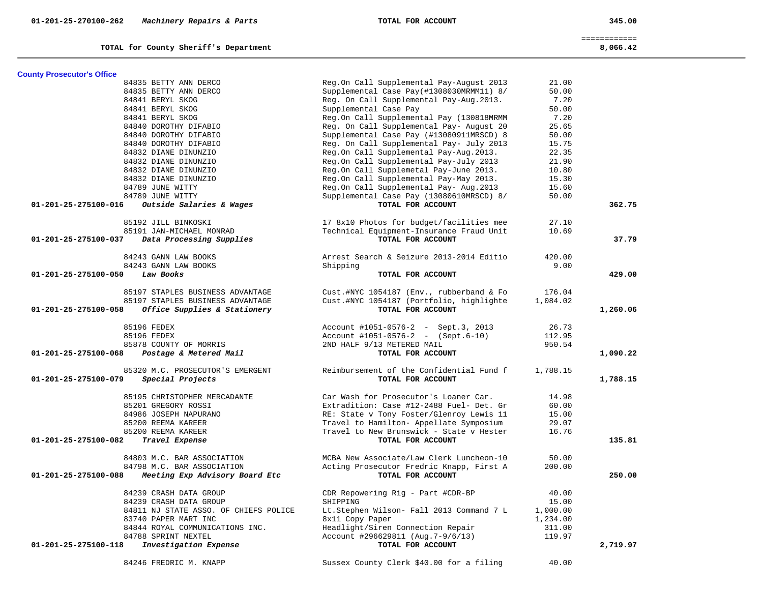TOTAL for County Sheriff's Department

 ============ 8,066.42

| <b>County Prosecutor's Office</b> |                                                  |                                                               |          |          |
|-----------------------------------|--------------------------------------------------|---------------------------------------------------------------|----------|----------|
|                                   | 84835 BETTY ANN DERCO                            | Reg.On Call Supplemental Pay-August 2013                      | 21.00    |          |
|                                   | 84835 BETTY ANN DERCO                            | Supplemental Case Pay(#1308030MRMM11) 8/                      | 50.00    |          |
|                                   | 84841 BERYL SKOG                                 | Reg. On Call Supplemental Pay-Aug. 2013.                      | 7.20     |          |
|                                   | 84841 BERYL SKOG                                 | Supplemental Case Pay                                         | 50.00    |          |
|                                   | 84841 BERYL SKOG                                 | Reg.On Call Supplemental Pay (130818MRMM                      | 7.20     |          |
|                                   | 84840 DOROTHY DIFABIO                            | Reg. On Call Supplemental Pay- August 20                      | 25.65    |          |
|                                   | 84840 DOROTHY DIFABIO                            | Supplemental Case Pay (#13080911MRSCD) 8                      | 50.00    |          |
|                                   | 84840 DOROTHY DIFABIO                            | Reg. On Call Supplemental Pay- July 2013                      | 15.75    |          |
|                                   | 84832 DIANE DINUNZIO                             | Reg.On Call Supplemental Pay-Aug.2013.                        | 22.35    |          |
|                                   | 84832 DIANE DINUNZIO                             | Reg.On Call Supplemental Pay-July 2013                        | 21.90    |          |
|                                   | 84832 DIANE DINUNZIO                             | Reg.On Call Supplemetal Pay-June 2013.                        | 10.80    |          |
|                                   | 84832 DIANE DINUNZIO                             | Reg.On Call Supplemental Pay-May 2013.                        | 15.30    |          |
|                                   | 84789 JUNE WITTY                                 | Reg.On Call Supplemental Pay- Aug. 2013                       | 15.60    |          |
|                                   | 84789 JUNE WITTY                                 | Supplemental Case Pay (13080610MRSCD) 8/                      | 50.00    |          |
| 01-201-25-275100-016              | Outside Salaries & Wages                         | TOTAL FOR ACCOUNT                                             |          | 362.75   |
|                                   |                                                  |                                                               |          |          |
|                                   | 85192 JILL BINKOSKI                              | 17 8x10 Photos for budget/facilities mee                      | 27.10    |          |
|                                   | 85191 JAN-MICHAEL MONRAD                         | Technical Equipment-Insurance Fraud Unit                      | 10.69    |          |
| 01-201-25-275100-037              | Data Processing Supplies                         | TOTAL FOR ACCOUNT                                             |          | 37.79    |
|                                   | 84243 GANN LAW BOOKS                             | Arrest Search & Seizure 2013-2014 Editio                      | 420.00   |          |
|                                   | 84243 GANN LAW BOOKS                             | Shipping                                                      | 9.00     |          |
| 01-201-25-275100-050              | Law Books                                        | TOTAL FOR ACCOUNT                                             |          | 429.00   |
|                                   |                                                  |                                                               |          |          |
|                                   | 85197 STAPLES BUSINESS ADVANTAGE                 | Cust.#NYC 1054187 (Env., rubberband & Fo                      | 176.04   |          |
|                                   | 85197 STAPLES BUSINESS ADVANTAGE                 | Cust.#NYC 1054187 (Portfolio, highlighte                      | 1,084.02 |          |
| 01-201-25-275100-058              | Office Supplies & Stationery                     | TOTAL FOR ACCOUNT                                             |          | 1,260.06 |
|                                   | 85196 FEDEX                                      | Account #1051-0576-2 - Sept.3, 2013                           | 26.73    |          |
|                                   | 85196 FEDEX                                      |                                                               | 112.95   |          |
|                                   |                                                  | Account #1051-0576-2 - (Sept.6-10)                            | 950.54   |          |
| 01-201-25-275100-068              | 85878 COUNTY OF MORRIS<br>Postage & Metered Mail | 2ND HALF 9/13 METERED MAIL<br>TOTAL FOR ACCOUNT               |          | 1,090.22 |
|                                   |                                                  |                                                               |          |          |
|                                   | 85320 M.C. PROSECUTOR'S EMERGENT                 | Reimbursement of the Confidential Fund f                      | 1,788.15 |          |
| 01-201-25-275100-079              | Special Projects                                 | TOTAL FOR ACCOUNT                                             |          | 1,788.15 |
|                                   |                                                  |                                                               |          |          |
|                                   | 85195 CHRISTOPHER MERCADANTE                     | Car Wash for Prosecutor's Loaner Car.                         | 14.98    |          |
|                                   | 85201 GREGORY ROSSI                              | Extradition: Case #12-2488 Fuel- Det. Gr                      | 60.00    |          |
|                                   | 84986 JOSEPH NAPURANO                            | RE: State v Tony Foster/Glenroy Lewis 11                      | 15.00    |          |
|                                   | 85200 REEMA KAREER                               | Travel to Hamilton- Appellate Symposium                       | 29.07    |          |
|                                   | 85200 REEMA KAREER                               | Travel to New Brunswick - State v Hester                      | 16.76    |          |
| 01-201-25-275100-082              | Travel Expense                                   | TOTAL FOR ACCOUNT                                             |          | 135.81   |
|                                   | 84803 M.C. BAR ASSOCIATION                       | MCBA New Associate/Law Clerk Luncheon-10                      | 50.00    |          |
|                                   |                                                  |                                                               |          |          |
| 01-201-25-275100-088              | 84798 M.C. BAR ASSOCIATION                       | Acting Prosecutor Fredric Knapp, First A<br>TOTAL FOR ACCOUNT | 200.00   | 250.00   |
|                                   | Meeting Exp Advisory Board Etc                   |                                                               |          |          |
|                                   | 84239 CRASH DATA GROUP                           | CDR Repowering Rig - Part #CDR-BP                             | 40.00    |          |
|                                   | 84239 CRASH DATA GROUP                           | SHIPPING                                                      | 15.00    |          |
|                                   | 84811 NJ STATE ASSO. OF CHIEFS POLICE            | Lt.Stephen Wilson- Fall 2013 Command 7 L                      | 1,000.00 |          |
|                                   | 83740 PAPER MART INC                             | 8x11 Copy Paper                                               | 1,234.00 |          |
|                                   | 84844 ROYAL COMMUNICATIONS INC.                  | Headlight/Siren Connection Repair                             | 311.00   |          |
|                                   | 84788 SPRINT NEXTEL                              | Account #296629811 (Aug. 7-9/6/13)                            | 119.97   |          |
| 01-201-25-275100-118              | Investigation Expense                            | TOTAL FOR ACCOUNT                                             |          | 2,719.97 |
|                                   |                                                  |                                                               |          |          |
|                                   | 84246 FREDRIC M. KNAPP                           | Sussex County Clerk \$40.00 for a filing                      | 40.00    |          |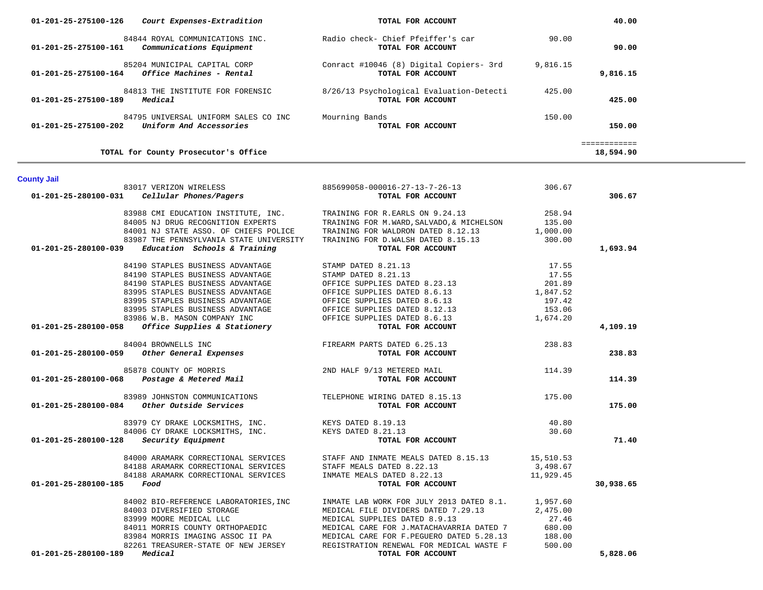| 01-201-25-275100-202 | Uniform And Accessories                                      | TOTAL FOR ACCOUNT                                 |           | 150.00                    |
|----------------------|--------------------------------------------------------------|---------------------------------------------------|-----------|---------------------------|
|                      | TOTAL for County Prosecutor's Office                         |                                                   |           | ============<br>18,594.90 |
| <b>County Jail</b>   |                                                              |                                                   |           |                           |
|                      | 83017 VERIZON WIRELESS                                       | 885699058-000016-27-13-7-26-13                    | 306.67    |                           |
| 01-201-25-280100-031 | Cellular Phones/Pagers                                       | TOTAL FOR ACCOUNT                                 |           | 306.67                    |
|                      | 83988 CMI EDUCATION INSTITUTE, INC.                          | TRAINING FOR R.EARLS ON 9.24.13                   | 258.94    |                           |
|                      | 84005 NJ DRUG RECOGNITION EXPERTS                            | TRAINING FOR M.WARD, SALVADO, & MICHELSON         | 135.00    |                           |
|                      | 84001 NJ STATE ASSO. OF CHIEFS POLICE                        | TRAINING FOR WALDRON DATED 8.12.13                | 1,000.00  |                           |
|                      | 83987 THE PENNSYLVANIA STATE UNIVERSITY                      | TRAINING FOR D.WALSH DATED 8.15.13                | 300.00    |                           |
| 01-201-25-280100-039 | Education Schools & Training                                 | TOTAL FOR ACCOUNT                                 |           | 1,693.94                  |
|                      | 84190 STAPLES BUSINESS ADVANTAGE                             | STAMP DATED 8.21.13                               | 17.55     |                           |
|                      | 84190 STAPLES BUSINESS ADVANTAGE                             | STAMP DATED 8.21.13                               | 17.55     |                           |
|                      | 84190 STAPLES BUSINESS ADVANTAGE                             | OFFICE SUPPLIES DATED 8.23.13                     | 201.89    |                           |
|                      | 83995 STAPLES BUSINESS ADVANTAGE                             | OFFICE SUPPLIES DATED 8.6.13                      | 1,847.52  |                           |
|                      | 83995 STAPLES BUSINESS ADVANTAGE                             | OFFICE SUPPLIES DATED 8.6.13                      | 197.42    |                           |
|                      | 83995 STAPLES BUSINESS ADVANTAGE                             | OFFICE SUPPLIES DATED 8.12.13                     | 153.06    |                           |
|                      | 83986 W.B. MASON COMPANY INC                                 | OFFICE SUPPLIES DATED 8.6.13                      | 1,674.20  |                           |
| 01-201-25-280100-058 | Office Supplies & Stationery                                 | TOTAL FOR ACCOUNT                                 |           | 4,109.19                  |
|                      | 84004 BROWNELLS INC                                          | FIREARM PARTS DATED 6.25.13                       | 238.83    |                           |
| 01-201-25-280100-059 | Other General Expenses                                       | TOTAL FOR ACCOUNT                                 |           | 238.83                    |
|                      | 85878 COUNTY OF MORRIS                                       | 2ND HALF 9/13 METERED MAIL                        | 114.39    |                           |
| 01-201-25-280100-068 | Postage & Metered Mail                                       | TOTAL FOR ACCOUNT                                 |           | 114.39                    |
|                      | 83989 JOHNSTON COMMUNICATIONS TELEPHONE WIRING DATED 8.15.13 |                                                   | 175.00    |                           |
| 01-201-25-280100-084 | Other Outside Services                                       | TOTAL FOR ACCOUNT                                 |           | 175.00                    |
|                      | 83979 CY DRAKE LOCKSMITHS, INC. KEYS DATED 8.19.13           |                                                   | 40.80     |                           |
|                      | 84006 CY DRAKE LOCKSMITHS, INC. KEYS DATED 8.21.13           |                                                   | 30.60     |                           |
| 01-201-25-280100-128 | Security Equipment                                           | TOTAL FOR ACCOUNT                                 |           | 71.40                     |
|                      | 84000 ARAMARK CORRECTIONAL SERVICES                          | STAFF AND INMATE MEALS DATED 8.15.13              | 15,510.53 |                           |
|                      | 84188 ARAMARK CORRECTIONAL SERVICES                          | STAFF MEALS DATED 8.22.13                         | 3,498.67  |                           |
|                      | 84188 ARAMARK CORRECTIONAL SERVICES                          | INMATE MEALS DATED 8.22.13                        | 11,929.45 |                           |
| 01-201-25-280100-185 | Food                                                         | TOTAL FOR ACCOUNT                                 |           | 30,938.65                 |
|                      | 84002 BIO-REFERENCE LABORATORIES, INC                        | INMATE LAB WORK FOR JULY 2013 DATED 8.1. 1,957.60 |           |                           |
|                      | 84003 DIVERSIFIED STORAGE                                    | MEDICAL FILE DIVIDERS DATED 7.29.13               | 2,475.00  |                           |
|                      | 83999 MOORE MEDICAL LLC                                      | MEDICAL SUPPLIES DATED 8.9.13                     | 27.46     |                           |
|                      | 84011 MORRIS COUNTY ORTHOPAEDIC                              | MEDICAL CARE FOR J.MATACHAVARRIA DATED 7          | 680.00    |                           |
|                      | 83984 MORRIS IMAGING ASSOC II PA                             | MEDICAL CARE FOR F.PEGUERO DATED 5.28.13          | 188.00    |                           |
|                      | 82261 TREASURER-STATE OF NEW JERSEY                          | REGISTRATION RENEWAL FOR MEDICAL WASTE F          | 500.00    |                           |
| 01-201-25-280100-189 | Medical                                                      | TOTAL FOR ACCOUNT                                 |           | 5,828.06                  |

| 01-201-25-275100-126 | Court Expenses-Extradition                                      | TOTAL FOR ACCOUNT                                             |          | 40.00    |  |
|----------------------|-----------------------------------------------------------------|---------------------------------------------------------------|----------|----------|--|
| 01-201-25-275100-161 | 84844 ROYAL COMMUNICATIONS INC.<br>Communications Equipment     | Radio check- Chief Pfeiffer's car<br>TOTAL FOR ACCOUNT        | 90.00    | 90.00    |  |
| 01-201-25-275100-164 | 85204 MUNICIPAL CAPITAL CORP<br>Office Machines - Rental        | Conract #10046 (8) Digital Copiers- 3rd<br>TOTAL FOR ACCOUNT  | 9,816.15 | 9,816.15 |  |
| 01-201-25-275100-189 | 84813 THE INSTITUTE FOR FORENSIC<br>Medical                     | 8/26/13 Psychological Evaluation-Detecti<br>TOTAL FOR ACCOUNT | 425.00   | 425.00   |  |
| 01-201-25-275100-202 | 84795 UNIVERSAL UNIFORM SALES CO INC<br>Uniform And Accessories | Mourning Bands<br>TOTAL FOR ACCOUNT                           | 150.00   | 150.00   |  |
|                      |                                                                 |                                                               |          |          |  |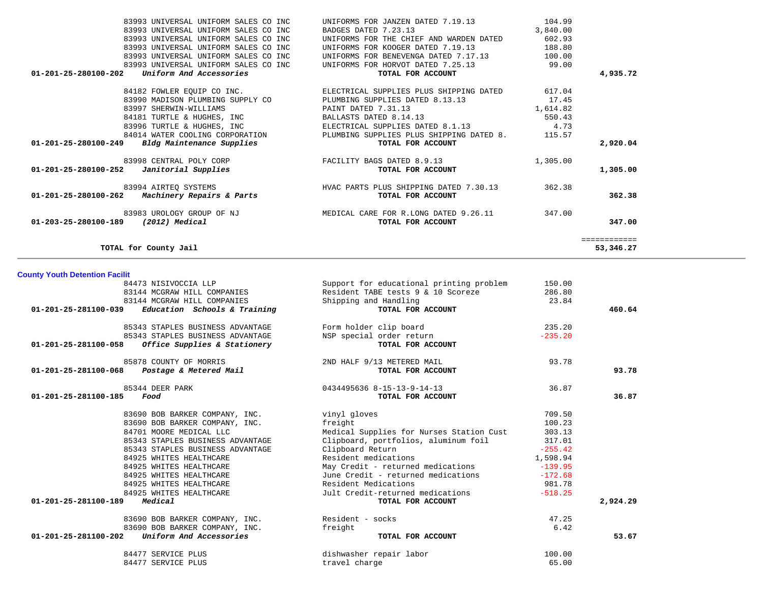| 83993 UNIVERSAL UNIFORM SALES CO INC                        | UNIFORMS FOR JANZEN DATED 7.19.13               | 104.99   |              |
|-------------------------------------------------------------|-------------------------------------------------|----------|--------------|
| 83993 UNIVERSAL UNIFORM SALES CO INC                        | BADGES DATED 7.23.13                            | 3,840.00 |              |
| 83993 UNIVERSAL UNIFORM SALES CO INC                        | UNIFORMS FOR THE CHIEF AND WARDEN DATED         | 602.93   |              |
| 83993 UNIVERSAL UNIFORM SALES CO INC                        | UNIFORMS FOR KOOGER DATED 7.19.13               | 188.80   |              |
| 83993 UNIVERSAL UNIFORM SALES CO INC                        | UNIFORMS FOR BENEVENGA DATED 7.17.13            | 100.00   |              |
| 83993 UNIVERSAL UNIFORM SALES CO INC                        | UNIFORMS FOR HORVOT DATED 7.25.13               | 99.00    |              |
| $01 - 201 - 25 - 280100 - 202$<br>Uniform And Accessories   | TOTAL FOR ACCOUNT                               |          | 4,935.72     |
| 84182 FOWLER EQUIP CO INC.                                  | ELECTRICAL SUPPLIES PLUS SHIPPING DATED         | 617.04   |              |
| 83990 MADISON PLUMBING SUPPLY CO                            | PLUMBING SUPPLIES DATED 8.13.13                 | 17.45    |              |
| 83997 SHERWIN-WILLIAMS                                      | PAINT DATED 7.31.13                             | 1,614.82 |              |
| 84181 TURTLE & HUGHES, INC                                  | BALLASTS DATED 8.14.13                          | 550.43   |              |
| 83996 TURTLE & HUGHES, INC                                  | ELECTRICAL SUPPLIES DATED 8.1.13                | 4.73     |              |
| 84014 WATER COOLING CORPORATION                             | PLUMBING SUPPLIES PLUS SHIPPING DATED 8. 115.57 |          |              |
| $01 - 201 - 25 - 280100 - 249$<br>Bldg Maintenance Supplies | TOTAL FOR ACCOUNT                               |          | 2,920.04     |
| 83998 CENTRAL POLY CORP                                     | FACILITY BAGS DATED 8.9.13                      | 1,305.00 |              |
| Janitorial Supplies<br>$01 - 201 - 25 - 280100 - 252$       | TOTAL FOR ACCOUNT                               |          | 1,305.00     |
| 83994 AIRTEQ SYSTEMS                                        | HVAC PARTS PLUS SHIPPING DATED 7.30.13          | 362.38   |              |
| Machinery Repairs & Parts<br>01-201-25-280100-262           | TOTAL FOR ACCOUNT                               |          | 362.38       |
| 83983 UROLOGY GROUP OF NJ                                   | MEDICAL CARE FOR R.LONG DATED 9.26.11           | 347.00   |              |
| 01-203-25-280100-189<br>(2012) Medical                      | TOTAL FOR ACCOUNT                               |          | 347.00       |
|                                                             |                                                 |          | ============ |
| TOTAL for County Jail                                       |                                                 |          | 53,346.27    |

## **County Youth Detention Facilit**

| 84473 NISIVOCCIA LLP                                 | Support for educational printing problem | 150.00    |          |
|------------------------------------------------------|------------------------------------------|-----------|----------|
| 83144 MCGRAW HILL COMPANIES                          | Resident TABE tests 9 & 10 Scoreze       | 286.80    |          |
| 83144 MCGRAW HILL COMPANIES                          | Shipping and Handling                    | 23.84     |          |
| Education Schools & Training<br>01-201-25-281100-039 | TOTAL FOR ACCOUNT                        |           | 460.64   |
| 85343 STAPLES BUSINESS ADVANTAGE                     | Form holder clip board                   | 235.20    |          |
| 85343 STAPLES BUSINESS ADVANTAGE                     | NSP special order return                 | $-235.20$ |          |
| Office Supplies & Stationery<br>01-201-25-281100-058 | TOTAL FOR ACCOUNT                        |           |          |
| 85878 COUNTY OF MORRIS                               | 2ND HALF 9/13 METERED MAIL               | 93.78     |          |
| Postage & Metered Mail<br>01-201-25-281100-068       | TOTAL FOR ACCOUNT                        |           | 93.78    |
| 85344 DEER PARK                                      | 0434495636 8-15-13-9-14-13               | 36.87     |          |
| 01-201-25-281100-185<br>Food                         | TOTAL FOR ACCOUNT                        |           | 36.87    |
| 83690 BOB BARKER COMPANY, INC.                       | vinyl gloves                             | 709.50    |          |
| 83690 BOB BARKER COMPANY, INC.                       | freight                                  | 100.23    |          |
| 84701 MOORE MEDICAL LLC                              | Medical Supplies for Nurses Station Cust | 303.13    |          |
| 85343 STAPLES BUSINESS ADVANTAGE                     | Clipboard, portfolios, aluminum foil     | 317.01    |          |
| 85343 STAPLES BUSINESS ADVANTAGE                     | Clipboard Return                         | $-255.42$ |          |
| 84925 WHITES HEALTHCARE                              | Resident medications                     | 1,598.94  |          |
| 84925 WHITES HEALTHCARE                              | May Credit - returned medications        | $-139.95$ |          |
| 84925 WHITES HEALTHCARE                              | June Credit - returned medications       | $-172.68$ |          |
| 84925 WHITES HEALTHCARE                              | Resident Medications                     | 981.78    |          |
| 84925 WHITES HEALTHCARE                              | Jult Credit-returned medications         | $-518.25$ |          |
| Medical<br>01-201-25-281100-189                      | TOTAL FOR ACCOUNT                        |           | 2,924.29 |
| 83690 BOB BARKER COMPANY, INC.                       | Resident - socks                         | 47.25     |          |
| 83690 BOB BARKER COMPANY, INC.                       | freight                                  | 6.42      |          |
| Uniform And Accessories<br>01-201-25-281100-202      | TOTAL FOR ACCOUNT                        |           | 53.67    |
| 84477 SERVICE PLUS                                   | dishwasher repair labor                  | 100.00    |          |
| 84477 SERVICE PLUS                                   | travel charge                            | 65.00     |          |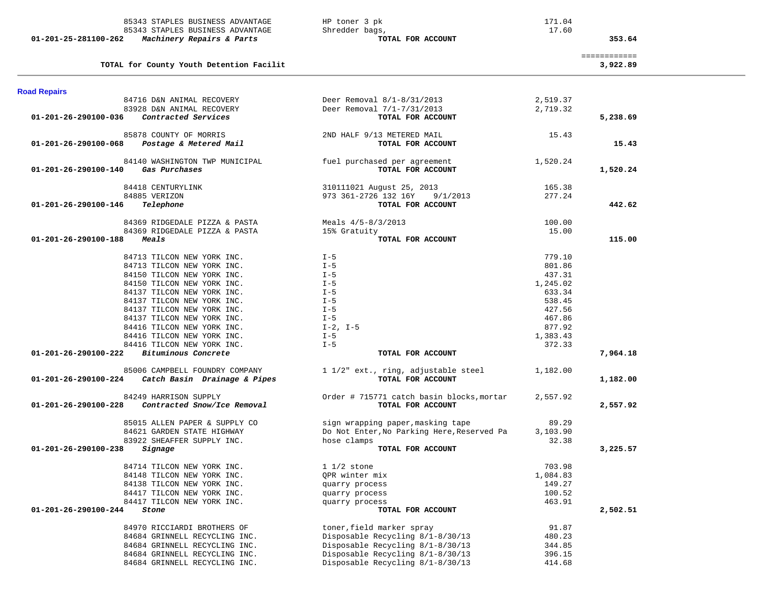| 85343 STAPLES BUSINESS ADVANTAGE                                                       | HP toner 3 pk                                            | 171.04   |                          |  |
|----------------------------------------------------------------------------------------|----------------------------------------------------------|----------|--------------------------|--|
| 85343 STAPLES BUSINESS ADVANTAGE                                                       | Shredder bags,                                           | 17.60    |                          |  |
| 01-201-25-281100-262<br>Machinery Repairs & Parts                                      | TOTAL FOR ACCOUNT                                        |          | 353.64                   |  |
| TOTAL for County Youth Detention Facilit                                               |                                                          |          | ============<br>3,922.89 |  |
| <b>Road Repairs</b>                                                                    |                                                          |          |                          |  |
| 84716 D&N ANIMAL RECOVERY                                                              | Deer Removal 8/1-8/31/2013                               | 2,519.37 |                          |  |
| 83928 D&N ANIMAL RECOVERY                                                              | Deer Removal 7/1-7/31/2013                               | 2,719.32 |                          |  |
| Contracted Services<br>01-201-26-290100-036                                            | TOTAL FOR ACCOUNT                                        |          | 5,238.69                 |  |
| 85878 COUNTY OF MORRIS                                                                 | 2ND HALF 9/13 METERED MAIL                               | 15.43    |                          |  |
| Postage & Metered Mail<br>01-201-26-290100-068                                         | TOTAL FOR ACCOUNT                                        |          | 15.43                    |  |
| 84140 WASHINGTON TWP MUNICIPAL                                                         | fuel purchased per agreement                             | 1,520.24 |                          |  |
| Gas Purchases<br>01-201-26-290100-140                                                  | TOTAL FOR ACCOUNT                                        |          | 1,520.24                 |  |
| 84418 CENTURYLINK                                                                      | 310111021 August 25, 2013                                | 165.38   |                          |  |
| 84885 VERIZON                                                                          | 973 361-2726 132 16Y<br>9/1/2013                         | 277.24   |                          |  |
| Telephone<br>01-201-26-290100-146                                                      | TOTAL FOR ACCOUNT                                        |          | 442.62                   |  |
| 84369 RIDGEDALE PIZZA & PASTA                                                          | Meals 4/5-8/3/2013                                       | 100.00   |                          |  |
| 84369 RIDGEDALE PIZZA & PASTA                                                          | 15% Gratuity                                             | 15.00    |                          |  |
| 01-201-26-290100-188<br><i><b>Meals</b></i>                                            | TOTAL FOR ACCOUNT                                        |          | 115.00                   |  |
| 84713 TILCON NEW YORK INC.                                                             | $I - 5$                                                  | 779.10   |                          |  |
| 84713 TILCON NEW YORK INC.                                                             | $I - 5$                                                  | 801.86   |                          |  |
| 84150 TILCON NEW YORK INC.                                                             | $I - 5$                                                  | 437.31   |                          |  |
| 84150 TILCON NEW YORK INC.                                                             | $I - 5$                                                  | 1,245.02 |                          |  |
| 84137 TILCON NEW YORK INC.                                                             | $I - 5$                                                  | 633.34   |                          |  |
| 84137 TILCON NEW YORK INC.                                                             | $I - 5$                                                  | 538.45   |                          |  |
| 84137 TILCON NEW YORK INC.                                                             | $I - 5$                                                  | 427.56   |                          |  |
| 84137 TILCON NEW YORK INC.                                                             | $I - 5$                                                  | 467.86   |                          |  |
| 84416 TILCON NEW YORK INC.                                                             | $I-2$ , $I-5$                                            | 877.92   |                          |  |
| 84416 TILCON NEW YORK INC.                                                             | $I - 5$                                                  | 1,383.43 |                          |  |
| 84416 TILCON NEW YORK INC.                                                             | $I - 5$                                                  | 372.33   |                          |  |
| 01-201-26-290100-222 Bituminous Concrete                                               | TOTAL FOR ACCOUNT                                        |          | 7,964.18                 |  |
| 85006 CAMPBELL FOUNDRY COMPANY<br>Catch Basin Drainage & Pipes<br>01-201-26-290100-224 | 1 1/2" ext., ring, adjustable steel<br>TOTAL FOR ACCOUNT | 1,182.00 | 1,182.00                 |  |
| 84249 HARRISON SUPPLY                                                                  | Order # 715771 catch basin blocks, mortar                | 2,557.92 |                          |  |
| 01-201-26-290100-228<br>Contracted Snow/Ice Removal                                    | TOTAL FOR ACCOUNT                                        |          | 2,557.92                 |  |
| 85015 ALLEN PAPER & SUPPLY CO                                                          | sign wrapping paper, masking tape                        | 89.29    |                          |  |
| 84621 GARDEN STATE HIGHWAY                                                             | Do Not Enter, No Parking Here, Reserved Pa               | 3,103.90 |                          |  |
| 83922 SHEAFFER SUPPLY INC.                                                             | hose clamps                                              | 32.38    |                          |  |
| 01-201-26-290100-238<br>Signage                                                        | TOTAL FOR ACCOUNT                                        |          | 3,225.57                 |  |
| 84714 TILCON NEW YORK INC.                                                             | $1 \t1/2$ stone                                          | 703.98   |                          |  |
| 84148 TILCON NEW YORK INC.                                                             | QPR winter mix                                           | 1,084.83 |                          |  |
| 84138 TILCON NEW YORK INC.                                                             | quarry process                                           | 149.27   |                          |  |
| 84417 TILCON NEW YORK INC.                                                             | quarry process                                           | 100.52   |                          |  |
| 84417 TILCON NEW YORK INC.                                                             | quarry process                                           | 463.91   |                          |  |
| 01-201-26-290100-244<br>Stone                                                          | TOTAL FOR ACCOUNT                                        |          | 2,502.51                 |  |
| 84970 RICCIARDI BROTHERS OF                                                            | toner, field marker spray                                | 91.87    |                          |  |
| 84684 GRINNELL RECYCLING INC.                                                          | Disposable Recycling 8/1-8/30/13                         | 480.23   |                          |  |
| 84684 GRINNELL RECYCLING INC.                                                          | Disposable Recycling 8/1-8/30/13                         | 344.85   |                          |  |
| 84684 GRINNELL RECYCLING INC.                                                          | Disposable Recycling 8/1-8/30/13                         | 396.15   |                          |  |
| 84684 GRINNELL RECYCLING INC.                                                          | Disposable Recycling 8/1-8/30/13                         | 414.68   |                          |  |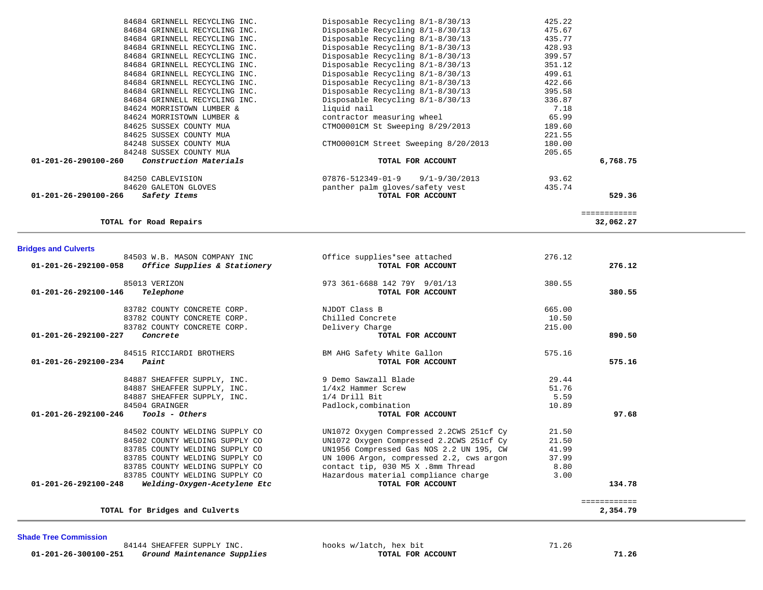| 84684 GRINNELL RECYCLING INC.                            | Disposable Recycling 8/1-8/30/13               | 425.22 |                           |  |
|----------------------------------------------------------|------------------------------------------------|--------|---------------------------|--|
| 84684 GRINNELL RECYCLING INC.                            | Disposable Recycling 8/1-8/30/13               | 475.67 |                           |  |
| 84684 GRINNELL RECYCLING INC.                            | Disposable Recycling 8/1-8/30/13               | 435.77 |                           |  |
| 84684 GRINNELL RECYCLING INC.                            | Disposable Recycling 8/1-8/30/13               | 428.93 |                           |  |
| 84684 GRINNELL RECYCLING INC.                            | Disposable Recycling 8/1-8/30/13               | 399.57 |                           |  |
| 84684 GRINNELL RECYCLING INC.                            | Disposable Recycling 8/1-8/30/13               | 351.12 |                           |  |
| 84684 GRINNELL RECYCLING INC.                            | Disposable Recycling 8/1-8/30/13               | 499.61 |                           |  |
| 84684 GRINNELL RECYCLING INC.                            | Disposable Recycling 8/1-8/30/13               | 422.66 |                           |  |
| 84684 GRINNELL RECYCLING INC.                            | Disposable Recycling 8/1-8/30/13               | 395.58 |                           |  |
| 84684 GRINNELL RECYCLING INC.                            | Disposable Recycling 8/1-8/30/13               | 336.87 |                           |  |
| 84624 MORRISTOWN LUMBER &                                | liquid nail                                    | 7.18   |                           |  |
| 84624 MORRISTOWN LUMBER &                                | contractor measuring wheel                     | 65.99  |                           |  |
| 84625 SUSSEX COUNTY MUA                                  | CTMO0001CM St Sweeping 8/29/2013               | 189.60 |                           |  |
| 84625 SUSSEX COUNTY MUA                                  |                                                | 221.55 |                           |  |
| 84248 SUSSEX COUNTY MUA                                  | CTM00001CM Street Sweeping 8/20/2013           | 180.00 |                           |  |
| 84248 SUSSEX COUNTY MUA                                  |                                                | 205.65 |                           |  |
| Construction Materials<br>01-201-26-290100-260           | TOTAL FOR ACCOUNT                              |        | 6,768.75                  |  |
|                                                          |                                                |        |                           |  |
| 84250 CABLEVISION                                        | $07876 - 512349 - 01 - 9$<br>$9/1 - 9/30/2013$ | 93.62  |                           |  |
| 84620 GALETON GLOVES                                     | panther palm gloves/safety vest                | 435.74 |                           |  |
| 01-201-26-290100-266<br>Safety Items                     | TOTAL FOR ACCOUNT                              |        | 529.36                    |  |
|                                                          |                                                |        |                           |  |
| TOTAL for Road Repairs                                   |                                                |        | ============<br>32,062.27 |  |
|                                                          |                                                |        |                           |  |
|                                                          |                                                |        |                           |  |
| <b>Bridges and Culverts</b>                              |                                                |        |                           |  |
| 84503 W.B. MASON COMPANY INC                             | Office supplies*see attached                   | 276.12 |                           |  |
| 01-201-26-292100-058<br>Office Supplies & Stationery     | TOTAL FOR ACCOUNT                              |        | 276.12                    |  |
|                                                          |                                                |        |                           |  |
| 85013 VERIZON                                            | 973 361-6688 142 79Y 9/01/13                   | 380.55 |                           |  |
| 01-201-26-292100-146<br>Telephone                        | TOTAL FOR ACCOUNT                              |        | 380.55                    |  |
|                                                          |                                                |        |                           |  |
| 83782 COUNTY CONCRETE CORP.                              | NJDOT Class B                                  | 665.00 |                           |  |
| 83782 COUNTY CONCRETE CORP.                              | Chilled Concrete                               | 10.50  |                           |  |
| 83782 COUNTY CONCRETE CORP.                              | Delivery Charge                                | 215.00 |                           |  |
| 01-201-26-292100-227<br>Concrete                         | TOTAL FOR ACCOUNT                              |        | 890.50                    |  |
|                                                          |                                                |        |                           |  |
| 84515 RICCIARDI BROTHERS                                 | BM AHG Safety White Gallon                     | 575.16 |                           |  |
| 01-201-26-292100-234<br>Paint                            | TOTAL FOR ACCOUNT                              |        | 575.16                    |  |
|                                                          | 9 Demo Sawzall Blade                           | 29.44  |                           |  |
| 84887 SHEAFFER SUPPLY, INC.                              |                                                | 51.76  |                           |  |
| 84887 SHEAFFER SUPPLY, INC.                              | 1/4x2 Hammer Screw                             |        |                           |  |
| 84887 SHEAFFER SUPPLY, INC.                              | 1/4 Drill Bit                                  | 5.59   |                           |  |
| 84504 GRAINGER<br>01-201-26-292100-246<br>Tools - Others | Padlock, combination<br>TOTAL FOR ACCOUNT      | 10.89  | 97.68                     |  |
|                                                          |                                                |        |                           |  |
| 84502 COUNTY WELDING SUPPLY CO                           | UN1072 Oxygen Compressed 2.2CWS 251cf Cy       | 21.50  |                           |  |
| 84502 COUNTY WELDING SUPPLY CO                           | UN1072 Oxygen Compressed 2.2CWS 251cf Cy       | 21.50  |                           |  |
| 83785 COUNTY WELDING SUPPLY CO                           | UN1956 Compressed Gas NOS 2.2 UN 195, CW       | 41.99  |                           |  |
| 83785 COUNTY WELDING SUPPLY CO                           | UN 1006 Argon, compressed 2.2, cws argon       | 37.99  |                           |  |
| 83785 COUNTY WELDING SUPPLY CO                           | contact tip, 030 M5 X .8mm Thread              | 8.80   |                           |  |
| 83785 COUNTY WELDING SUPPLY CO                           | Hazardous material compliance charge           | 3.00   |                           |  |
|                                                          | TOTAL FOR ACCOUNT                              |        | 134.78                    |  |
| 01-201-26-292100-248<br>Welding-Oxygen-Acetylene Etc     |                                                |        |                           |  |

**TOTAL for Bridges and Culverts 2,354.79**

**Shade Tree Commission** 

 $\overline{\phantom{a}}$ 

84144 SHEAFFER SUPPLY INC.<br> **a** Ground Maintenance Supplies **and Supplies hooks w/latch, hex bit 71.26 01-201-26-300100-251** *Ground Maintenance Supplies* **TOTAL FOR ACCOUNT 71.26**

============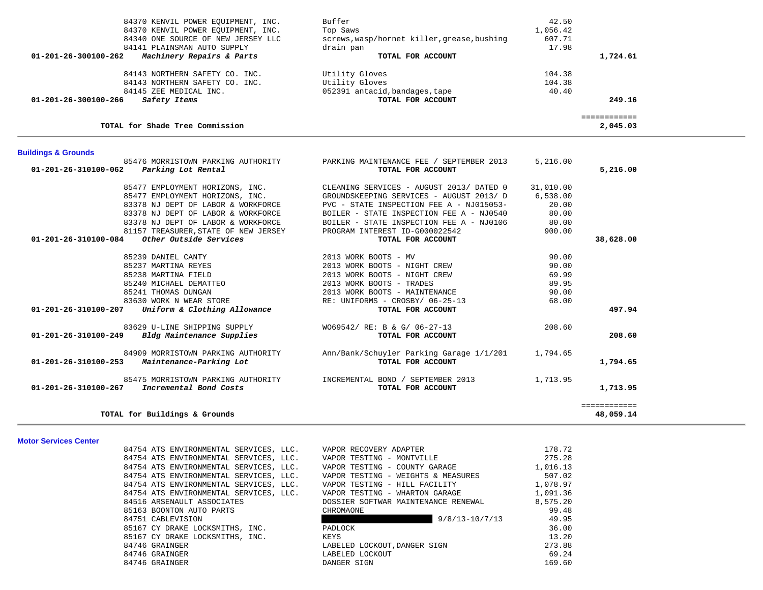| 84370 KENVIL POWER EQUIPMENT, INC.                                   | Buffer                                      | 42.50     |              |  |
|----------------------------------------------------------------------|---------------------------------------------|-----------|--------------|--|
| 84370 KENVIL POWER EQUIPMENT, INC.                                   | Top Saws                                    | 1,056.42  |              |  |
| 84340 ONE SOURCE OF NEW JERSEY LLC                                   | screws, wasp/hornet killer, grease, bushing | 607.71    |              |  |
| 84141 PLAINSMAN AUTO SUPPLY                                          | drain pan                                   | 17.98     |              |  |
| Machinery Repairs & Parts<br>01-201-26-300100-262                    | TOTAL FOR ACCOUNT                           |           | 1,724.61     |  |
| 84143 NORTHERN SAFETY CO. INC.                                       | Utility Gloves                              | 104.38    |              |  |
| 84143 NORTHERN SAFETY CO. INC.                                       | Utility Gloves                              | 104.38    |              |  |
| 84145 ZEE MEDICAL INC.                                               | 052391 antacid, bandages, tape              | 40.40     |              |  |
| 01-201-26-300100-266<br>Safety Items                                 | TOTAL FOR ACCOUNT                           |           | 249.16       |  |
|                                                                      |                                             |           | ============ |  |
| TOTAL for Shade Tree Commission                                      |                                             |           | 2,045.03     |  |
|                                                                      |                                             |           |              |  |
| <b>Buildings &amp; Grounds</b><br>85476 MORRISTOWN PARKING AUTHORITY | PARKING MAINTENANCE FEE / SEPTEMBER 2013    | 5,216.00  |              |  |
| 01-201-26-310100-062<br>Parking Lot Rental                           | TOTAL FOR ACCOUNT                           |           | 5,216.00     |  |
|                                                                      |                                             |           |              |  |
| 85477 EMPLOYMENT HORIZONS, INC.                                      | CLEANING SERVICES - AUGUST 2013/ DATED 0    | 31,010.00 |              |  |
| 85477 EMPLOYMENT HORIZONS, INC.                                      | GROUNDSKEEPING SERVICES - AUGUST 2013/ D    | 6,538.00  |              |  |
| 83378 NJ DEPT OF LABOR & WORKFORCE                                   | PVC - STATE INSPECTION FEE A - NJ015053-    | 20.00     |              |  |
| 83378 NJ DEPT OF LABOR & WORKFORCE                                   | BOILER - STATE INSPECTION FEE A - NJ0540    | 80.00     |              |  |
| 83378 NJ DEPT OF LABOR & WORKFORCE                                   | BOILER - STATE INSPECTION FEE A - NJ0106    | 80.00     |              |  |
| 81157 TREASURER, STATE OF NEW JERSEY                                 | PROGRAM INTEREST ID-G000022542              | 900.00    |              |  |
| 01-201-26-310100-084<br>Other Outside Services                       | TOTAL FOR ACCOUNT                           |           | 38,628.00    |  |
| 85239 DANIEL CANTY                                                   | 2013 WORK BOOTS - MV                        | 90.00     |              |  |
| 85237 MARTINA REYES                                                  | 2013 WORK BOOTS - NIGHT CREW                | 90.00     |              |  |
| 85238 MARTINA FIELD                                                  | 2013 WORK BOOTS - NIGHT CREW                | 69.99     |              |  |
| 85240 MICHAEL DEMATTEO                                               | 2013 WORK BOOTS - TRADES                    | 89.95     |              |  |
| 85241 THOMAS DUNGAN                                                  | 2013 WORK BOOTS - MAINTENANCE               | 90.00     |              |  |
| 83630 WORK N WEAR STORE                                              | RE: UNIFORMS - CROSBY/ 06-25-13             | 68.00     |              |  |
| Uniform & Clothing Allowance<br>01-201-26-310100-207                 | TOTAL FOR ACCOUNT                           |           | 497.94       |  |
| 83629 U-LINE SHIPPING SUPPLY                                         | WO69542/ RE: B & G/ 06-27-13                | 208.60    |              |  |
| Bldg Maintenance Supplies<br>01-201-26-310100-249                    | TOTAL FOR ACCOUNT                           |           | 208.60       |  |
| 84909 MORRISTOWN PARKING AUTHORITY                                   | Ann/Bank/Schuyler Parking Garage 1/1/201    | 1,794.65  |              |  |
| Maintenance-Parking Lot<br>01-201-26-310100-253                      | TOTAL FOR ACCOUNT                           |           | 1,794.65     |  |
| 85475 MORRISTOWN PARKING AUTHORITY                                   | INCREMENTAL BOND / SEPTEMBER 2013           | 1,713.95  |              |  |
| Incremental Bond Costs<br>01-201-26-310100-267                       | TOTAL FOR ACCOUNT                           |           | 1,713.95     |  |
|                                                                      |                                             |           | ============ |  |
| TOTAL for Buildings & Grounds                                        |                                             |           | 48,059.14    |  |

#### **Motor Services Center**

84754 ATS ENVIRONMENTAL SERVICES, LLC. VAPOR RECOVERY ADAPTER 178.72

84754 ATS ENVIRONMENTAL SERVICES, LLC. VAPOR TESTING - MONTVILLE 275.28 84754 ATS ENVIRONMENTAL SERVICES, LLC. VAPOR TESTING - COUNTY GARAGE  $1,016.13$  84754 ATS ENVIRONMENTAL SERVICES, LLC. VAPOR TESTING - WEIGHTS & MEASURES 507.02 84754 ATS ENVIRONMENTAL SERVICES, LLC. VAPOR TESTING - HILL FACILITY 1,078.97 84754 ATS ENVIRONMENTAL SERVICES, LLC. VAPOR TESTING - WHARTON GARAGE  $1,091.36$ 84516 ARSENAULT ASSOCIATES **DOSSIER SOFTWAR MAINTENANCE RENEWAL** 8,575.20 85163 BOONTON AUTO PARTS CHROMAONE CHROMAONE CHROMAONE 99.48 84751 CABLEVISION 9/8/13-10/7/13 49.95 85167 CY DRAKE LOCKSMITHS, INC. PADLOCK 36.00 85167 CY DRAKE LOCKSMITHS, INC. KEYS 13.20 84746 GRAINGER LABELED LOCKOUT,DANGER SIGN 273.88 84746 GRAINGER LABELED LOCKOUT 69.24 84746 GRAINGER 169.60 CONGER SIGN DANGER SIGN 169.60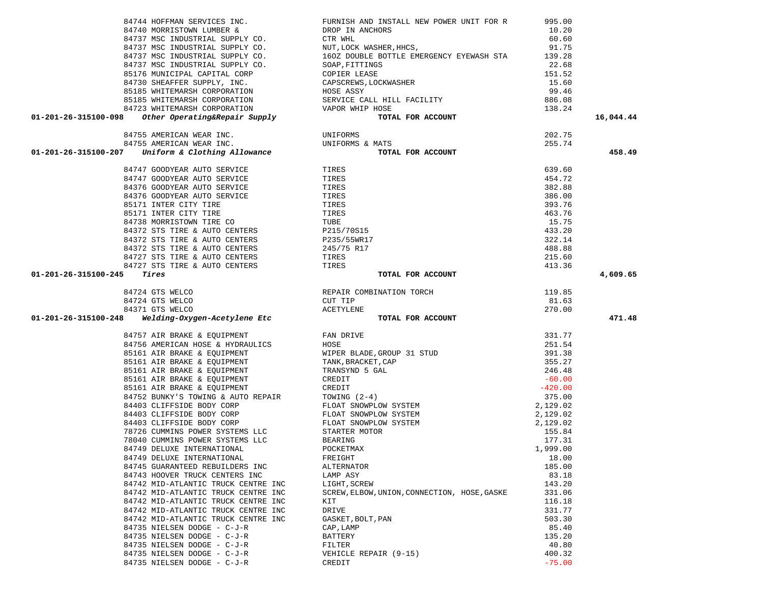| 84757 AIR BRAKE & EQUIPMENT         | FAN DRIVE                                    | 331.77    |
|-------------------------------------|----------------------------------------------|-----------|
| 84756 AMERICAN HOSE & HYDRAULICS    | HOSE                                         | 251.54    |
| 85161 AIR BRAKE & EQUIPMENT         | WIPER BLADE, GROUP 31 STUD                   | 391.38    |
| 85161 AIR BRAKE & EQUIPMENT         | TANK, BRACKET, CAP                           | 355.27    |
| 85161 AIR BRAKE & EQUIPMENT         | TRANSYND 5 GAL                               | 246.48    |
| 85161 AIR BRAKE & EQUIPMENT         | CREDIT                                       | $-60.00$  |
| 85161 AIR BRAKE & EQUIPMENT         | CREDIT                                       | $-420.00$ |
| 84752 BUNKY'S TOWING & AUTO REPAIR  | TOWING $(2-4)$                               | 375.00    |
| 84403 CLIFFSIDE BODY CORP           | FLOAT SNOWPLOW SYSTEM                        | 2,129.02  |
| 84403 CLIFFSIDE BODY CORP           | FLOAT SNOWPLOW SYSTEM                        | 2,129.02  |
| 84403 CLIFFSIDE BODY CORP           | FLOAT SNOWPLOW SYSTEM                        | 2,129.02  |
| 78726 CUMMINS POWER SYSTEMS LLC     | STARTER MOTOR                                | 155.84    |
| 78040 CUMMINS POWER SYSTEMS LLC     | BEARING                                      | 177.31    |
| 84749 DELUXE INTERNATIONAL          | POCKETMAX                                    | 1,999.00  |
| 84749 DELUXE INTERNATIONAL          | FREIGHT                                      | 18.00     |
| 84745 GUARANTEED REBUILDERS INC     | ALTERNATOR                                   | 185.00    |
| 84743 HOOVER TRUCK CENTERS INC      | LAMP ASY                                     | 83.18     |
| 84742 MID-ATLANTIC TRUCK CENTRE INC | LIGHT, SCREW                                 | 143.20    |
| 84742 MID-ATLANTIC TRUCK CENTRE INC | SCREW, ELBOW, UNION, CONNECTION, HOSE, GASKE | 331.06    |
| 84742 MID-ATLANTIC TRUCK CENTRE INC | KIT                                          | 116.18    |
| 84742 MID-ATLANTIC TRUCK CENTRE INC | DRIVE                                        | 331.77    |
| 84742 MID-ATLANTIC TRUCK CENTRE INC | GASKET, BOLT, PAN                            | 503.30    |
| 84735 NIELSEN DODGE - C-J-R         | CAP, LAMP                                    | 85.40     |
| 84735 NIELSEN DODGE - C-J-R         | BATTERY                                      | 135.20    |
| 84735 NIELSEN DODGE - C-J-R         | FILTER                                       | 40.80     |
| 84735 NIELSEN DODGE - C-J-R         | VEHICLE REPAIR (9-15)                        | 400.32    |
| 84735 NIELSEN DODGE - C-J-R         | CREDIT                                       | $-75.00$  |
|                                     |                                              |           |

|                      |                                                     | ~·             |
|----------------------|-----------------------------------------------------|----------------|
|                      | 85176 MUNICIPAL CAPITAL CORP                        | $\mathcal{C}$  |
|                      | 84730 SHEAFFER SUPPLY, INC.                         | C              |
|                      | 85185 WHITEMARSH CORPORATION                        | H(             |
|                      | 85185 WHITEMARSH CORPORATION                        | S <sub>1</sub> |
|                      | 84723 WHITEMARSH CORPORATION                        | V              |
|                      | 01-201-26-315100-098 Other Operating&Repair Supply  |                |
|                      |                                                     |                |
|                      | 84755 AMERICAN WEAR INC.                            | UI             |
|                      | 84755 AMERICAN WEAR INC.                            | UI             |
|                      | $01-201-26-315100-207$ Uniform & Clothing Allowance |                |
|                      |                                                     |                |
|                      | 84747 GOODYEAR AUTO SERVICE                         | T              |
|                      | 84747 GOODYEAR AUTO SERVICE                         | T.             |
|                      | 84376 GOODYEAR AUTO SERVICE                         | T.             |
|                      | 84376 GOODYEAR AUTO SERVICE                         | T              |
|                      | 85171 INTER CITY TIRE                               | T              |
|                      | 85171 INTER CITY TIRE                               | T.             |
|                      | 84738 MORRISTOWN TIRE CO                            | Τl             |
|                      | 84372 STS TIRE & AUTO CENTERS                       | P              |
|                      | 84372 STS TIRE & AUTO CENTERS                       | P              |
|                      | 84372 STS TIRE & AUTO CENTERS                       | 2 <sup>1</sup> |
|                      | 84727 STS TIRE & AUTO CENTERS                       | T              |
|                      | 84727 STS TIRE & AUTO CENTERS                       | $\mathbf T$    |
| 01-201-26-315100-245 | Tires                                               |                |
|                      |                                                     |                |

| $\begin{tabular}{cccccc} 84744&NDPFMAN SINCINES & NCUCSS IUC. & FULINRINR NENUCES & NCUCINS 10.20 \\ 84737&MSC INDUSTRIAL SUPLY CO. & CTR WILL & NEDP. & 60.6084737&MSC INDUSTRIAL SUPPLY CO. & CTR WILL & NSEEN E. & 60.6084737&MSC INDUSTRIAL SUPPLY CO. & NUT, LOCX MASIER, HICS, & 60.6084737&MSC INDUSTRIAL SUPPLY CO. & 1602 DODIBLE BOTTLE MEBRSENCY BYENASH STA & 139.2884$ |                                               |        | 16,044.44 |
|-------------------------------------------------------------------------------------------------------------------------------------------------------------------------------------------------------------------------------------------------------------------------------------------------------------------------------------------------------------------------------------|-----------------------------------------------|--------|-----------|
|                                                                                                                                                                                                                                                                                                                                                                                     |                                               |        |           |
|                                                                                                                                                                                                                                                                                                                                                                                     |                                               |        |           |
|                                                                                                                                                                                                                                                                                                                                                                                     |                                               |        | 458.49    |
|                                                                                                                                                                                                                                                                                                                                                                                     |                                               | 639.60 |           |
|                                                                                                                                                                                                                                                                                                                                                                                     |                                               | 454.72 |           |
|                                                                                                                                                                                                                                                                                                                                                                                     |                                               | 382.88 |           |
|                                                                                                                                                                                                                                                                                                                                                                                     |                                               | 386.00 |           |
|                                                                                                                                                                                                                                                                                                                                                                                     |                                               | 393.76 |           |
|                                                                                                                                                                                                                                                                                                                                                                                     |                                               | 463.76 |           |
|                                                                                                                                                                                                                                                                                                                                                                                     |                                               | 15.75  |           |
|                                                                                                                                                                                                                                                                                                                                                                                     |                                               | 433.20 |           |
|                                                                                                                                                                                                                                                                                                                                                                                     |                                               | 322.14 |           |
|                                                                                                                                                                                                                                                                                                                                                                                     |                                               | 488.88 |           |
|                                                                                                                                                                                                                                                                                                                                                                                     |                                               | 215.60 |           |
|                                                                                                                                                                                                                                                                                                                                                                                     |                                               | 413.36 |           |
| 01-201-26-315100-245                                                                                                                                                                                                                                                                                                                                                                | TOTAL FOR ACCOUNT                             |        | 4,609.65  |
|                                                                                                                                                                                                                                                                                                                                                                                     |                                               | 119.85 |           |
|                                                                                                                                                                                                                                                                                                                                                                                     |                                               | 81.63  |           |
|                                                                                                                                                                                                                                                                                                                                                                                     |                                               | 270.00 |           |
|                                                                                                                                                                                                                                                                                                                                                                                     |                                               |        |           |
|                                                                                                                                                                                                                                                                                                                                                                                     | TOTAL FOR ACCOUNT                             |        | 471.48    |
|                                                                                                                                                                                                                                                                                                                                                                                     |                                               |        |           |
|                                                                                                                                                                                                                                                                                                                                                                                     |                                               |        |           |
|                                                                                                                                                                                                                                                                                                                                                                                     |                                               |        |           |
|                                                                                                                                                                                                                                                                                                                                                                                     |                                               |        |           |
|                                                                                                                                                                                                                                                                                                                                                                                     |                                               |        |           |
|                                                                                                                                                                                                                                                                                                                                                                                     |                                               |        |           |
|                                                                                                                                                                                                                                                                                                                                                                                     |                                               |        |           |
|                                                                                                                                                                                                                                                                                                                                                                                     |                                               |        |           |
|                                                                                                                                                                                                                                                                                                                                                                                     |                                               |        |           |
|                                                                                                                                                                                                                                                                                                                                                                                     |                                               |        |           |
|                                                                                                                                                                                                                                                                                                                                                                                     |                                               |        |           |
|                                                                                                                                                                                                                                                                                                                                                                                     |                                               |        |           |
|                                                                                                                                                                                                                                                                                                                                                                                     |                                               |        |           |
|                                                                                                                                                                                                                                                                                                                                                                                     |                                               |        |           |
| 84749 DELUXE INTERNATIONAL                                                                                                                                                                                                                                                                                                                                                          | FREIGHT                                       | 18.00  |           |
| 84745 GUARANTEED REBUILDERS INC                                                                                                                                                                                                                                                                                                                                                     | ALTERNATOR                                    | 185.00 |           |
| 84743 HOOVER TRUCK CENTERS INC                                                                                                                                                                                                                                                                                                                                                      | LAMP ASY                                      | 83.18  |           |
| 84742 MID-ATLANTIC TRUCK CENTRE INC                                                                                                                                                                                                                                                                                                                                                 | LIGHT, SCREW                                  | 143.20 |           |
| 84742 MID-ATLANTIC TRUCK CENTRE INC                                                                                                                                                                                                                                                                                                                                                 | SCREW, ELBOW, UNION, CONNECTION, HOSE, GASKE  | 331.06 |           |
| 84742 MID-ATLANTIC TRUCK CENTRE INC                                                                                                                                                                                                                                                                                                                                                 | KIT                                           | 116.18 |           |
| 84742 MID-ATLANTIC TRUCK CENTRE INC                                                                                                                                                                                                                                                                                                                                                 | DRIVE                                         | 331.77 |           |
| 84742 MID-ATLANTIC TRUCK CENTRE INC                                                                                                                                                                                                                                                                                                                                                 | GASKET, BOLT, PAN                             | 503.30 |           |
| 84735 NIELSEN DODGE - C-J-R                                                                                                                                                                                                                                                                                                                                                         | CAP, LAMP                                     | 85.40  |           |
| 84735 NIELSEN DODGE - C-J-R                                                                                                                                                                                                                                                                                                                                                         | BATTERY                                       | 135.20 |           |
| 84735 NIELSEN DODGE - C-J-R                                                                                                                                                                                                                                                                                                                                                         | FILTER                                        | 40.80  |           |
| 84735 NIELSEN DODGE - C-J-R<br>$0.4725$ NTBI GBN DODGE $975$                                                                                                                                                                                                                                                                                                                        | VEHICLE REPAIR (9-15)<br>$\sim$ nnn $\sim$ nn | 400.32 |           |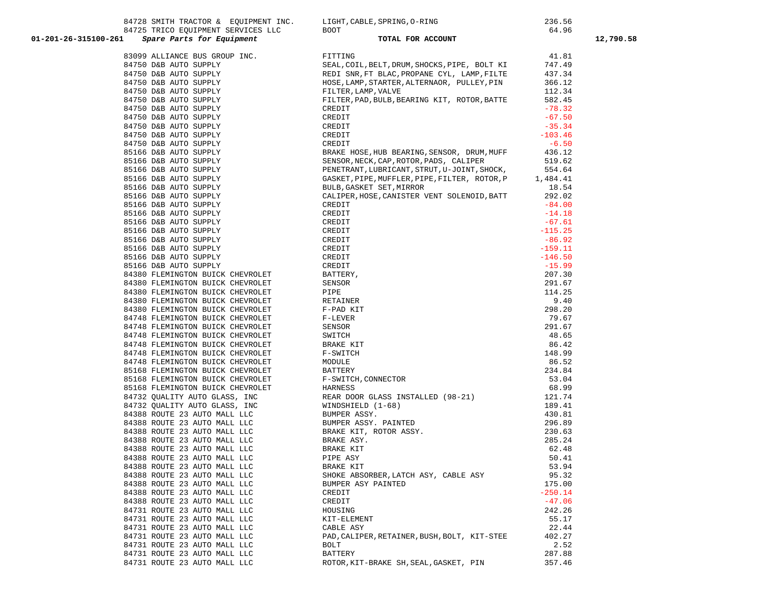|                                                                      | 84728 SMITH TRACTOR & EQUIPMENT INC. LIGHT, CABLE, SPRING, O-RING<br>84725 TRICO EQUIPMENT SERVICES LLC BOOT<br>Spare Barts for Equipment                                                                                                                                                              | 236.56           |           |
|----------------------------------------------------------------------|--------------------------------------------------------------------------------------------------------------------------------------------------------------------------------------------------------------------------------------------------------------------------------------------------------|------------------|-----------|
| 01-201-26-315100-261                                                 | TOTAL FOR ACCOUNT                                                                                                                                                                                                                                                                                      | 64.96            |           |
| Spare Parts for Equipment                                            |                                                                                                                                                                                                                                                                                                        |                  | 12,790.58 |
|                                                                      |                                                                                                                                                                                                                                                                                                        |                  |           |
|                                                                      |                                                                                                                                                                                                                                                                                                        |                  |           |
|                                                                      |                                                                                                                                                                                                                                                                                                        |                  |           |
|                                                                      |                                                                                                                                                                                                                                                                                                        |                  |           |
|                                                                      |                                                                                                                                                                                                                                                                                                        |                  |           |
|                                                                      |                                                                                                                                                                                                                                                                                                        |                  |           |
|                                                                      |                                                                                                                                                                                                                                                                                                        |                  |           |
|                                                                      |                                                                                                                                                                                                                                                                                                        |                  |           |
|                                                                      |                                                                                                                                                                                                                                                                                                        |                  |           |
|                                                                      |                                                                                                                                                                                                                                                                                                        |                  |           |
|                                                                      |                                                                                                                                                                                                                                                                                                        |                  |           |
|                                                                      |                                                                                                                                                                                                                                                                                                        |                  |           |
|                                                                      |                                                                                                                                                                                                                                                                                                        |                  |           |
|                                                                      |                                                                                                                                                                                                                                                                                                        |                  |           |
|                                                                      |                                                                                                                                                                                                                                                                                                        |                  |           |
|                                                                      |                                                                                                                                                                                                                                                                                                        |                  |           |
|                                                                      |                                                                                                                                                                                                                                                                                                        |                  |           |
|                                                                      |                                                                                                                                                                                                                                                                                                        |                  |           |
|                                                                      |                                                                                                                                                                                                                                                                                                        |                  |           |
|                                                                      |                                                                                                                                                                                                                                                                                                        |                  |           |
|                                                                      |                                                                                                                                                                                                                                                                                                        |                  |           |
|                                                                      |                                                                                                                                                                                                                                                                                                        |                  |           |
|                                                                      |                                                                                                                                                                                                                                                                                                        |                  |           |
| 85166 D&B AUTO SUPPLY                                                |                                                                                                                                                                                                                                                                                                        | $-15.99$         |           |
| 84380 FLEMINGTON BUICK CHEVROLET                                     |                                                                                                                                                                                                                                                                                                        | 207.30           |           |
| 84380 FLEMINGTON BUICK CHEVROLET                                     |                                                                                                                                                                                                                                                                                                        | 291.67           |           |
| 84380 FLEMINGTON BUICK CHEVROLET                                     | CALIPER, HOSE, CANISTER VENT SULENULD, BALL<br>CREDIT<br>CREDIT<br>CREDIT<br>CREDIT<br>CREDIT<br>CREDIT<br>CREDIT<br>CREDIT<br>CREDIT<br>CREDIT<br>CREDIT<br>CREDIT<br>CREDIT<br>F-PAD KIT<br>ERTINER<br>F-PAD KIT<br>F P-LEVER<br>SENSOR<br>SWITCH<br>BARKE KIT<br>F-ALVER<br>SRENGOR<br>SWITCH<br>BA | 114.25           |           |
| 84380 FLEMINGTON BUICK CHEVROLET                                     |                                                                                                                                                                                                                                                                                                        | 9.40             |           |
| 84380 FLEMINGTON BUICK CHEVROLET                                     |                                                                                                                                                                                                                                                                                                        | 298.20           |           |
| 84748 FLEMINGTON BUICK CHEVROLET<br>84748 FLEMINGTON BUICK CHEVROLET |                                                                                                                                                                                                                                                                                                        | 79.67<br>291.67  |           |
| 84748 FLEMINGTON BUICK CHEVROLET                                     |                                                                                                                                                                                                                                                                                                        | 48.65            |           |
| 84748 FLEMINGTON BUICK CHEVROLET                                     |                                                                                                                                                                                                                                                                                                        | 86.42            |           |
| 84748 FLEMINGTON BUICK CHEVROLET                                     |                                                                                                                                                                                                                                                                                                        | 148.99           |           |
| 84748 FLEMINGTON BUICK CHEVROLET                                     |                                                                                                                                                                                                                                                                                                        | 86.52            |           |
| 85168 FLEMINGTON BUICK CHEVROLET                                     |                                                                                                                                                                                                                                                                                                        | 234.84           |           |
|                                                                      |                                                                                                                                                                                                                                                                                                        | 53.04            |           |
|                                                                      |                                                                                                                                                                                                                                                                                                        | 68.99            |           |
|                                                                      | 95168 FLEMINGTON BUICK CHEVROLET<br>85168 FLEMINGTON BUICK CHEVROLET<br>85168 FLEMINGTON BUICK CHEVROLET<br>84732 QUALITY AUTO GLASS, INC<br>84732 QUALITY AUTO GLASS, INC<br>84732 QUALITY AUTO GLASS, INC<br>84388 ROUTE 23 AUTO MALL LL                                                             | 121.74<br>189.41 |           |
|                                                                      |                                                                                                                                                                                                                                                                                                        | 189.41           |           |
|                                                                      |                                                                                                                                                                                                                                                                                                        | 430.81           |           |
|                                                                      |                                                                                                                                                                                                                                                                                                        | 296.89           |           |
|                                                                      |                                                                                                                                                                                                                                                                                                        | 230.63           |           |
|                                                                      |                                                                                                                                                                                                                                                                                                        | 285.24           |           |
| 84388 ROUTE 23 AUTO MALL LLC                                         | BRAKE KIT                                                                                                                                                                                                                                                                                              | 62.48            |           |
| 84388 ROUTE 23 AUTO MALL LLC                                         | PIPE ASY<br><b>BRAKE KIT</b>                                                                                                                                                                                                                                                                           | 50.41            |           |
| 84388 ROUTE 23 AUTO MALL LLC<br>84388 ROUTE 23 AUTO MALL LLC         | SHOKE ABSORBER, LATCH ASY, CABLE ASY                                                                                                                                                                                                                                                                   | 53.94<br>95.32   |           |
| 84388 ROUTE 23 AUTO MALL LLC                                         | BUMPER ASY PAINTED                                                                                                                                                                                                                                                                                     | 175.00           |           |
| 84388 ROUTE 23 AUTO MALL LLC                                         | CREDIT                                                                                                                                                                                                                                                                                                 | $-250.14$        |           |
| 84388 ROUTE 23 AUTO MALL LLC                                         | CREDIT                                                                                                                                                                                                                                                                                                 | $-47.06$         |           |
| 84731 ROUTE 23 AUTO MALL LLC                                         | HOUSING                                                                                                                                                                                                                                                                                                | 242.26           |           |
| 84731 ROUTE 23 AUTO MALL LLC                                         | KIT-ELEMENT                                                                                                                                                                                                                                                                                            | 55.17            |           |
| 84731 ROUTE 23 AUTO MALL LLC                                         | CABLE ASY                                                                                                                                                                                                                                                                                              | 22.44            |           |
| 84731 ROUTE 23 AUTO MALL LLC                                         | PAD, CALIPER, RETAINER, BUSH, BOLT, KIT-STEE                                                                                                                                                                                                                                                           | 402.27           |           |
| 84731 ROUTE 23 AUTO MALL LLC                                         | BOLT                                                                                                                                                                                                                                                                                                   | 2.52             |           |
| 84731 ROUTE 23 AUTO MALL LLC                                         | <b>BATTERY</b>                                                                                                                                                                                                                                                                                         | 287.88           |           |
| 84731 ROUTE 23 AUTO MALL LLC                                         | ROTOR, KIT-BRAKE SH, SEAL, GASKET, PIN                                                                                                                                                                                                                                                                 | 357.46           |           |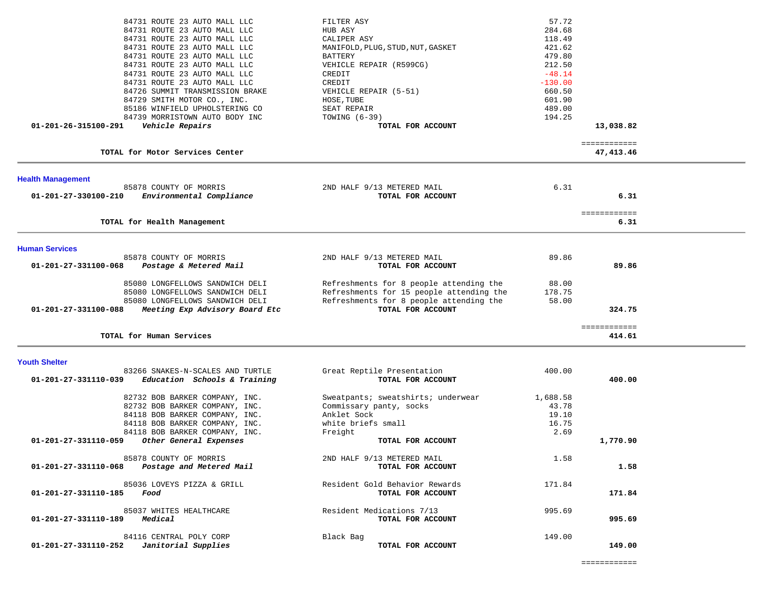|                          | 84731 ROUTE 23 AUTO MALL LLC<br>84731 ROUTE 23 AUTO MALL LLC<br>84731 ROUTE 23 AUTO MALL LLC<br>84731 ROUTE 23 AUTO MALL LLC<br>84731 ROUTE 23 AUTO MALL LLC<br>84731 ROUTE 23 AUTO MALL LLC | FILTER ASY<br>HUB ASY<br>CALIPER ASY<br>MANIFOLD, PLUG, STUD, NUT, GASKET<br>BATTERY<br>VEHICLE REPAIR (R599CG)                                     | 57.72<br>284.68<br>118.49<br>421.62<br>479.80<br>212.50 |                           |  |
|--------------------------|----------------------------------------------------------------------------------------------------------------------------------------------------------------------------------------------|-----------------------------------------------------------------------------------------------------------------------------------------------------|---------------------------------------------------------|---------------------------|--|
|                          | 84731 ROUTE 23 AUTO MALL LLC<br>84731 ROUTE 23 AUTO MALL LLC<br>84726 SUMMIT TRANSMISSION BRAKE<br>84729 SMITH MOTOR CO., INC.                                                               | CREDIT<br>CREDIT<br>VEHICLE REPAIR (5-51)<br>HOSE, TUBE                                                                                             | $-48.14$<br>$-130.00$<br>660.50<br>601.90               |                           |  |
| 01-201-26-315100-291     | 85186 WINFIELD UPHOLSTERING CO<br>84739 MORRISTOWN AUTO BODY INC<br>Vehicle Repairs                                                                                                          | SEAT REPAIR<br>TOWING $(6-39)$<br>TOTAL FOR ACCOUNT                                                                                                 | 489.00<br>194.25                                        | 13,038.82                 |  |
|                          | TOTAL for Motor Services Center                                                                                                                                                              |                                                                                                                                                     |                                                         | ============<br>47,413.46 |  |
| <b>Health Management</b> |                                                                                                                                                                                              |                                                                                                                                                     |                                                         |                           |  |
| 01-201-27-330100-210     | 85878 COUNTY OF MORRIS<br>Environmental Compliance                                                                                                                                           | 2ND HALF 9/13 METERED MAIL<br>TOTAL FOR ACCOUNT                                                                                                     | 6.31                                                    | 6.31                      |  |
|                          | TOTAL for Health Management                                                                                                                                                                  |                                                                                                                                                     |                                                         | ============<br>6.31      |  |
| <b>Human Services</b>    |                                                                                                                                                                                              |                                                                                                                                                     |                                                         |                           |  |
| 01-201-27-331100-068     | 85878 COUNTY OF MORRIS<br>Postage & Metered Mail                                                                                                                                             | 2ND HALF 9/13 METERED MAIL<br>TOTAL FOR ACCOUNT                                                                                                     | 89.86                                                   | 89.86                     |  |
| 01-201-27-331100-088     | 85080 LONGFELLOWS SANDWICH DELI<br>85080 LONGFELLOWS SANDWICH DELI<br>85080 LONGFELLOWS SANDWICH DELI<br>Meeting Exp Advisory Board Etc                                                      | Refreshments for 8 people attending the<br>Refreshments for 15 people attending the<br>Refreshments for 8 people attending the<br>TOTAL FOR ACCOUNT | 88.00<br>178.75<br>58.00                                | 324.75                    |  |
|                          |                                                                                                                                                                                              |                                                                                                                                                     |                                                         | ============              |  |
|                          | TOTAL for Human Services                                                                                                                                                                     |                                                                                                                                                     |                                                         | 414.61                    |  |
| <b>Youth Shelter</b>     | 83266 SNAKES-N-SCALES AND TURTLE                                                                                                                                                             | Great Reptile Presentation                                                                                                                          | 400.00                                                  |                           |  |
| 01-201-27-331110-039     | Education Schools & Training                                                                                                                                                                 | TOTAL FOR ACCOUNT                                                                                                                                   |                                                         | 400.00                    |  |
|                          | 82732 BOB BARKER COMPANY, INC.<br>82732 BOB BARKER COMPANY, INC.<br>84118 BOB BARKER COMPANY, INC.<br>84118 BOB BARKER COMPANY, INC.<br>84118 BOB BARKER COMPANY, INC.                       | Sweatpants; sweatshirts; underwear<br>Commissary panty, socks<br>Anklet Sock<br>white briefs small<br>Freight                                       | 1,688.58<br>43.78<br>19.10<br>16.75<br>2.69             |                           |  |
| 01-201-27-331110-059     | Other General Expenses                                                                                                                                                                       | TOTAL FOR ACCOUNT                                                                                                                                   |                                                         | 1,770.90                  |  |
| 01-201-27-331110-068     | 85878 COUNTY OF MORRIS<br>Postage and Metered Mail                                                                                                                                           | 2ND HALF 9/13 METERED MAIL<br>TOTAL FOR ACCOUNT                                                                                                     | 1.58                                                    | 1.58                      |  |
| 01-201-27-331110-185     | 85036 LOVEYS PIZZA & GRILL<br>Food                                                                                                                                                           | Resident Gold Behavior Rewards<br>TOTAL FOR ACCOUNT                                                                                                 | 171.84                                                  | 171.84                    |  |
| 01-201-27-331110-189     | 85037 WHITES HEALTHCARE<br>Medical                                                                                                                                                           | Resident Medications 7/13<br>TOTAL FOR ACCOUNT                                                                                                      | 995.69                                                  | 995.69                    |  |
| 01-201-27-331110-252     | 84116 CENTRAL POLY CORP<br>Janitorial Supplies                                                                                                                                               | Black Bag<br>TOTAL FOR ACCOUNT                                                                                                                      | 149.00                                                  | 149.00                    |  |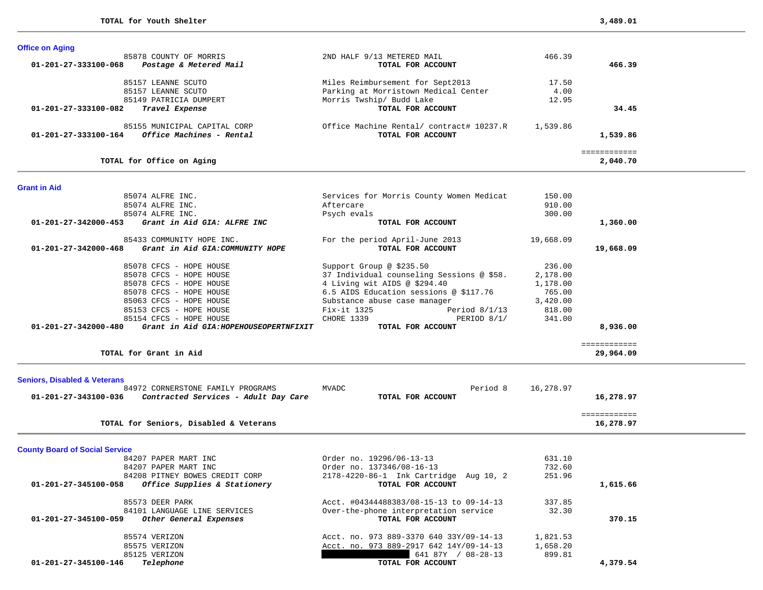| <b>Office on Aging</b>                                                       |                                                                          |           |              |
|------------------------------------------------------------------------------|--------------------------------------------------------------------------|-----------|--------------|
| 85878 COUNTY OF MORRIS                                                       | 2ND HALF 9/13 METERED MAIL                                               | 466.39    |              |
| Postage & Metered Mail<br>01-201-27-333100-068                               | TOTAL FOR ACCOUNT                                                        |           | 466.39       |
| 85157 LEANNE SCUTO                                                           |                                                                          | 17.50     |              |
| 85157 LEANNE SCUTO                                                           | Miles Reimbursement for Sept2013<br>Parking at Morristown Medical Center | 4.00      |              |
| 85149 PATRICIA DUMPERT                                                       | Morris Twship/ Budd Lake                                                 | 12.95     |              |
| 01-201-27-333100-082<br>Travel Expense                                       | TOTAL FOR ACCOUNT                                                        |           | 34.45        |
|                                                                              |                                                                          |           |              |
| 85155 MUNICIPAL CAPITAL CORP                                                 | Office Machine Rental/ contract# 10237.R                                 | 1,539.86  |              |
| 01-201-27-333100-164<br>Office Machines - Rental                             | TOTAL FOR ACCOUNT                                                        |           | 1,539.86     |
|                                                                              |                                                                          |           | ============ |
| TOTAL for Office on Aging                                                    |                                                                          |           | 2,040.70     |
| <b>Grant in Aid</b>                                                          |                                                                          |           |              |
| 85074 ALFRE INC.                                                             | Services for Morris County Women Medicat                                 | 150.00    |              |
| 85074 ALFRE INC.                                                             | Aftercare                                                                | 910.00    |              |
| 85074 ALFRE INC.                                                             | Psych evals                                                              | 300.00    |              |
| Grant in Aid GIA: ALFRE INC<br>01-201-27-342000-453                          | TOTAL FOR ACCOUNT                                                        |           | 1,360.00     |
|                                                                              |                                                                          |           |              |
| 85433 COMMUNITY HOPE INC.                                                    | For the period April-June 2013                                           | 19,668.09 |              |
| Grant in Aid GIA: COMMUNITY HOPE<br>01-201-27-342000-468                     | TOTAL FOR ACCOUNT                                                        |           | 19,668.09    |
| 85078 CFCS - HOPE HOUSE                                                      | Support Group @ \$235.50                                                 | 236.00    |              |
| 85078 CFCS - HOPE HOUSE                                                      | 37 Individual counseling Sessions @ \$58.                                | 2,178.00  |              |
| 85078 CFCS - HOPE HOUSE                                                      | 4 Living wit AIDS @ \$294.40                                             | 1,178.00  |              |
| 85078 CFCS - HOPE HOUSE                                                      | 6.5 AIDS Education sessions @ \$117.76                                   | 765.00    |              |
| 85063 CFCS - HOPE HOUSE                                                      | Substance abuse case manager                                             | 3,420.00  |              |
| 85153 CFCS - HOPE HOUSE                                                      | Fix-it 1325<br>Period $8/1/13$                                           | 818.00    |              |
| 85154 CFCS - HOPE HOUSE                                                      | CHORE 1339<br>PERIOD 8/1/                                                | 341.00    |              |
| 01-201-27-342000-480<br>Grant in Aid GIA: HOPEHOUSEOPERTNFIXIT               | TOTAL FOR ACCOUNT                                                        |           | 8,936.00     |
|                                                                              |                                                                          |           | ============ |
| TOTAL for Grant in Aid                                                       |                                                                          |           | 29,964.09    |
|                                                                              |                                                                          |           |              |
| <b>Seniors, Disabled &amp; Veterans</b><br>84972 CORNERSTONE FAMILY PROGRAMS | MVADC<br>Period 8                                                        | 16,278.97 |              |
| 01-201-27-343100-036<br>Contracted Services - Adult Day Care                 | TOTAL FOR ACCOUNT                                                        |           | 16,278.97    |
|                                                                              |                                                                          |           |              |
|                                                                              |                                                                          |           | ============ |
| TOTAL for Seniors, Disabled & Veterans                                       |                                                                          |           | 16,278.97    |
| <b>County Board of Social Service</b>                                        |                                                                          |           |              |
| 84207 PAPER MART INC                                                         | Order no. 19296/06-13-13                                                 | 631.10    |              |
| 84207 PAPER MART INC                                                         | Order no. 137346/08-16-13                                                | 732.60    |              |
| 84208 PITNEY BOWES CREDIT CORP                                               | 2178-4220-86-1 Ink Cartridge Aug 10, 2                                   | 251.96    |              |
| 01-201-27-345100-058<br>Office Supplies & Stationery                         | TOTAL FOR ACCOUNT                                                        |           | 1,615.66     |
| 85573 DEER PARK                                                              | Acct. #04344488383/08-15-13 to 09-14-13                                  | 337.85    |              |
| 84101 LANGUAGE LINE SERVICES                                                 | Over-the-phone interpretation service                                    | 32.30     |              |
| 01-201-27-345100-059<br>Other General Expenses                               | TOTAL FOR ACCOUNT                                                        |           | 370.15       |
|                                                                              |                                                                          |           |              |
| 85574 VERIZON                                                                | Acct. no. 973 889-3370 640 33Y/09-14-13                                  | 1,821.53  |              |
| 85575 VERIZON                                                                | Acct. no. 973 889-2917 642 14Y/09-14-13                                  | 1,658.20  |              |
| 85125 VERIZON                                                                | 641 87Y / 08-28-13                                                       | 899.81    |              |
| 01-201-27-345100-146<br>Telephone                                            | TOTAL FOR ACCOUNT                                                        |           | 4,379.54     |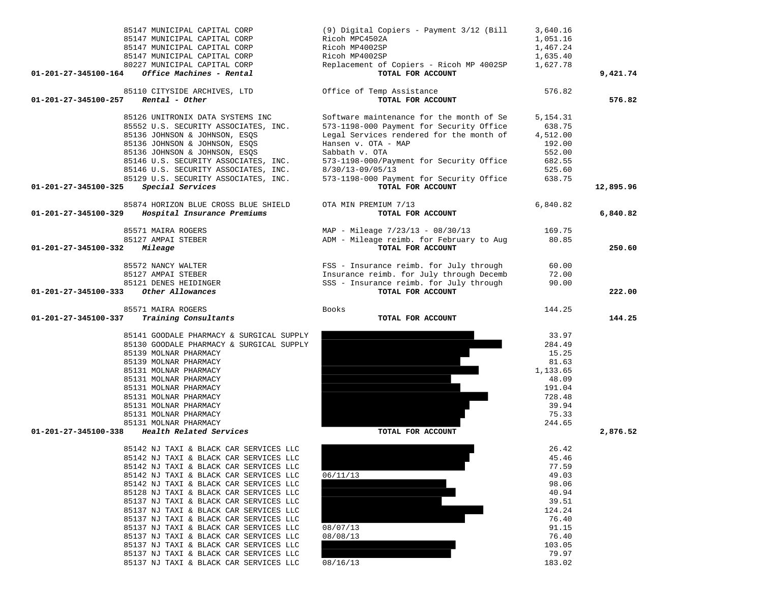| 85147 MUNICIPAL CAPITAL CORP<br>85147 MUNICIPAL CAPITAL CORP                     | (9) Digital Copiers - Payment 3/12 (Bill<br>Ricoh MPC4502A    | 3,640.16<br>1,051.16 |           |
|----------------------------------------------------------------------------------|---------------------------------------------------------------|----------------------|-----------|
| 85147 MUNICIPAL CAPITAL CORP                                                     | Ricoh MP4002SP                                                | 1,467.24             |           |
| 85147 MUNICIPAL CAPITAL CORP                                                     | Ricoh MP4002SP                                                | 1,635.40             |           |
| 80227 MUNICIPAL CAPITAL CORP<br>Office Machines - Rental<br>01-201-27-345100-164 | Replacement of Copiers - Ricoh MP 4002SP<br>TOTAL FOR ACCOUNT | 1,627.78             | 9,421.74  |
|                                                                                  |                                                               |                      |           |
| 85110 CITYSIDE ARCHIVES, LTD                                                     | Office of Temp Assistance                                     | 576.82               |           |
| Rental - Other<br>01-201-27-345100-257                                           | TOTAL FOR ACCOUNT                                             |                      | 576.82    |
| 85126 UNITRONIX DATA SYSTEMS INC                                                 | Software maintenance for the month of Se                      | 5, 154. 31           |           |
| 85552 U.S. SECURITY ASSOCIATES, INC.                                             | 573-1198-000 Payment for Security Office                      | 638.75               |           |
| 85136 JOHNSON & JOHNSON, ESQS                                                    | Legal Services rendered for the month of                      | 4,512.00             |           |
| 85136 JOHNSON & JOHNSON, ESQS                                                    | Hansen v. OTA - MAP                                           | 192.00               |           |
| 85136 JOHNSON & JOHNSON, ESQS                                                    | Sabbath v. OTA                                                | 552.00               |           |
| 85146 U.S. SECURITY ASSOCIATES, INC.                                             | 573-1198-000/Payment for Security Office                      | 682.55               |           |
| 85146 U.S. SECURITY ASSOCIATES, INC.                                             | 8/30/13-09/05/13                                              | 525.60               |           |
| 85129 U.S. SECURITY ASSOCIATES, INC.                                             | 573-1198-000 Payment for Security Office<br>TOTAL FOR ACCOUNT | 638.75               |           |
| Special Services<br>01-201-27-345100-325                                         |                                                               |                      | 12,895.96 |
| 85874 HORIZON BLUE CROSS BLUE SHIELD                                             | OTA MIN PREMIUM 7/13                                          | 6,840.82             |           |
| Hospital Insurance Premiums<br>01-201-27-345100-329                              | TOTAL FOR ACCOUNT                                             |                      | 6,840.82  |
| 85571 MAIRA ROGERS                                                               | MAP - Mileage 7/23/13 - 08/30/13                              | 169.75               |           |
| 85127 AMPAI STEBER                                                               | ADM - Mileage reimb. for February to Aug                      | 80.85                |           |
| 01-201-27-345100-332<br>Mileage                                                  | TOTAL FOR ACCOUNT                                             |                      | 250.60    |
|                                                                                  |                                                               |                      |           |
| 85572 NANCY WALTER                                                               | FSS - Insurance reimb. for July through                       | 60.00                |           |
| 85127 AMPAI STEBER                                                               | Insurance reimb. for July through Decemb                      | 72.00                |           |
| 85121 DENES HEIDINGER<br>Other Allowances                                        | SSS - Insurance reimb. for July through<br>TOTAL FOR ACCOUNT  | 90.00                | 222.00    |
| 01-201-27-345100-333                                                             |                                                               |                      |           |
|                                                                                  |                                                               |                      |           |
| 85571 MAIRA ROGERS                                                               | Books                                                         | 144.25               |           |
| 01-201-27-345100-337<br>Training Consultants                                     | TOTAL FOR ACCOUNT                                             |                      | 144.25    |
|                                                                                  |                                                               |                      |           |
| 85141 GOODALE PHARMACY & SURGICAL SUPPLY                                         |                                                               | 33.97                |           |
| 85130 GOODALE PHARMACY & SURGICAL SUPPLY<br>85139 MOLNAR PHARMACY                |                                                               | 284.49<br>15.25      |           |
| 85139 MOLNAR PHARMACY                                                            |                                                               | 81.63                |           |
| 85131 MOLNAR PHARMACY                                                            |                                                               | 1,133.65             |           |
| 85131 MOLNAR PHARMACY                                                            |                                                               | 48.09                |           |
| 85131 MOLNAR PHARMACY                                                            |                                                               | 191.04               |           |
| 85131 MOLNAR PHARMACY                                                            |                                                               | 728.48               |           |
| 85131 MOLNAR PHARMACY                                                            |                                                               | 39.94                |           |
| 85131 MOLNAR PHARMACY                                                            |                                                               | 75.33                |           |
| 85131 MOLNAR PHARMACY<br>Health Related Services<br>01-201-27-345100-338         | TOTAL FOR ACCOUNT                                             | 244.65               | 2,876.52  |
|                                                                                  |                                                               |                      |           |
| 85142 NJ TAXI & BLACK CAR SERVICES LLC                                           |                                                               | 26.42                |           |
| 85142 NJ TAXI & BLACK CAR SERVICES LLC                                           |                                                               | 45.46                |           |
| 85142 NJ TAXI & BLACK CAR SERVICES LLC                                           |                                                               | 77.59                |           |
| 85142 NJ TAXI & BLACK CAR SERVICES LLC<br>85142 NJ TAXI & BLACK CAR SERVICES LLC | 06/11/13                                                      | 49.03<br>98.06       |           |
| 85128 NJ TAXI & BLACK CAR SERVICES LLC                                           |                                                               | 40.94                |           |
| 85137 NJ TAXI & BLACK CAR SERVICES LLC                                           |                                                               | 39.51                |           |
| 85137 NJ TAXI & BLACK CAR SERVICES LLC                                           |                                                               | 124.24               |           |
| 85137 NJ TAXI & BLACK CAR SERVICES LLC                                           |                                                               | 76.40                |           |
| 85137 NJ TAXI & BLACK CAR SERVICES LLC                                           | 08/07/13                                                      | 91.15                |           |
| 85137 NJ TAXI & BLACK CAR SERVICES LLC                                           | 08/08/13                                                      | 76.40                |           |
| 85137 NJ TAXI & BLACK CAR SERVICES LLC                                           |                                                               | 103.05               |           |
| 85137 NJ TAXI & BLACK CAR SERVICES LLC<br>85137 NJ TAXI & BLACK CAR SERVICES LLC | 08/16/13                                                      | 79.97<br>183.02      |           |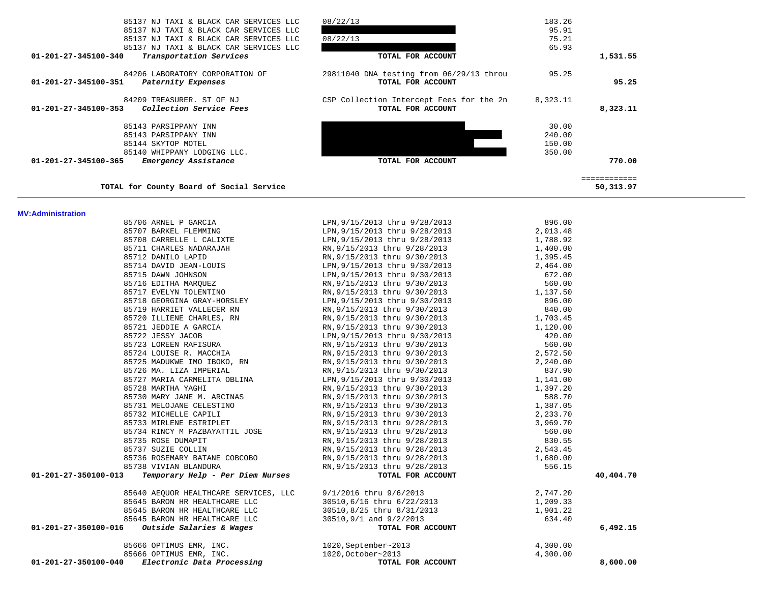| TOTAL FOR ACCOUNT                        | 350.00                        | 770.00<br>============ |
|------------------------------------------|-------------------------------|------------------------|
|                                          |                               |                        |
|                                          |                               |                        |
|                                          |                               |                        |
|                                          | 150.00                        |                        |
|                                          | 240.00                        |                        |
|                                          | 30.00                         |                        |
|                                          |                               | 8,323.11               |
| CSP Collection Intercept Fees for the 2n | 8,323.11                      |                        |
| TOTAL FOR ACCOUNT                        |                               | 95.25                  |
| 29811040 DNA testing from 06/29/13 throu | 95.25                         |                        |
| TOTAL FOR ACCOUNT                        |                               | 1,531.55               |
|                                          | 65.93                         |                        |
| 08/22/13                                 | 75.21                         |                        |
|                                          | 95.91                         |                        |
|                                          | 08/22/13<br>TOTAL FOR ACCOUNT | 183.26                 |

| 85706 ARNEL P GARCIA                                                                                     | LPN, 9/15/2013 thru 9/28/2013                                                                                                                                                                                                                   | 896.00                             |           |
|----------------------------------------------------------------------------------------------------------|-------------------------------------------------------------------------------------------------------------------------------------------------------------------------------------------------------------------------------------------------|------------------------------------|-----------|
|                                                                                                          | 85706 ARNEL P GARCIA<br>85707 BARKEL FLEMMING<br>85707 BARKEL FLEMMING<br>85708 CARRELLE L CALIXTE<br>85711 CHARLES NADARAJAH<br>85711 CHARLES NADARAJAH<br>85711 CHARLES NADARAJAH<br>85712 DANILO LAPID<br>85712 DANILO LAPID<br>85712 DANILO |                                    |           |
|                                                                                                          |                                                                                                                                                                                                                                                 |                                    |           |
|                                                                                                          |                                                                                                                                                                                                                                                 |                                    |           |
|                                                                                                          |                                                                                                                                                                                                                                                 |                                    |           |
|                                                                                                          |                                                                                                                                                                                                                                                 |                                    |           |
| 85715 DAWN JOHNSON                                                                                       | LPN, 9/15/2013 thru 9/30/2013 672.00                                                                                                                                                                                                            |                                    |           |
|                                                                                                          | 85716 EDITHA MARQUEZ <b>EXECUTE:</b> RN, 9/15/2013 thru 9/30/2013 560.00                                                                                                                                                                        |                                    |           |
|                                                                                                          | 85717 EVELYN TOLENTINO RN, 9/15/2013 thru 9/30/2013 1.137.50                                                                                                                                                                                    |                                    |           |
|                                                                                                          | 85718 GEORGINA GRAY-HORSLEY LPN, 9/15/2013 thru 9/30/2013 (896.00 85719 HARRIET VALLECER RN RN, 9/15/2013 thru 9/30/2013 (896.00 85720 ILLIENE CHARLES, RN RN, 9/15/2013 thru 9/30/2013 (896.00 85720 ILLIENE CHARLES, RN RN,                   |                                    |           |
|                                                                                                          |                                                                                                                                                                                                                                                 |                                    |           |
|                                                                                                          |                                                                                                                                                                                                                                                 |                                    |           |
| 85721 JEDDIE A GARCIA                                                                                    |                                                                                                                                                                                                                                                 |                                    |           |
| 85722 JESSY JACOB<br>85723 LOREEN RAFISURA                                                               |                                                                                                                                                                                                                                                 |                                    |           |
|                                                                                                          |                                                                                                                                                                                                                                                 |                                    |           |
| 85724 LOUISE R. MACCHIA                                                                                  |                                                                                                                                                                                                                                                 |                                    |           |
| 85725 MADUKWE IMO IBOKO, RN                                                                              | RN, 9/15/2013 thru 9/30/2013<br>LPN, 9/15/2013 thru 9/30/2013<br>RN, 9/15/2013 thru 9/30/2013<br>RN, 9/15/2013 thru 9/30/2013<br>RN, 9/15/2013 thru 9/30/2013<br>RN, 9/15/2013 thru 9/30/2013<br>RN, 9/15/2013 thru 9/30/2013<br>RN, 9/15/20    |                                    |           |
| 85726 MA. LIZA IMPERIAL                                                                                  |                                                                                                                                                                                                                                                 |                                    |           |
|                                                                                                          | 85727 MARIA CARMELITA OBLINA LPN, 9/15/2013 thru 9/30/2013 1.141.00                                                                                                                                                                             |                                    |           |
|                                                                                                          |                                                                                                                                                                                                                                                 |                                    |           |
|                                                                                                          |                                                                                                                                                                                                                                                 |                                    |           |
|                                                                                                          |                                                                                                                                                                                                                                                 |                                    |           |
| 85732 MICHELLE CAPILI                                                                                    | RN, 9/15/2013 thru 9/30/2013                                                                                                                                                                                                                    | 2, 233.70                          |           |
| 85733 MIRLENE ESTRIPLET                                                                                  | RN, 9/15/2013 thru 9/28/2013                                                                                                                                                                                                                    | 3,969.70                           |           |
| 85734 RINCY M PAZBAYATTIL JOSE RN, 9/15/2013 thru 9/28/2013                                              |                                                                                                                                                                                                                                                 |                                    |           |
| 85735 ROSE DUMAPIT                                                                                       | RN, 9/15/2013 thru 9/28/2013                                                                                                                                                                                                                    |                                    |           |
| 85737 SUZIE COLLIN                                                                                       | RN, 9/15/2013 thru 9/28/2013                                                                                                                                                                                                                    | $560.00$<br>$830.55$<br>$2,543.45$ |           |
| 85736 ROSEMARY BATANE COBCOBO<br>85738 VIVIAN BLANDURA<br>85738 VIVIAN BLANDURA<br>85738 VIVIAN BLANDURA |                                                                                                                                                                                                                                                 |                                    |           |
| 85738 VIVIAN BLANDURA                                                                                    | 3 thru 9/28/2013 1,680.00<br>3 thru 9/28/2013 556.15<br><b>TOTAL FOR ACCOUNT</b><br>RN, 9/15/2013 thru 9/28/2013                                                                                                                                |                                    |           |
| Temporary Help - Per Diem Nurses<br>01-201-27-350100-013                                                 |                                                                                                                                                                                                                                                 |                                    | 40,404.70 |
| 85640 AEOUOR HEALTHCARE SERVICES, LLC 9/1/2016 thru 9/6/2013                                             |                                                                                                                                                                                                                                                 |                                    |           |
| 85645 BARON HR HEALTHCARE LLC                                                                            |                                                                                                                                                                                                                                                 |                                    |           |
| 85645 BARON HR HEALTHCARE LLC                                                                            |                                                                                                                                                                                                                                                 |                                    |           |
| 85645 BARON HR HEALTHCARE LLC 30510, 9/1 and 9/2/2013                                                    |                                                                                                                                                                                                                                                 |                                    |           |
| Outside Salaries & Wages<br>01-201-27-350100-016                                                         | 9/1/2016 thru 9/6/2013<br>30510,6/16 thru 6/22/2013<br>30510,8/25 thru 8/31/2013<br>30510,9/1 and 9/2/2013<br><b>TOTAL FOR ACCOUNT</b> 634.40                                                                                                   |                                    | 6,492.15  |
| 85666 OPTIMUS EMR, INC.                                                                                  | $1020$ , September~2013                                                                                                                                                                                                                         | 4,300.00                           |           |
| 85666 OPTIMUS EMR, INC.                                                                                  | 1020, October~2013                                                                                                                                                                                                                              | 4,300.00                           |           |

**College** 

 **01-201-27-350100-040** *Electronic Data Processing* **TOTAL FOR ACCOUNT 8,600.00**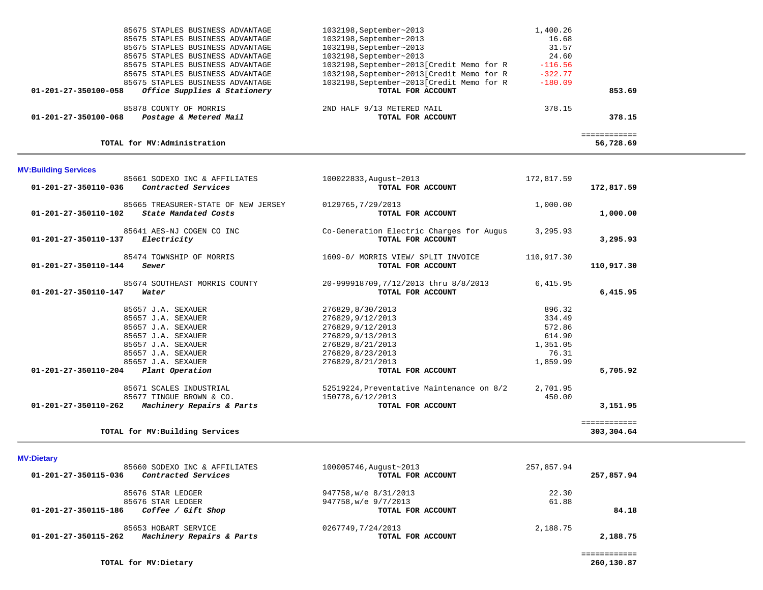| 85675 STAPLES BUSINESS ADVANTAGE                         | 1032198, September~2013                   | 1,400.26  |        |
|----------------------------------------------------------|-------------------------------------------|-----------|--------|
| 85675 STAPLES BUSINESS ADVANTAGE                         | 1032198, September~2013                   | 16.68     |        |
| 85675 STAPLES BUSINESS ADVANTAGE                         | 1032198, September~2013                   | 31.57     |        |
| 85675 STAPLES BUSINESS ADVANTAGE                         | 1032198, September~2013                   | 24.60     |        |
| 85675 STAPLES BUSINESS ADVANTAGE                         | 1032198, September~2013[Credit Memo for R | $-116.56$ |        |
| 85675 STAPLES BUSINESS ADVANTAGE                         | 1032198, September~2013[Credit Memo for R | $-322.77$ |        |
| 85675 STAPLES BUSINESS ADVANTAGE                         | 1032198, September~2013[Credit Memo for R | $-180.09$ |        |
| Office Supplies & Stationery<br>01-201-27-350100-058     | TOTAL FOR ACCOUNT                         |           | 853.69 |
| 85878 COUNTY OF MORRIS                                   | 2ND HALF 9/13 METERED MAIL                | 378.15    |        |
| Postage & Metered Mail<br>$01 - 201 - 27 - 350100 - 068$ | TOTAL FOR ACCOUNT                         |           | 378.15 |
|                                                          |                                           |           |        |
|                                                          |                                           |           |        |

============

## **TOTAL for MV:Administration 56,728.69**

# **MV:Building Services**

| 85661 SODEXO INC & AFFILIATES<br>Contracted Services<br>01-201-27-350110-036        | 100022833, August~2013<br>TOTAL FOR ACCOUNT                   | 172,817.59 | 172,817.59   |
|-------------------------------------------------------------------------------------|---------------------------------------------------------------|------------|--------------|
| 85665 TREASURER-STATE OF NEW JERSEY<br>01-201-27-350110-102<br>State Mandated Costs | 0129765, 7/29/2013<br>TOTAL FOR ACCOUNT                       | 1,000.00   | 1,000.00     |
| 85641 AES-NJ COGEN CO INC<br>01-201-27-350110-137<br>Electricity                    | Co-Generation Electric Charges for Augus<br>TOTAL FOR ACCOUNT | 3,295.93   | 3,295.93     |
| 85474 TOWNSHIP OF MORRIS<br>01-201-27-350110-144<br>Sewer                           | 1609-0/ MORRIS VIEW/ SPLIT INVOICE<br>TOTAL FOR ACCOUNT       | 110,917.30 | 110,917.30   |
| 85674 SOUTHEAST MORRIS COUNTY<br>01-201-27-350110-147<br>Water                      | 20-999918709,7/12/2013 thru 8/8/2013<br>TOTAL FOR ACCOUNT     | 6,415.95   | 6,415.95     |
| 85657 J.A. SEXAUER                                                                  | 276829,8/30/2013                                              | 896.32     |              |
| 85657 J.A. SEXAUER                                                                  | 276829, 9/12/2013                                             | 334.49     |              |
| 85657 J.A. SEXAUER                                                                  | 276829, 9/12/2013                                             | 572.86     |              |
| 85657 J.A. SEXAUER                                                                  | 276829, 9/13/2013                                             | 614.90     |              |
| 85657 J.A. SEXAUER                                                                  | 276829,8/21/2013                                              | 1,351.05   |              |
| 85657 J.A. SEXAUER                                                                  | 276829,8/23/2013                                              | 76.31      |              |
| 85657 J.A. SEXAUER                                                                  | 276829,8/21/2013                                              | 1,859.99   |              |
| 01-201-27-350110-204<br>Plant Operation                                             | TOTAL FOR ACCOUNT                                             |            | 5,705.92     |
| 85671 SCALES INDUSTRIAL                                                             | 52519224, Preventative Maintenance on 8/2                     | 2,701.95   |              |
| 85677 TINGUE BROWN & CO.                                                            | 150778,6/12/2013                                              | 450.00     |              |
| $01 - 201 - 27 - 350110 - 262$<br>Machinery Repairs & Parts                         | TOTAL FOR ACCOUNT                                             |            | 3,151.95     |
|                                                                                     |                                                               |            | ============ |
| TOTAL for MV: Building Services                                                     |                                                               |            | 303,304.64   |

# **MV:Dietary**

| 85660 SODEXO INC & AFFILIATES<br>01-201-27-350115-036<br>Contracted Services | 100005746, August~2013<br>TOTAL FOR ACCOUNT | 257,857.94 | 257,857.94 |
|------------------------------------------------------------------------------|---------------------------------------------|------------|------------|
| 85676 STAR LEDGER                                                            | 947758, w/e 8/31/2013                       | 22.30      |            |
| 85676 STAR LEDGER                                                            | 947758, w/e 9/7/2013                        | 61.88      |            |
| Coffee / Gift Shop<br>01-201-27-350115-186                                   | TOTAL FOR ACCOUNT                           |            | 84.18      |
| 85653 HOBART SERVICE                                                         | 0267749,7/24/2013                           | 2,188.75   |            |
| Machinery Repairs & Parts<br>01-201-27-350115-262                            | TOTAL FOR ACCOUNT                           |            | 2,188.75   |

56,728.69

**TOTAL for MV:Dietary 260,130.87**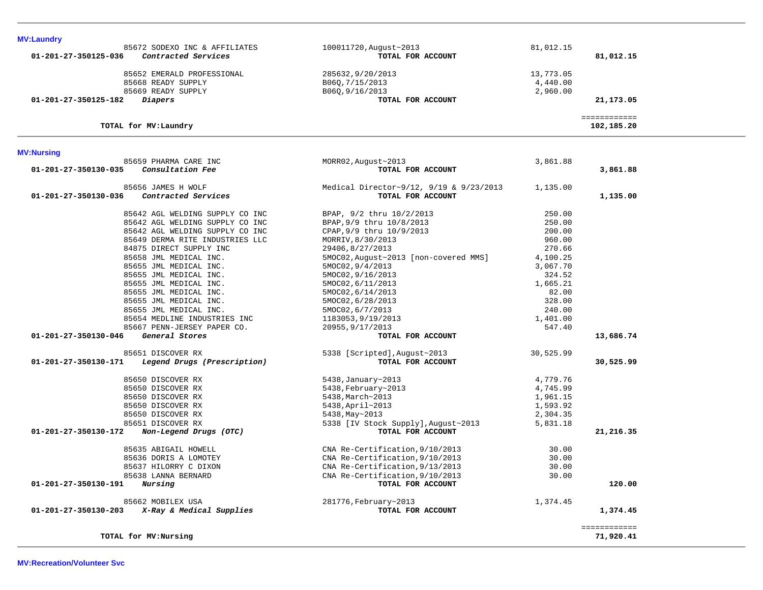| <b>MV:Laundry</b>                           |                        |                         |  |
|---------------------------------------------|------------------------|-------------------------|--|
| 85672 SODEXO INC & AFFILIATES               | 100011720, August~2013 | 81,012.15               |  |
| Contracted Services<br>01-201-27-350125-036 | TOTAL FOR ACCOUNT      | 81,012.15               |  |
| 85652 EMERALD PROFESSIONAL                  | 285632,9/20/2013       | 13,773.05               |  |
| 85668 READY SUPPLY                          | B060,7/15/2013         | 4,440.00                |  |
| 85669 READY SUPPLY                          | B060,9/16/2013         | 2,960.00                |  |
| 01-201-27-350125-182<br>Diapers             | TOTAL FOR ACCOUNT      | 21,173.05               |  |
|                                             |                        | . = = = = = = = = = = = |  |
| TOTAL for MV:Laundry                        |                        | 102,185.20              |  |

# **MV:Nursing**

| 85659 PHARMA CARE INC<br>Consultation Fee<br>01-201-27-350130-035 | MORR02, August~2013<br>TOTAL FOR ACCOUNT | 3,861.88  | 3,861.88                  |
|-------------------------------------------------------------------|------------------------------------------|-----------|---------------------------|
| 85656 JAMES H WOLF                                                | Medical Director~9/12, 9/19 & 9/23/2013  | 1,135.00  |                           |
| Contracted Services<br>01-201-27-350130-036                       | TOTAL FOR ACCOUNT                        |           | 1,135.00                  |
| 85642 AGL WELDING SUPPLY CO INC                                   | BPAP, 9/2 thru 10/2/2013                 | 250.00    |                           |
| 85642 AGL WELDING SUPPLY CO INC                                   | BPAP, 9/9 thru 10/8/2013                 | 250.00    |                           |
| 85642 AGL WELDING SUPPLY CO INC                                   | CPAP, 9/9 thru 10/9/2013                 | 200.00    |                           |
| 85649 DERMA RITE INDUSTRIES LLC                                   | MORRIV, 8/30/2013                        | 960.00    |                           |
| 84875 DIRECT SUPPLY INC                                           | 29406,8/27/2013                          | 270.66    |                           |
| 85658 JML MEDICAL INC.                                            | 5MOC02, August~2013 [non-covered MMS]    | 4,100.25  |                           |
| 85655 JML MEDICAL INC.                                            | 5MOC02, 9/4/2013                         | 3,067.70  |                           |
| 85655 JML MEDICAL INC.                                            | 5MOC02, 9/16/2013                        | 324.52    |                           |
| 85655 JML MEDICAL INC.                                            | 5MOC02, 6/11/2013                        | 1,665.21  |                           |
| 85655 JML MEDICAL INC.                                            | 5MOC02, 6/14/2013                        | 82.00     |                           |
| 85655 JML MEDICAL INC.                                            | 5MOC02, 6/28/2013                        | 328.00    |                           |
| 85655 JML MEDICAL INC.                                            | 5MOC02, 6/7/2013                         | 240.00    |                           |
| 85654 MEDLINE INDUSTRIES INC                                      | 1183053,9/19/2013                        | 1,401.00  |                           |
| 85667 PENN-JERSEY PAPER CO.                                       | 20955, 9/17/2013                         | 547.40    |                           |
| 01-201-27-350130-046<br>General Stores                            | TOTAL FOR ACCOUNT                        |           | 13,686.74                 |
| 85651 DISCOVER RX                                                 | 5338 [Scripted], August~2013             | 30,525.99 |                           |
| 01-201-27-350130-171<br>Legend Drugs (Prescription)               | TOTAL FOR ACCOUNT                        |           | 30,525.99                 |
| 85650 DISCOVER RX                                                 | 5438, January~2013                       | 4,779.76  |                           |
| 85650 DISCOVER RX                                                 | 5438, February~2013                      | 4,745.99  |                           |
| 85650 DISCOVER RX                                                 | 5438, March~2013                         | 1,961.15  |                           |
| 85650 DISCOVER RX                                                 | 5438, April~2013                         | 1,593.92  |                           |
| 85650 DISCOVER RX                                                 | 5438, May~2013                           | 2,304.35  |                           |
| 85651 DISCOVER RX                                                 | 5338 [IV Stock Supply], August~2013      | 5,831.18  |                           |
| 01-201-27-350130-172<br>Non-Legend Drugs (OTC)                    | TOTAL FOR ACCOUNT                        |           | 21,216.35                 |
| 85635 ABIGAIL HOWELL                                              | CNA Re-Certification, 9/10/2013          | 30.00     |                           |
| 85636 DORIS A LOMOTEY                                             | CNA Re-Certification, 9/10/2013          | 30.00     |                           |
| 85637 HILORRY C DIXON                                             | CNA Re-Certification, 9/13/2013          | 30.00     |                           |
| 85638 LANNA BERNARD                                               | CNA Re-Certification, 9/10/2013          | 30.00     |                           |
| Nursing<br>01-201-27-350130-191                                   | TOTAL FOR ACCOUNT                        |           | 120.00                    |
| 85662 MOBILEX USA                                                 | 281776, February~2013                    | 1,374.45  |                           |
| X-Ray & Medical Supplies<br>01-201-27-350130-203                  | TOTAL FOR ACCOUNT                        |           | 1,374.45                  |
| TOTAL for MV: Nursing                                             |                                          |           | ============<br>71,920.41 |
|                                                                   |                                          |           |                           |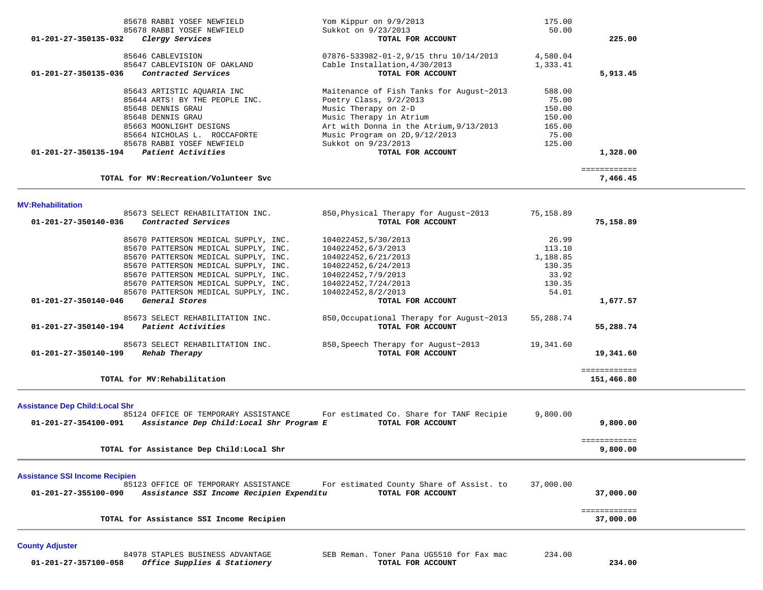| MV:Rehabilitation<br>85673 SELECT REHABILITATION INC.<br>$01 - 201 - 27 - 350140 - 036$<br>Contracted Services | 850, Physical Therapy for August~2013<br>TOTAL FOR ACCOUNT | 75,158.89 | 75,158.89                |
|----------------------------------------------------------------------------------------------------------------|------------------------------------------------------------|-----------|--------------------------|
| TOTAL for MV: Recreation/Volunteer Svc                                                                         |                                                            |           | ============<br>7,466.45 |
| 01-201-27-350135-194<br>Patient Activities                                                                     | TOTAL FOR ACCOUNT                                          |           | 1,328.00                 |
| 85678 RABBI YOSEF NEWFIELD                                                                                     | Sukkot on 9/23/2013                                        | 125.00    |                          |
| 85664 NICHOLAS L. ROCCAFORTE                                                                                   | Music Program on 2D, 9/12/2013                             | 75.00     |                          |
| 85663 MOONLIGHT DESIGNS                                                                                        | Art with Donna in the Atrium, 9/13/2013                    | 165.00    |                          |
| 85648 DENNIS GRAU                                                                                              | Music Therapy in Atrium                                    | 150.00    |                          |
| 85648 DENNIS GRAU                                                                                              | Music Therapy on 2-D                                       | 150.00    |                          |
| 85644 ARTS! BY THE PEOPLE INC.                                                                                 | Poetry Class, 9/2/2013                                     | 75.00     |                          |
| 85643 ARTISTIC AQUARIA INC                                                                                     | Maitenance of Fish Tanks for August~2013                   | 588.00    |                          |
| 01-201-27-350135-036<br>Contracted Services                                                                    | TOTAL FOR ACCOUNT                                          |           | 5,913.45                 |
| 85647 CABLEVISION OF OAKLAND                                                                                   | Cable Installation, 4/30/2013                              | 1,333.41  |                          |
| 85646 CABLEVISION                                                                                              | 07876-533982-01-2,9/15 thru 10/14/2013                     | 4,580.04  |                          |
| <i>Clergy Services</i><br>$01 - 201 - 27 - 350135 - 032$                                                       | TOTAL FOR ACCOUNT                                          |           | 225.00                   |
| 85678 RABBI YOSEF NEWFIELD                                                                                     | Sukkot on 9/23/2013                                        | 50.00     |                          |
| 85678 RABBI YOSEF NEWFIELD                                                                                     | Yom Kippur on 9/9/2013                                     | 175.00    |                          |

| 85670 PATTERSON MEDICAL SUPPLY, INC.                 | 104022452,5/30/2013                       | 26.99     |              |
|------------------------------------------------------|-------------------------------------------|-----------|--------------|
| 85670 PATTERSON MEDICAL SUPPLY, INC.                 | 104022452,6/3/2013                        | 113.10    |              |
| 85670 PATTERSON MEDICAL SUPPLY, INC.                 | 104022452,6/21/2013                       | 1,188.85  |              |
| 85670 PATTERSON MEDICAL SUPPLY, INC.                 | 104022452,6/24/2013                       | 130.35    |              |
| 85670 PATTERSON MEDICAL SUPPLY, INC.                 | 104022452,7/9/2013                        | 33.92     |              |
| 85670 PATTERSON MEDICAL SUPPLY, INC.                 | 104022452,7/24/2013                       | 130.35    |              |
| 85670 PATTERSON MEDICAL SUPPLY, INC.                 | 104022452,8/2/2013                        | 54.01     |              |
| 01-201-27-350140-046<br>General Stores               | TOTAL FOR ACCOUNT                         |           | 1,677.57     |
| 85673 SELECT REHABILITATION INC.                     | 850, Occupational Therapy for August~2013 | 55,288.74 |              |
| $01 - 201 - 27 - 350140 - 194$<br>Patient Activities | TOTAL FOR ACCOUNT                         |           | 55,288.74    |
| 85673 SELECT REHABILITATION INC.                     | 850, Speech Therapy for August~2013       | 19,341.60 |              |
| 01-201-27-350140-199<br>Rehab Therapy                | TOTAL FOR ACCOUNT                         |           | 19,341.60    |
|                                                      |                                           |           | ------------ |
| TOTAL for MV: Rehabilitation                         |                                           |           | 151,466.80   |

**Assistance Dep Child:Local Shr**

| For estimated Co. Share for TANF Recipie<br>85124 OFFICE OF TEMPORARY ASSISTANCE<br>01-201-27-354100-091<br>Assistance Dep Child: Local Shr Program E<br>TOTAL FOR ACCOUNT                                         | 9,800.00<br>9,800.00     |  |
|--------------------------------------------------------------------------------------------------------------------------------------------------------------------------------------------------------------------|--------------------------|--|
| TOTAL for Assistance Dep Child: Local Shr                                                                                                                                                                          | ============<br>9,800.00 |  |
| <b>Assistance SSI Income Recipien</b><br>For estimated County Share of Assist, to<br>85123 OFFICE OF TEMPORARY ASSISTANCE<br>01-201-27-355100-090<br>Assistance SSI Income Recipien Expenditu<br>TOTAL FOR ACCOUNT | 37,000.00<br>37,000,00   |  |
|                                                                                                                                                                                                                    | ============             |  |

37,000.00 **TOTAL for Assistance SSI Income Recipien 37,000.00**

# **County Adjuster**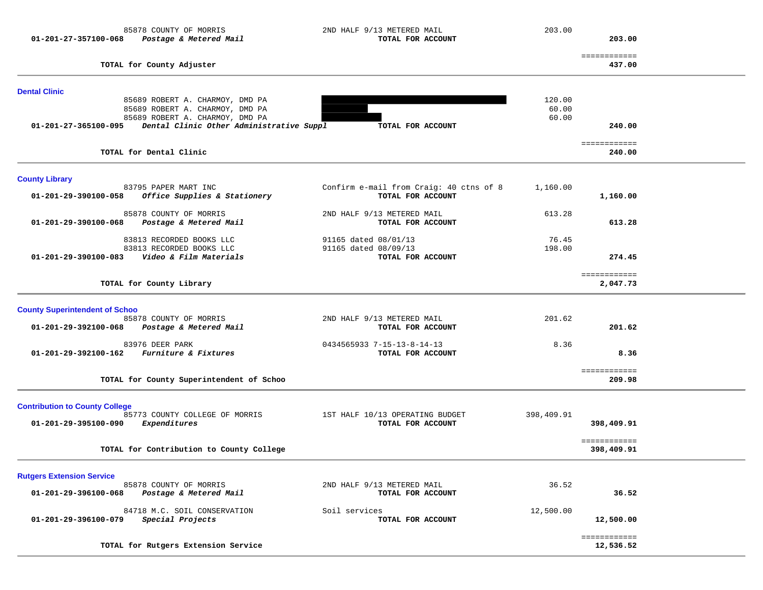| 85878 COUNTY OF MORRIS<br>Postage & Metered Mail<br>01-201-27-357100-068                         | 2ND HALF 9/13 METERED MAIL<br>TOTAL FOR ACCOUNT              | 203.00          | 203.00                     |  |
|--------------------------------------------------------------------------------------------------|--------------------------------------------------------------|-----------------|----------------------------|--|
| TOTAL for County Adjuster                                                                        |                                                              |                 | ============<br>437.00     |  |
| <b>Dental Clinic</b>                                                                             |                                                              |                 |                            |  |
| 85689 ROBERT A. CHARMOY, DMD PA<br>85689 ROBERT A. CHARMOY, DMD PA                               |                                                              | 120.00<br>60.00 |                            |  |
| 85689 ROBERT A. CHARMOY, DMD PA<br>01-201-27-365100-095 Dental Clinic Other Administrative Suppl | TOTAL FOR ACCOUNT                                            | 60.00           | 240.00                     |  |
| TOTAL for Dental Clinic                                                                          |                                                              |                 | ============<br>240.00     |  |
| <b>County Library</b>                                                                            |                                                              |                 |                            |  |
| 83795 PAPER MART INC<br>Office Supplies & Stationery<br>01-201-29-390100-058                     | Confirm e-mail from Craig: 40 ctns of 8<br>TOTAL FOR ACCOUNT | 1,160.00        | 1,160.00                   |  |
| 85878 COUNTY OF MORRIS<br>Postage & Metered Mail<br>01-201-29-390100-068                         | 2ND HALF 9/13 METERED MAIL<br>TOTAL FOR ACCOUNT              | 613.28          | 613.28                     |  |
| 83813 RECORDED BOOKS LLC<br>83813 RECORDED BOOKS LLC                                             | 91165 dated 08/01/13<br>91165 dated 08/09/13                 | 76.45<br>198.00 |                            |  |
| 01-201-29-390100-083    Video & Film Materials                                                   | TOTAL FOR ACCOUNT                                            |                 | 274.45                     |  |
| TOTAL for County Library                                                                         |                                                              |                 | ============<br>2,047.73   |  |
| <b>County Superintendent of Schoo</b>                                                            |                                                              |                 |                            |  |
| 85878 COUNTY OF MORRIS<br>Postage & Metered Mail<br>01-201-29-392100-068                         | 2ND HALF 9/13 METERED MAIL<br>TOTAL FOR ACCOUNT              | 201.62          | 201.62                     |  |
| 83976 DEER PARK<br>Furniture & Fixtures<br>01-201-29-392100-162                                  | 0434565933 7-15-13-8-14-13<br>TOTAL FOR ACCOUNT              | 8.36            | 8.36                       |  |
| TOTAL for County Superintendent of Schoo                                                         |                                                              |                 | ============<br>209.98     |  |
| <b>Contribution to County College</b><br>85773 COUNTY COLLEGE OF MORRIS                          | 1ST HALF 10/13 OPERATING BUDGET                              | 398,409.91      |                            |  |
| 01-201-29-395100-090<br>Expenditures                                                             | TOTAL FOR ACCOUNT                                            |                 | 398,409.91<br>============ |  |
| TOTAL for Contribution to County College                                                         |                                                              |                 | 398,409.91                 |  |
| <b>Rutgers Extension Service</b>                                                                 |                                                              |                 |                            |  |
| 85878 COUNTY OF MORRIS<br>Postage & Metered Mail<br>01-201-29-396100-068                         | 2ND HALF 9/13 METERED MAIL<br>TOTAL FOR ACCOUNT              | 36.52           | 36.52                      |  |
| 84718 M.C. SOIL CONSERVATION<br>Special Projects<br>01-201-29-396100-079                         | Soil services<br>TOTAL FOR ACCOUNT                           | 12,500.00       | 12,500.00                  |  |
| TOTAL for Rutgers Extension Service                                                              |                                                              |                 | ============<br>12,536.52  |  |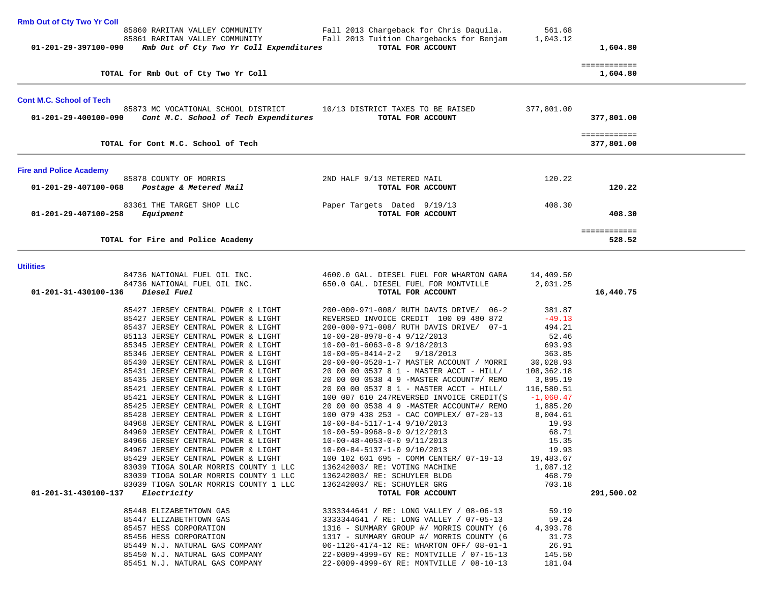| <b>Rmb Out of Cty Two Yr Coll</b> |                                         |                                                  |            |                        |  |
|-----------------------------------|-----------------------------------------|--------------------------------------------------|------------|------------------------|--|
|                                   | 85860 RARITAN VALLEY COMMUNITY          | Fall 2013 Chargeback for Chris Daquila.          | 561.68     |                        |  |
|                                   | 85861 RARITAN VALLEY COMMUNITY          | Fall 2013 Tuition Chargebacks for Benjam         | 1,043.12   |                        |  |
| 01-201-29-397100-090              | Rmb Out of Cty Two Yr Coll Expenditures | TOTAL FOR ACCOUNT                                |            | 1,604.80               |  |
|                                   |                                         |                                                  |            | ============           |  |
|                                   | TOTAL for Rmb Out of Cty Two Yr Coll    |                                                  |            | 1,604.80               |  |
|                                   |                                         |                                                  |            |                        |  |
| <b>Cont M.C. School of Tech</b>   |                                         |                                                  |            |                        |  |
|                                   | 85873 MC VOCATIONAL SCHOOL DISTRICT     | 10/13 DISTRICT TAXES TO BE RAISED                | 377,801.00 |                        |  |
| 01-201-29-400100-090              | Cont M.C. School of Tech Expenditures   | TOTAL FOR ACCOUNT                                |            | 377,801.00             |  |
|                                   |                                         |                                                  |            |                        |  |
|                                   |                                         |                                                  |            |                        |  |
|                                   |                                         |                                                  |            | ============           |  |
|                                   | TOTAL for Cont M.C. School of Tech      |                                                  |            | 377,801.00             |  |
|                                   |                                         |                                                  |            |                        |  |
| <b>Fire and Police Academy</b>    |                                         |                                                  |            |                        |  |
|                                   | 85878 COUNTY OF MORRIS                  | 2ND HALF 9/13 METERED MAIL                       | 120.22     |                        |  |
| 01-201-29-407100-068              | Postage & Metered Mail                  | TOTAL FOR ACCOUNT                                |            | 120.22                 |  |
|                                   |                                         |                                                  |            |                        |  |
| 01-201-29-407100-258              | 83361 THE TARGET SHOP LLC<br>Equipment  | Paper Targets Dated 9/19/13<br>TOTAL FOR ACCOUNT | 408.30     | 408.30                 |  |
|                                   |                                         |                                                  |            |                        |  |
|                                   | TOTAL for Fire and Police Academy       |                                                  |            | ------------<br>528.52 |  |

## **Utilities**

|                                                                          | $\begin{array}{cccc} \texttt{84736} \text{ NATIONAL FUEL OIL INC.} & \texttt{4600.0 GAL. DIESEL FUEL FOR WHARTON GARA} & \texttt{14,409.50} \\ \texttt{84736 NATIONAL FUEL OIL INC.} & \texttt{650.0 GAL. DIESEL FUEL FORED FOREM MONTVILLE} & \texttt{2,031.25} \end{array}$ |            |
|--------------------------------------------------------------------------|-------------------------------------------------------------------------------------------------------------------------------------------------------------------------------------------------------------------------------------------------------------------------------|------------|
| 01-201-31-430100-136<br><i>Diesel Fuel</i>                               | TOTAL FOR ACCOUNT                                                                                                                                                                                                                                                             | 16,440.75  |
|                                                                          | 85427 JERSEY CENTRAL POWER & LIGHT 200-000-971-008/ RUTH DAVIS DRIVE/ 06-2 381.87                                                                                                                                                                                             |            |
|                                                                          | 85427 JERSEY CENTRAL POWER & LIGHT REVERSED INVOICE CREDIT 100 09 480 872 -49.13                                                                                                                                                                                              |            |
| 85437 JERSEY CENTRAL POWER & LIGHT                                       | 200-000-971-008/ RUTH DAVIS DRIVE/ 07-1 494.21                                                                                                                                                                                                                                |            |
| 85113 JERSEY CENTRAL POWER & LIGHT                                       | $10-00-28-8978-6-4$ 9/12/2013 52.46                                                                                                                                                                                                                                           |            |
| 85345 JERSEY CENTRAL POWER & LIGHT                                       | 10-00-01-6063-0-8 9/18/2013 693.93                                                                                                                                                                                                                                            |            |
| 85346 JERSEY CENTRAL POWER & LIGHT                                       | $10-00-05-8414-2-2$ $9/18/2013$ 363.85                                                                                                                                                                                                                                        |            |
|                                                                          | 85430 JERSEY CENTRAL POWER & LIGHT 20-00-00-0528-1-7 MASTER ACCOUNT / MORRI 30,028.93<br>85431 JERSEY CENTRAL POWER & LIGHT 20 00 00 0537 8 1 - MASTER ACCT - HILL / 108,362.18                                                                                               |            |
|                                                                          |                                                                                                                                                                                                                                                                               |            |
| 85435 JERSEY CENTRAL POWER & LIGHT                                       | 20 00 00 0538 4 9 -MASTER ACCOUNT#/ REMO 3,895.19                                                                                                                                                                                                                             |            |
| 85421 JERSEY CENTRAL POWER & LIGHT                                       | 20 00 00 0537 8 1 - MASTER ACCT - HILL/ 116,580.51                                                                                                                                                                                                                            |            |
| 85421 JERSEY CENTRAL POWER & LIGHT                                       | 100 007 610 247REVERSED INVOICE CREDIT(S $-1,060.47$                                                                                                                                                                                                                          |            |
| 85425 JERSEY CENTRAL POWER & LIGHT<br>85428 JERSEY CENTRAL POWER & LIGHT | 20 00 00 0538 4 9 -MASTER ACCOUNT#/ REMO 1,885.20<br>100 079 438 253 - CAC COMPLEX/ 07-20-13 8,004.61                                                                                                                                                                         |            |
|                                                                          |                                                                                                                                                                                                                                                                               |            |
| 84968 JERSEY CENTRAL POWER & LIGHT                                       | $10-00-84-5117-1-4 \t 9/10/2013 \t 19.93$<br>$10-00-59-9968-9-0 \t 9/12/2013 \t 68.71$                                                                                                                                                                                        |            |
| 84969 JERSEY CENTRAL POWER & LIGHT                                       |                                                                                                                                                                                                                                                                               |            |
| 84966 JERSEY CENTRAL POWER & LIGHT                                       | 10-00-48-4053-0-0 9/11/2013<br>10-00-84-5137-1-0 9/10/2013<br>100 102 601 695 - COMM CENTER/ 07-19-13 19,483.67                                                                                                                                                               |            |
| 84967 JERSEY CENTRAL POWER & LIGHT<br>85429 JERSEY CENTRAL POWER & LIGHT |                                                                                                                                                                                                                                                                               |            |
|                                                                          |                                                                                                                                                                                                                                                                               |            |
| 83039 TIOGA SOLAR MORRIS COUNTY 1 LLC                                    | 136242003/RE: VOTING MACHINE 1,087.12                                                                                                                                                                                                                                         |            |
|                                                                          |                                                                                                                                                                                                                                                                               |            |
|                                                                          |                                                                                                                                                                                                                                                                               |            |
| 01-201-31-430100-137                                                     | 83039 TIOGA SOLAR MORRIS COUNTY 1 LLC $136242003$ / RE: SCHUYLER BLDG $468.79$<br>83039 TIOGA SOLAR MORRIS COUNTY 1 LLC $136242003$ / RE: SCHUYLER GRG 703.18<br>703.18 TOTAL FOR ACCOUNT                                                                                     | 291,500.02 |
|                                                                          |                                                                                                                                                                                                                                                                               |            |
|                                                                          |                                                                                                                                                                                                                                                                               |            |
|                                                                          | 85457 HESS CORPORATION 1316 - SUMMARY GROUP #/ MORRIS COUNTY (6 $\qquad$ 4,393.78                                                                                                                                                                                             |            |
| 85456 HESS CORPORATION                                                   | 1317 - SUMMARY GROUP #/ MORRIS COUNTY (6 31.73                                                                                                                                                                                                                                |            |
|                                                                          |                                                                                                                                                                                                                                                                               |            |
|                                                                          | 31.000 M.J. NATURAL GAS COMPANY<br>85450 N.J. NATURAL GAS COMPANY (22-0009-4999-6Y RE: WIARTON OFF/ 08-01-1<br>85451 N.J. NATURAL GAS COMPANY (22-0009-4999-6Y RE: MONTVILLE / 07-15-13 (145.50)                                                                              |            |
|                                                                          |                                                                                                                                                                                                                                                                               |            |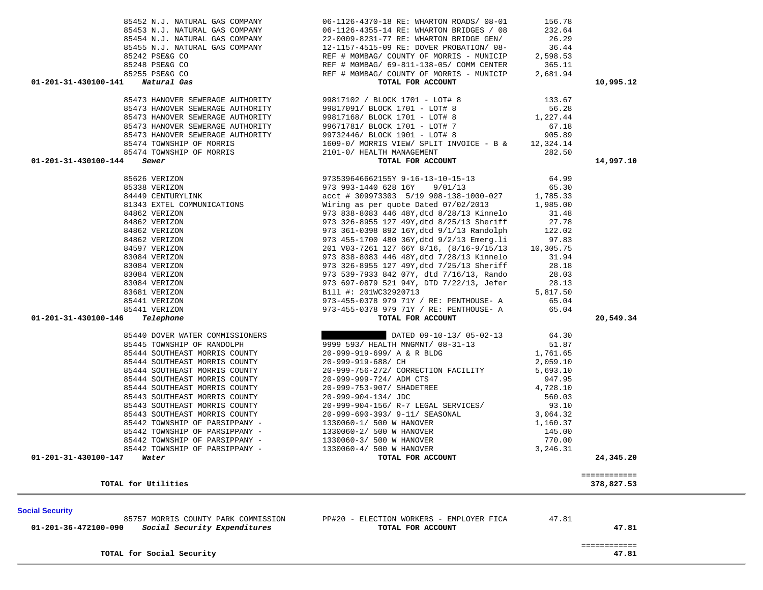| 85474 TOWNSHIP OF MORRIS<br>85474 TOWNSHIP OF MORRIS | 1609-0/ MORRIS VIEW/ SPLIT INVOICE - B &<br>2101-0/ HEALTH MANAGEMENT | 12,324.14<br>282.50 |                       |
|------------------------------------------------------|-----------------------------------------------------------------------|---------------------|-----------------------|
| 01-201-31-430100-144<br>Sewer                        | TOTAL FOR ACCOUNT                                                     |                     | 14,997.10             |
| 85626 VERIZON                                        | 973539646662155Y 9-16-13-10-15-13                                     | 64.99               |                       |
| 85338 VERIZON                                        | 973 993-1440 628 16Y<br>9/01/13                                       | 65.30               |                       |
| 84449 CENTURYLINK                                    | acct # 309973303 5/19 908-138-1000-027                                | 1,785.33            |                       |
| 81343 EXTEL COMMUNICATIONS                           | Wiring as per quote Dated 07/02/2013                                  | 1,985.00            |                       |
| 84862 VERIZON                                        | 973 838-8083 446 48Y, dtd 8/28/13 Kinnelo                             | 31.48               |                       |
| 84862 VERIZON                                        | 973 326-8955 127 49Y, dtd 8/25/13 Sheriff                             | 27.78               |                       |
| 84862 VERIZON                                        | 973 361-0398 892 16Y, dtd 9/1/13 Randolph                             | 122.02              |                       |
| 84862 VERIZON                                        | 973 455-1700 480 36Y, dtd 9/2/13 Emerg.li                             | 97.83               |                       |
| 84597 VERIZON                                        | 201 V03-7261 127 66Y 8/16, (8/16-9/15/13                              | 10,305.75           |                       |
| 83084 VERIZON                                        | 973 838-8083 446 48Y, dtd 7/28/13 Kinnelo                             | 31.94               |                       |
| 83084 VERIZON                                        | 973 326-8955 127 49Y, dtd 7/25/13 Sheriff                             | 28.18               |                       |
| 83084 VERIZON                                        | 973 539-7933 842 07Y, dtd 7/16/13, Rando                              | 28.03               |                       |
| 83084 VERIZON                                        | 973 697-0879 521 94Y, DTD 7/22/13, Jefer                              | 28.13               |                       |
| 83681 VERIZON                                        | Bill #: 201WC32920713                                                 | 5,817.50            |                       |
| 85441 VERIZON                                        | 973-455-0378 979 71Y / RE: PENTHOUSE- A                               | 65.04               |                       |
| 85441 VERIZON                                        | 973-455-0378 979 71Y / RE: PENTHOUSE- A                               | 65.04               |                       |
| 01-201-31-430100-146<br>Telephone                    | TOTAL FOR ACCOUNT                                                     |                     | 20,549.34             |
| 85440 DOVER WATER COMMISSIONERS                      | DATED 09-10-13/05-02-13                                               | 64.30               |                       |
| 85445 TOWNSHIP OF RANDOLPH                           | 9999 593/ HEALTH MNGMNT/ 08-31-13                                     | 51.87               |                       |
| 85444 SOUTHEAST MORRIS COUNTY                        | 20-999-919-699/ A & R BLDG                                            | 1,761.65            |                       |
| 85444 SOUTHEAST MORRIS COUNTY                        | 20-999-919-688/ CH                                                    | 2,059.10            |                       |
| 85444 SOUTHEAST MORRIS COUNTY                        | 20-999-756-272/ CORRECTION FACILITY                                   | 5,693.10            |                       |
| 85444 SOUTHEAST MORRIS COUNTY                        | 20-999-999-724/ ADM CTS                                               | 947.95              |                       |
| 85444 SOUTHEAST MORRIS COUNTY                        | 20-999-753-907/ SHADETREE                                             | 4,728.10            |                       |
| 85443 SOUTHEAST MORRIS COUNTY                        | 20-999-904-134/ JDC                                                   | 560.03              |                       |
| 85443 SOUTHEAST MORRIS COUNTY                        | 20-999-904-156/ R-7 LEGAL SERVICES/                                   | 93.10               |                       |
| 85443 SOUTHEAST MORRIS COUNTY                        | 20-999-690-393/ 9-11/ SEASONAL                                        | 3,064.32            |                       |
| 85442 TOWNSHIP OF PARSIPPANY -                       | 1330060-1/ 500 W HANOVER                                              | 1,160.37            |                       |
| 85442 TOWNSHIP OF PARSIPPANY -                       | 1330060-2/ 500 W HANOVER                                              | 145.00              |                       |
| 85442 TOWNSHIP OF PARSIPPANY -                       | 1330060-3/ 500 W HANOVER                                              | 770.00              |                       |
| 85442 TOWNSHIP OF PARSIPPANY -                       | 1330060-4/ 500 W HANOVER                                              | 3,246.31            |                       |
| 01-201-31-430100-147<br>Water                        | TOTAL FOR ACCOUNT                                                     |                     | 24,345.20             |
|                                                      |                                                                       |                     | ============          |
| TOTAL for Utilities                                  |                                                                       |                     | 378,827.53            |
|                                                      |                                                                       |                     |                       |
| <b>Social Security</b>                               |                                                                       |                     |                       |
| 85757 MORRIS COUNTY PARK COMMISSION                  | PP#20 - ELECTION WORKERS - EMPLOYER FICA                              | 47.81               |                       |
| Social Security Expenditures<br>01-201-36-472100-090 | TOTAL FOR ACCOUNT                                                     |                     | 47.81                 |
| TOTAL for Social Security                            |                                                                       |                     | ============<br>47.81 |
|                                                      |                                                                       |                     |                       |
|                                                      |                                                                       |                     |                       |
|                                                      |                                                                       |                     |                       |
|                                                      |                                                                       |                     |                       |

 85452 N.J. NATURAL GAS COMPANY 06-1126-4370-18 RE: WHARTON ROADS/ 08-01 156.78 85453 N.J. NATURAL GAS COMPANY 06-1126-4355-14 RE: WHARTON BRIDGES / 08 232.64 85454 N.J. NATURAL GAS COMPANY 22-0009-8231-77 RE: WHARTON BRIDGE GEN/ 26.29 85455 N.J. NATURAL GAS COMPANY 12-1157-4515-09 RE: DOVER PROBATION/ 08- 36.44 85242 PSE&G CO **REF # MOMBAG/ COUNTY OF MORRIS** - MUNICIP 2,598.53 85248 PSE&G CO REF # M0MBAG/ 69-811-138-05/ COMM CENTER 365.11 85255 PSE&G CO **REF # MOMBAG/ COUNTY OF MORRIS** - MUNICIP 2,681.94  **01-201-31-430100-141** *Natural Gas* **TOTAL FOR ACCOUNT 10,995.12**

> 85473 HANOVER SEWERAGE AUTHORITY 99817102 / BLOCK 1701 - LOT# 8 133.67 85473 HANOVER SEWERAGE AUTHORITY 99817091/ BLOCK 1701 - LOT# 8 56.28 85473 HANOVER SEWERAGE AUTHORITY 99817168/ BLOCK 1701 - LOT# 8 1,227.44 85473 HANOVER SEWERAGE AUTHORITY 99671781/ BLOCK 1701 - LOT# 7 67.18 85473 HANOVER SEWERAGE AUTHORITY 99732446/ BLOCK 1901 - LOT# 8 905.89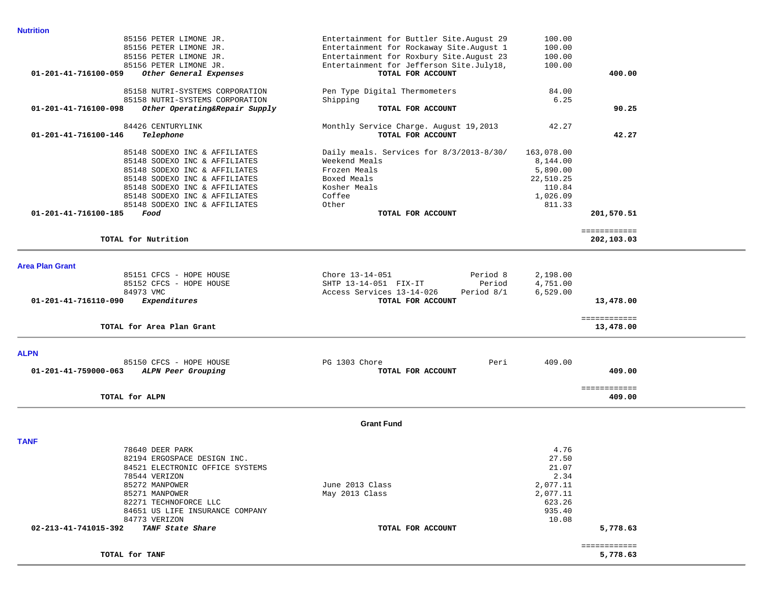| <b>Nutrition</b>                                         |                                           |            |                            |
|----------------------------------------------------------|-------------------------------------------|------------|----------------------------|
| 85156 PETER LIMONE JR.                                   | Entertainment for Buttler Site. August 29 | 100.00     |                            |
| 85156 PETER LIMONE JR.                                   | Entertainment for Rockaway Site. August 1 | 100.00     |                            |
| 85156 PETER LIMONE JR.                                   | Entertainment for Roxbury Site. August 23 | 100.00     |                            |
| 85156 PETER LIMONE JR.                                   | Entertainment for Jefferson Site.July18,  | 100.00     |                            |
| $01 - 201 - 41 - 716100 - 059$<br>Other General Expenses | TOTAL FOR ACCOUNT                         |            | 400.00                     |
| 85158 NUTRI-SYSTEMS CORPORATION                          | Pen Type Digital Thermometers             | 84.00      |                            |
| 85158 NUTRI-SYSTEMS CORPORATION                          | Shipping                                  | 6.25       |                            |
| 01-201-41-716100-098<br>Other Operating&Repair Supply    | TOTAL FOR ACCOUNT                         |            | 90.25                      |
| 84426 CENTURYLINK                                        | Monthly Service Charge. August 19,2013    | 42.27      |                            |
| $01 - 201 - 41 - 716100 - 146$<br>Telephone              | TOTAL FOR ACCOUNT                         |            | 42.27                      |
| 85148 SODEXO INC & AFFILIATES                            | Daily meals. Services for 8/3/2013-8/30/  | 163,078.00 |                            |
| 85148 SODEXO INC & AFFILIATES                            | Weekend Meals                             | 8,144.00   |                            |
| 85148 SODEXO INC & AFFILIATES                            | Frozen Meals                              | 5,890.00   |                            |
| 85148 SODEXO INC & AFFILIATES                            | Boxed Meals                               | 22,510.25  |                            |
| 85148 SODEXO INC & AFFILIATES                            | Kosher Meals                              | 110.84     |                            |
| 85148 SODEXO INC & AFFILIATES                            | Coffee                                    | 1,026.09   |                            |
| 85148 SODEXO INC & AFFILIATES                            | Other                                     | 811.33     |                            |
| 01-201-41-716100-185<br>Food                             | TOTAL FOR ACCOUNT                         |            | 201,570.51                 |
| TOTAL for Nutrition                                      |                                           |            | ============<br>202,103.03 |
| <b>Area Plan Grant</b>                                   |                                           |            |                            |
| 85151 CFCS - HOPE HOUSE                                  | Chore 13-14-051<br>Period 8               | 2,198.00   |                            |
| 85152 CFCS - HOPE HOUSE                                  | SHTP 13-14-051 FIX-IT<br>Period           | 4,751.00   |                            |
| 84973 VMC                                                | Access Services 13-14-026<br>Period 8/1   | 6,529.00   |                            |
| Expenditures<br>01-201-41-716110-090                     | TOTAL FOR ACCOUNT                         |            | 13,478.00                  |
|                                                          |                                           |            | ============               |
| TOTAL for Area Plan Grant                                |                                           |            | 13,478.00                  |
| <b>ALPN</b>                                              |                                           |            |                            |
| 85150 CFCS - HOPE HOUSE                                  | PG 1303 Chore<br>Peri                     | 409.00     |                            |
| $01 - 201 - 41 - 759000 - 063$<br>ALPN Peer Grouping     | TOTAL FOR ACCOUNT                         |            | 409.00                     |
|                                                          |                                           |            |                            |
| TOTAL for ALPN                                           |                                           |            | ============<br>409.00     |
|                                                          | <b>Grant Fund</b>                         |            |                            |
|                                                          |                                           |            |                            |
| <b>TANF</b>                                              |                                           |            |                            |
| 78640 DEER PARK                                          |                                           | 4.76       |                            |
| 82194 ERGOSPACE DESIGN INC                               |                                           | 27.50      |                            |

| TOTAL for TANF                           |                   |          | 5,778.63 |
|------------------------------------------|-------------------|----------|----------|
| 02-213-41-741015-392<br>TANF State Share | TOTAL FOR ACCOUNT |          | 5,778.63 |
| 84773 VERIZON                            |                   | 10.08    |          |
| 84651 US LIFE INSURANCE COMPANY          |                   | 935.40   |          |
| 82271 TECHNOFORCE LLC                    |                   | 623.26   |          |
| 85271 MANPOWER                           | May 2013 Class    | 2,077.11 |          |
| 85272 MANPOWER                           | June 2013 Class   | 2,077.11 |          |
| 78544 VERIZON                            |                   | 2.34     |          |
| 84521 ELECTRONIC OFFICE SYSTEMS          |                   | 21.07    |          |
| 82194 ERGOSPACE DESIGN INC.              |                   | 27.50    |          |
| 78640 DEER PARK                          |                   | 4.76     |          |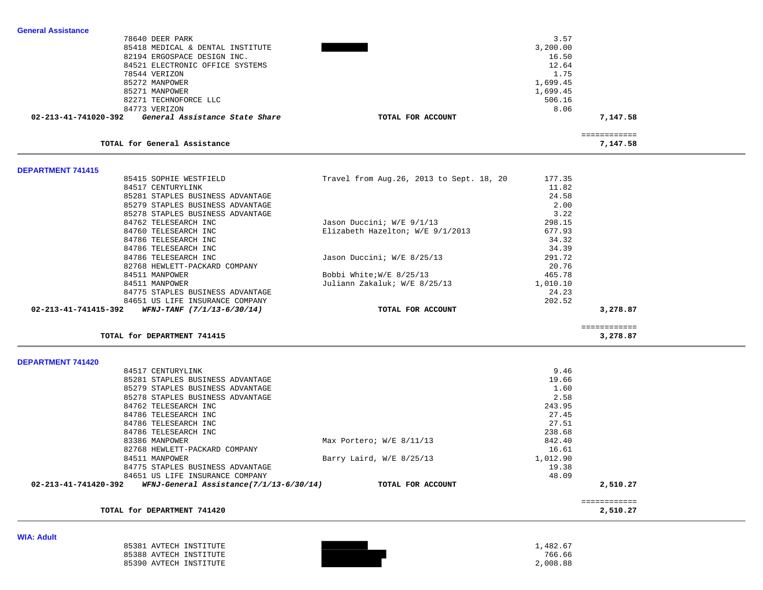| <b>General Assistance</b> |                                  |                                           |          |                          |  |
|---------------------------|----------------------------------|-------------------------------------------|----------|--------------------------|--|
|                           | 78640 DEER PARK                  |                                           | 3.57     |                          |  |
|                           | 85418 MEDICAL & DENTAL INSTITUTE | 3,200.00                                  |          |                          |  |
|                           | 82194 ERGOSPACE DESIGN INC.      |                                           | 16.50    |                          |  |
|                           | 84521 ELECTRONIC OFFICE SYSTEMS  |                                           | 12.64    |                          |  |
|                           | 78544 VERIZON                    |                                           | 1.75     |                          |  |
|                           | 85272 MANPOWER                   |                                           | 1,699.45 |                          |  |
|                           | 85271 MANPOWER                   |                                           | 1,699.45 |                          |  |
|                           | 82271 TECHNOFORCE LLC            |                                           | 506.16   |                          |  |
|                           | 84773 VERIZON                    |                                           | 8.06     |                          |  |
| 02-213-41-741020-392      | General Assistance State Share   | TOTAL FOR ACCOUNT                         |          | 7,147.58                 |  |
|                           |                                  |                                           |          |                          |  |
|                           | TOTAL for General Assistance     |                                           |          | ============<br>7,147.58 |  |
|                           |                                  |                                           |          |                          |  |
| <b>DEPARTMENT 741415</b>  |                                  |                                           |          |                          |  |
|                           | 85415 SOPHIE WESTFIELD           | Travel from Aug. 26, 2013 to Sept. 18, 20 | 177.35   |                          |  |
|                           | 84517 CENTURYLINK                |                                           | 11.82    |                          |  |
|                           | 85281 STAPLES BUSINESS ADVANTAGE |                                           | 24.58    |                          |  |
|                           | 85279 STAPLES BUSINESS ADVANTAGE |                                           | 2.00     |                          |  |
|                           | 85278 STAPLES BUSINESS ADVANTAGE |                                           | 3.22     |                          |  |
|                           | 84762 TELESEARCH INC             | Jason Duccini; W/E 9/1/13                 | 298.15   |                          |  |
|                           | 84760 TELESEARCH INC             | Elizabeth Hazelton; W/E 9/1/2013          | 677.93   |                          |  |
|                           | 84786 TELESEARCH INC             |                                           | 34.32    |                          |  |
|                           | 84786 TELESEARCH INC             |                                           | 34.39    |                          |  |
|                           | 84786 TELESEARCH INC             | Jason Duccini; W/E 8/25/13                | 291.72   |                          |  |
|                           | 82768 HEWLETT-PACKARD COMPANY    |                                           | 20.76    |                          |  |
|                           | 84511 MANPOWER                   | Bobbi White; W/E 8/25/13                  | 465.78   |                          |  |
|                           | 84511 MANPOWER                   | Juliann Zakaluk; W/E 8/25/13              | 1,010.10 |                          |  |
|                           | 84775 STAPLES BUSINESS ADVANTAGE |                                           | 24.23    |                          |  |
|                           | 84651 US LIFE INSURANCE COMPANY  |                                           | 202.52   |                          |  |
| 02-213-41-741415-392      | $WFNJ-TANF$ $(7/1/13-6/30/14)$   | TOTAL FOR ACCOUNT                         |          | 3,278.87                 |  |
|                           |                                  |                                           |          |                          |  |
|                           | TOTAL for DEPARTMENT 741415      |                                           |          | ============<br>3,278.87 |  |
|                           |                                  |                                           |          |                          |  |
| <b>DEPARTMENT 741420</b>  | 84517 CENTURYLINK                |                                           | 9.46     |                          |  |
|                           | 85281 STAPLES BUSINESS ADVANTAGE |                                           | 19.66    |                          |  |
|                           | 85279 STAPLES BUSINESS ADVANTAGE |                                           | 1.60     |                          |  |
|                           | 85278 STAPLES BUSINESS ADVANTAGE |                                           | 2.58     |                          |  |
|                           | 84762 TELESEARCH INC             |                                           | 243.95   |                          |  |
|                           | 84786 TELESEARCH INC             |                                           | 27.45    |                          |  |
|                           | 84786 TELESEARCH INC             |                                           | 27.51    |                          |  |
|                           | 84786 TELESEARCH INC             |                                           | 238.68   |                          |  |
|                           | 83386 MANPOWER                   | Max Portero; W/E 8/11/13                  | 842.40   |                          |  |
|                           |                                  |                                           |          |                          |  |

| $\mathbf{v}$           |  |          |
|------------------------|--|----------|
| 85381 AVTECH INSTITUTE |  | .482.67  |
| 85388 AVTECH INSTITUTE |  | 766.66   |
| 85390 AVTECH INSTITUTE |  | 2,008.88 |

 **02-213-41-741420-392** *WFNJ-General Assistance(7/1/13-6/30/14)* **TOTAL FOR ACCOUNT 2,510.27**

============

84775 STAPLES BUSINESS ADVANTAGE

84651 US LIFE INSURANCE COMPANY

TOTAL for DEPARTMENT 741420

 82768 HEWLETT-PACKARD COMPANY 16.61 84511 MANPOWER **Barry Laird, W/E 8/25/13** 1,012.90

19.38

48.09

2,510.27

**WIA: Adult**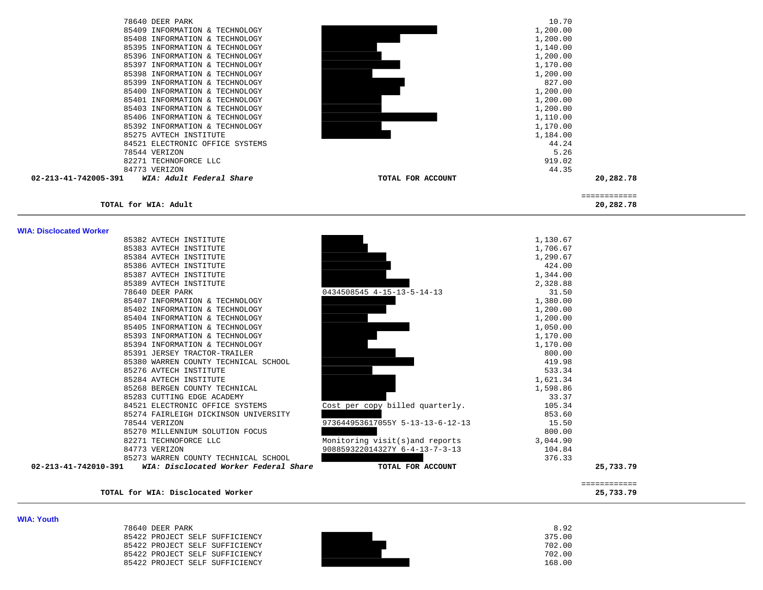| 78640 DEER PARK                                  | 10.70             |              |
|--------------------------------------------------|-------------------|--------------|
| 85409 INFORMATION & TECHNOLOGY                   | 1,200.00          |              |
| 85408 INFORMATION & TECHNOLOGY                   | 1,200.00          |              |
| 85395 INFORMATION & TECHNOLOGY                   | 1,140.00          |              |
| 85396 INFORMATION & TECHNOLOGY                   | 1,200.00          |              |
| 85397 INFORMATION & TECHNOLOGY                   | 1,170.00          |              |
| 85398 INFORMATION & TECHNOLOGY                   | 1,200.00          |              |
| 85399 INFORMATION & TECHNOLOGY                   | 827.00            |              |
| 85400 INFORMATION & TECHNOLOGY                   | 1,200.00          |              |
| 85401 INFORMATION & TECHNOLOGY                   | 1,200.00          |              |
| 85403 INFORMATION & TECHNOLOGY                   | 1,200.00          |              |
| 85406 INFORMATION & TECHNOLOGY                   | 1,110.00          |              |
| 85392 INFORMATION & TECHNOLOGY                   | 1,170.00          |              |
| 85275 AVTECH INSTITUTE                           | 1,184.00          |              |
| 84521 ELECTRONIC OFFICE SYSTEMS                  | 44.24             |              |
| 78544 VERIZON                                    | 5.26              |              |
| 82271 TECHNOFORCE LLC                            | 919.02            |              |
| 84773 VERIZON                                    | 44.35             |              |
| 02-213-41-742005-391<br>WIA: Adult Federal Share | TOTAL FOR ACCOUNT | 20,282.78    |
|                                                  |                   | ============ |
| TOTAL for WIA: Adult                             |                   | 20,282.78    |

**WIA: Disclocated Worker** 

|                                                               |                                  |                      | ------------ |
|---------------------------------------------------------------|----------------------------------|----------------------|--------------|
| 02-213-41-742010-391<br>WIA: Disclocated Worker Federal Share | TOTAL FOR ACCOUNT                |                      | 25,733.79    |
| 85273 WARREN COUNTY TECHNICAL SCHOOL                          |                                  | 376.33               |              |
| 84773 VERIZON                                                 | 908859322014327Y 6-4-13-7-3-13   | 104.84               |              |
| 82271 TECHNOFORCE LLC                                         | Monitoring visit(s)and reports   | 3,044.90             |              |
| 85270 MILLENNIUM SOLUTION FOCUS                               |                                  | 800.00               |              |
| 78544 VERIZON                                                 | 973644953617055Y 5-13-13-6-12-13 | 15.50                |              |
| 85274 FAIRLEIGH DICKINSON UNIVERSITY                          |                                  | 853.60               |              |
| 84521 ELECTRONIC OFFICE SYSTEMS                               | Cost per copy billed quarterly.  | 105.34               |              |
| 85283 CUTTING EDGE ACADEMY                                    |                                  | 33.37                |              |
| 85268 BERGEN COUNTY TECHNICAL                                 |                                  | 1,598.86             |              |
| 85284 AVTECH INSTITUTE                                        |                                  | 1,621.34             |              |
| 85276 AVTECH INSTITUTE                                        |                                  | 533.34               |              |
| 85380 WARREN COUNTY TECHNICAL SCHOOL                          |                                  | 419.98               |              |
| 85391 JERSEY TRACTOR-TRAILER                                  |                                  | 800.00               |              |
| 85394 INFORMATION & TECHNOLOGY                                |                                  | 1,170.00             |              |
| 85393 INFORMATION & TECHNOLOGY                                |                                  | 1,170.00             |              |
| 85405 INFORMATION & TECHNOLOGY                                |                                  | 1,050.00             |              |
| 85404 INFORMATION & TECHNOLOGY                                |                                  | 1,200.00             |              |
| 85402 INFORMATION & TECHNOLOGY                                |                                  | 1,200.00             |              |
| 85407 INFORMATION & TECHNOLOGY                                |                                  | 1,380.00             |              |
| 78640 DEER PARK                                               | 0434508545 4-15-13-5-14-13       | 31.50                |              |
| 85389 AVTECH INSTITUTE                                        |                                  | 2,328.88             |              |
| 85387 AVTECH INSTITUTE                                        |                                  | 1,344.00             |              |
| 85386 AVTECH INSTITUTE                                        |                                  | 424.00               |              |
| 85384 AVTECH INSTITUTE                                        |                                  | 1,290.67             |              |
| 85382 AVTECH INSTITUTE<br>85383 AVTECH INSTITUTE              |                                  | 1,130.67<br>1,706.67 |              |

**TOTAL for WIA: Disclocated Worker 25,733.79**

**WIA: Youth**  78640 DEER PARK 8.92 85422 PROJECT SELF SUFFICIENCY<br>85422 PROJECT SELF SUFFICIENCY<br>85422 PROJECT SELF SUFFICIENCY<br>85422 PROJECT SELF SUFFICIENCY 85422 PROJECT SELF SUFFICIENCY 702.00 85422 PROJECT SELF SUFFICIENCY **702.00 702.00** 168.00 85422 PROJECT SELF SUFFICIENCY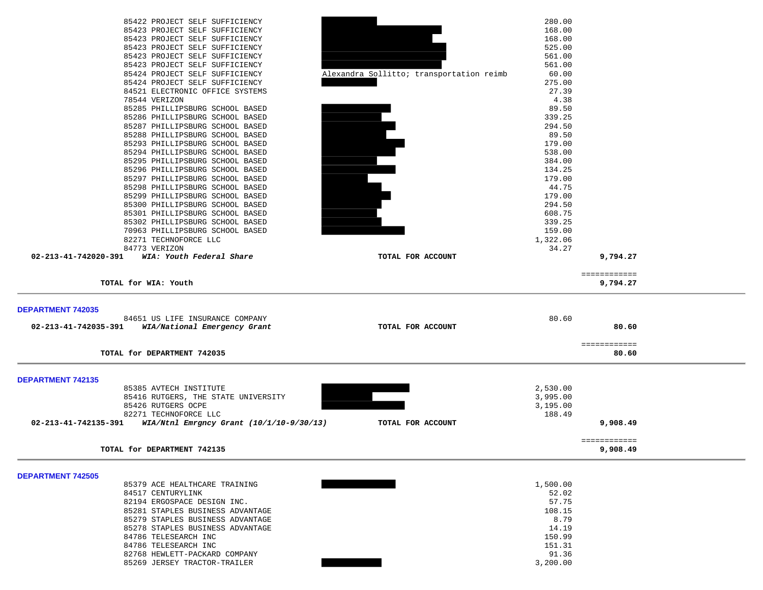| 84517 CENTURYLINK<br>82194 ERGOSPACE DESIGN INC.<br>85281 STAPLES BUSINESS ADVANTAGE<br>85279 STAPLES BUSINESS ADVANTAGE<br>85278 STAPLES BUSINESS ADVANTAGE<br>84786 TELESEARCH INC<br>84786 TELESEARCH INC<br>82768 HEWLETT-PACKARD COMPANY<br>85269 JERSEY TRACTOR-TRAILER                  |                                          | 52.02<br>57.75<br>108.15<br>8.79<br>14.19<br>150.99<br>151.31<br>91.36<br>3,200.00 |                          |  |
|------------------------------------------------------------------------------------------------------------------------------------------------------------------------------------------------------------------------------------------------------------------------------------------------|------------------------------------------|------------------------------------------------------------------------------------|--------------------------|--|
| <b>DEPARTMENT 742505</b><br>85379 ACE HEALTHCARE TRAINING                                                                                                                                                                                                                                      |                                          | 1,500.00                                                                           |                          |  |
| TOTAL for DEPARTMENT 742135                                                                                                                                                                                                                                                                    |                                          |                                                                                    | ============<br>9,908.49 |  |
| 85416 RUTGERS, THE STATE UNIVERSITY<br>85426 RUTGERS OCPE<br>82271 TECHNOFORCE LLC<br>02-213-41-742135-391<br>WIA/Ntnl Emrgncy Grant (10/1/10-9/30/13)                                                                                                                                         | TOTAL FOR ACCOUNT                        | 3,995.00<br>3,195.00<br>188.49                                                     | 9,908.49                 |  |
| <b>DEPARTMENT 742135</b><br>85385 AVTECH INSTITUTE                                                                                                                                                                                                                                             |                                          | 2,530.00                                                                           |                          |  |
| TOTAL for DEPARTMENT 742035                                                                                                                                                                                                                                                                    |                                          |                                                                                    | ============<br>80.60    |  |
| <b>DEPARTMENT 742035</b><br>84651 US LIFE INSURANCE COMPANY<br>02-213-41-742035-391 WIA/National Emergency Grant                                                                                                                                                                               | TOTAL FOR ACCOUNT                        | 80.60                                                                              | 80.60                    |  |
| TOTAL for WIA: Youth                                                                                                                                                                                                                                                                           |                                          |                                                                                    | ============<br>9,794.27 |  |
| 84773 VERIZON<br>02-213-41-742020-391<br>WIA: Youth Federal Share                                                                                                                                                                                                                              | TOTAL FOR ACCOUNT                        | 34.27                                                                              | 9,794.27                 |  |
| 85300 PHILLIPSBURG SCHOOL BASED<br>85301 PHILLIPSBURG SCHOOL BASED<br>85302 PHILLIPSBURG SCHOOL BASED<br>70963 PHILLIPSBURG SCHOOL BASED<br>82271 TECHNOFORCE LLC                                                                                                                              |                                          | 294.50<br>608.75<br>339.25<br>159.00<br>1,322.06                                   |                          |  |
| 85296 PHILLIPSBURG SCHOOL BASED<br>85297 PHILLIPSBURG SCHOOL BASED<br>85298 PHILLIPSBURG SCHOOL BASED<br>85299 PHILLIPSBURG SCHOOL BASED                                                                                                                                                       |                                          | 134.25<br>179.00<br>44.75<br>179.00                                                |                          |  |
| 85285 PHILLIPSBURG SCHOOL BASED<br>85286 PHILLIPSBURG SCHOOL BASED<br>85287 PHILLIPSBURG SCHOOL BASED<br>85288 PHILLIPSBURG SCHOOL BASED<br>85293 PHILLIPSBURG SCHOOL BASED<br>85294 PHILLIPSBURG SCHOOL BASED<br>85295 PHILLIPSBURG SCHOOL BASED                                              |                                          | 89.50<br>339.25<br>294.50<br>89.50<br>179.00<br>538.00<br>384.00                   |                          |  |
| 85423 PROJECT SELF SUFFICIENCY<br>85423 PROJECT SELF SUFFICIENCY<br>85423 PROJECT SELF SUFFICIENCY<br>85423 PROJECT SELF SUFFICIENCY<br>85423 PROJECT SELF SUFFICIENCY<br>85424 PROJECT SELF SUFFICIENCY<br>85424 PROJECT SELF SUFFICIENCY<br>84521 ELECTRONIC OFFICE SYSTEMS<br>78544 VERIZON | Alexandra Sollitto; transportation reimb | 168.00<br>168.00<br>525.00<br>561.00<br>561.00<br>60.00<br>275.00<br>27.39<br>4.38 |                          |  |
| 85422 PROJECT SELF SUFFICIENCY                                                                                                                                                                                                                                                                 |                                          | 280.00                                                                             |                          |  |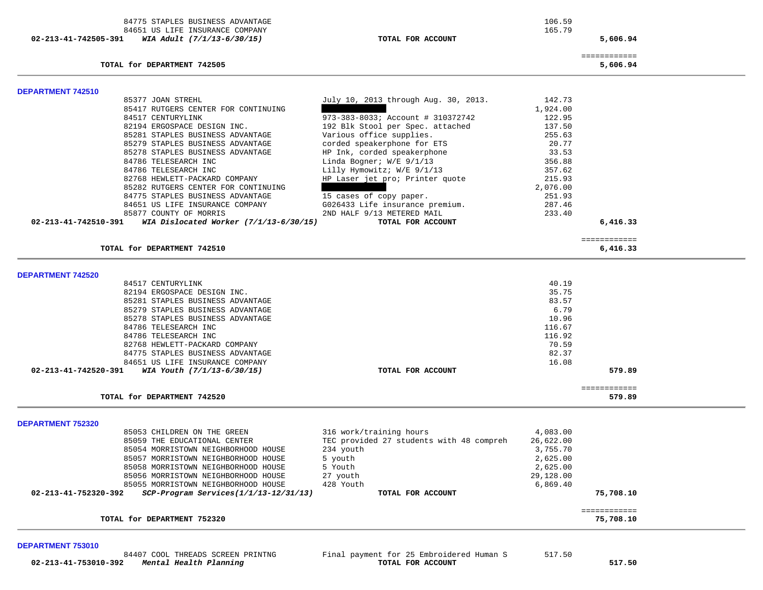84775 STAPLES BUSINESS ADVANTAGE 106.59 84651 US LIFE INSURANCE COMPANY  **02-213-41-742505-391** *WIA Adult (7/1/13-6/30/15)* **TOTAL FOR ACCOUNT 5,606.94**

165.79

**TOTAL for DEPARTMENT 742505 5,606.94**

============

| <b>DEPARTMENT 742510</b>                                                |                                          |                  |              |
|-------------------------------------------------------------------------|------------------------------------------|------------------|--------------|
| 85377 JOAN STREHL                                                       | July 10, 2013 through Aug. 30, 2013.     | 142.73           |              |
| 85417 RUTGERS CENTER FOR CONTINUING<br>84517 CENTURYLINK                | 973-383-8033; Account # 310372742        | 1,924.00         |              |
| 82194 ERGOSPACE DESIGN INC.                                             | 192 Blk Stool per Spec. attached         | 122.95<br>137.50 |              |
| 85281 STAPLES BUSINESS ADVANTAGE                                        | Various office supplies.                 | 255.63           |              |
| 85279 STAPLES BUSINESS ADVANTAGE                                        | corded speakerphone for ETS              | 20.77            |              |
| 85278 STAPLES BUSINESS ADVANTAGE                                        | HP Ink, corded speakerphone              | 33.53            |              |
| 84786 TELESEARCH INC                                                    | Linda Bogner; W/E 9/1/13                 | 356.88           |              |
| 84786 TELESEARCH INC                                                    | Lilly Hymowitz; W/E 9/1/13               | 357.62           |              |
| 82768 HEWLETT-PACKARD COMPANY                                           | HP Laser jet pro; Printer quote          | 215.93           |              |
| 85282 RUTGERS CENTER FOR CONTINUING                                     |                                          | 2,076.00         |              |
| 84775 STAPLES BUSINESS ADVANTAGE                                        | 15 cases of copy paper.                  | 251.93           |              |
| 84651 US LIFE INSURANCE COMPANY                                         | G026433 Life insurance premium.          | 287.46           |              |
| 85877 COUNTY OF MORRIS                                                  | 2ND HALF 9/13 METERED MAIL               | 233.40           |              |
| 02-213-41-742510-391<br>WIA Dislocated Worker $(7/1/13-6/30/15)$        | TOTAL FOR ACCOUNT                        |                  | 6,416.33     |
|                                                                         |                                          |                  | ============ |
| TOTAL for DEPARTMENT 742510                                             |                                          |                  | 6,416.33     |
|                                                                         |                                          |                  |              |
| <b>DEPARTMENT 742520</b>                                                |                                          |                  |              |
| 84517 CENTURYLINK                                                       |                                          | 40.19            |              |
| 82194 ERGOSPACE DESIGN INC.                                             |                                          | 35.75            |              |
| 85281 STAPLES BUSINESS ADVANTAGE                                        |                                          | 83.57<br>6.79    |              |
| 85279 STAPLES BUSINESS ADVANTAGE<br>85278 STAPLES BUSINESS ADVANTAGE    |                                          | 10.96            |              |
| 84786 TELESEARCH INC                                                    |                                          | 116.67           |              |
| 84786 TELESEARCH INC                                                    |                                          | 116.92           |              |
| 82768 HEWLETT-PACKARD COMPANY                                           |                                          | 70.59            |              |
| 84775 STAPLES BUSINESS ADVANTAGE                                        |                                          | 82.37            |              |
| 84651 US LIFE INSURANCE COMPANY                                         |                                          | 16.08            |              |
| WIA Youth (7/1/13-6/30/15)<br>02-213-41-742520-391                      | TOTAL FOR ACCOUNT                        |                  | 579.89       |
|                                                                         |                                          |                  | ============ |
| TOTAL for DEPARTMENT 742520                                             |                                          |                  | 579.89       |
|                                                                         |                                          |                  |              |
| <b>DEPARTMENT 752320</b><br>85053 CHILDREN ON THE GREEN                 | 316 work/training hours                  | 4,083.00         |              |
| 85059 THE EDUCATIONAL CENTER                                            | TEC provided 27 students with 48 compreh | 26,622.00        |              |
| 85054 MORRISTOWN NEIGHBORHOOD HOUSE                                     | 234 youth                                | 3,755.70         |              |
| 85057 MORRISTOWN NEIGHBORHOOD HOUSE                                     | 5 youth                                  | 2,625.00         |              |
| 85058 MORRISTOWN NEIGHBORHOOD HOUSE                                     | 5 Youth                                  | 2,625.00         |              |
|                                                                         | 27 youth                                 | 29,128.00        |              |
| 85056 MORRISTOWN NEIGHBORHOOD HOUSE                                     |                                          |                  |              |
| 85055 MORRISTOWN NEIGHBORHOOD HOUSE                                     | 428 Youth                                | 6,869.40         |              |
| $02 - 213 - 41 - 752320 - 392$<br>SCP-Program Services(1/1/13-12/31/13) | TOTAL FOR ACCOUNT                        |                  | 75,708.10    |
|                                                                         |                                          |                  | ============ |

#### **DEPARTMENT 753010**

 **02-213-41-753010-392** *Mental Health Planning* **TOTAL FOR ACCOUNT 517.50**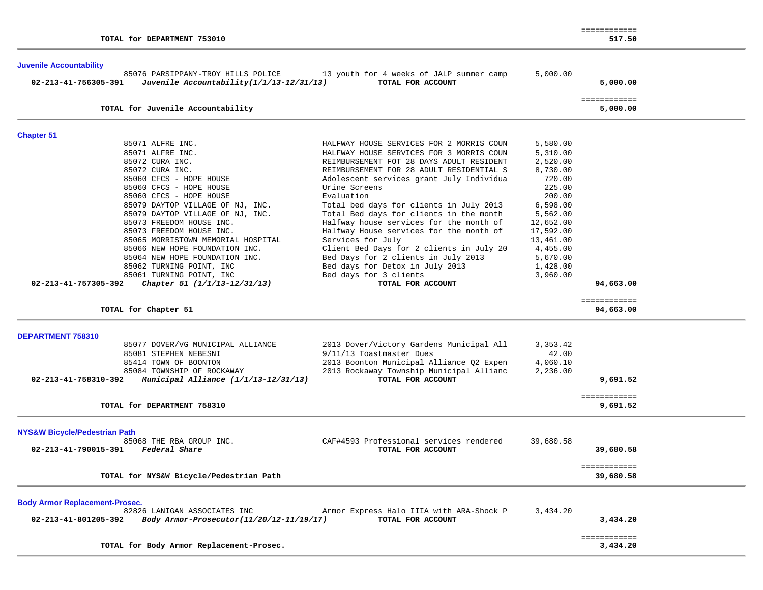|                                                                                                                                                                                                                                                                                                                                                                                                                                                                                                                       |                                                                                                                                                                                                                                                                                                                                                                                                                                                                                                                                                                                                                               |                                                                                                                                                                                           | ============                         |  |
|-----------------------------------------------------------------------------------------------------------------------------------------------------------------------------------------------------------------------------------------------------------------------------------------------------------------------------------------------------------------------------------------------------------------------------------------------------------------------------------------------------------------------|-------------------------------------------------------------------------------------------------------------------------------------------------------------------------------------------------------------------------------------------------------------------------------------------------------------------------------------------------------------------------------------------------------------------------------------------------------------------------------------------------------------------------------------------------------------------------------------------------------------------------------|-------------------------------------------------------------------------------------------------------------------------------------------------------------------------------------------|--------------------------------------|--|
| TOTAL for DEPARTMENT 753010                                                                                                                                                                                                                                                                                                                                                                                                                                                                                           |                                                                                                                                                                                                                                                                                                                                                                                                                                                                                                                                                                                                                               |                                                                                                                                                                                           | 517.50                               |  |
| <b>Juvenile Accountability</b><br>85076 PARSIPPANY-TROY HILLS POLICE<br>Juvenile Accountability(1/1/13-12/31/13)<br>02-213-41-756305-391                                                                                                                                                                                                                                                                                                                                                                              | 13 youth for 4 weeks of JALP summer camp<br>TOTAL FOR ACCOUNT                                                                                                                                                                                                                                                                                                                                                                                                                                                                                                                                                                 | 5,000.00                                                                                                                                                                                  | 5,000.00                             |  |
| TOTAL for Juvenile Accountability                                                                                                                                                                                                                                                                                                                                                                                                                                                                                     |                                                                                                                                                                                                                                                                                                                                                                                                                                                                                                                                                                                                                               |                                                                                                                                                                                           | ============<br>5,000.00             |  |
| <b>Chapter 51</b>                                                                                                                                                                                                                                                                                                                                                                                                                                                                                                     |                                                                                                                                                                                                                                                                                                                                                                                                                                                                                                                                                                                                                               |                                                                                                                                                                                           |                                      |  |
| 85071 ALFRE INC.<br>85071 ALFRE INC.<br>85072 CURA INC.<br>85072 CURA INC.<br>85060 CFCS - HOPE HOUSE<br>85060 CFCS - HOPE HOUSE<br>85060 CFCS - HOPE HOUSE<br>85079 DAYTOP VILLAGE OF NJ, INC.<br>85079 DAYTOP VILLAGE OF NJ, INC.<br>85073 FREEDOM HOUSE INC.<br>85073 FREEDOM HOUSE INC.<br>85065 MORRISTOWN MEMORIAL HOSPITAL<br>85066 NEW HOPE FOUNDATION INC.<br>85064 NEW HOPE FOUNDATION INC.<br>85062 TURNING POINT, INC<br>85061 TURNING POINT, INC<br>02-213-41-757305-392<br>Chapter 51 (1/1/13-12/31/13) | HALFWAY HOUSE SERVICES FOR 2 MORRIS COUN<br>HALFWAY HOUSE SERVICES FOR 3 MORRIS COUN<br>REIMBURSEMENT FOT 28 DAYS ADULT RESIDENT<br>REIMBURSEMENT FOR 28 ADULT RESIDENTIAL S<br>Adolescent services grant July Individua<br>Urine Screens<br>Evaluation<br>Total bed days for clients in July 2013<br>Total Bed days for clients in the month<br>Halfway house services for the month of<br>Halfway House services for the month of<br>Services for July<br>Client Bed Days for 2 clients in July 20<br>Bed Days for 2 clients in July 2013<br>Bed days for Detox in July 2013<br>Bed days for 3 clients<br>TOTAL FOR ACCOUNT | 5,580.00<br>5,310.00<br>2,520.00<br>8,730.00<br>720.00<br>225.00<br>200.00<br>6,598.00<br>5,562.00<br>12,652.00<br>17,592.00<br>13,461.00<br>4,455.00<br>5,670.00<br>1,428.00<br>3,960.00 | 94,663.00                            |  |
| TOTAL for Chapter 51                                                                                                                                                                                                                                                                                                                                                                                                                                                                                                  |                                                                                                                                                                                                                                                                                                                                                                                                                                                                                                                                                                                                                               |                                                                                                                                                                                           | ============<br>94,663.00            |  |
| DEPARTMENT 758310<br>85077 DOVER/VG MUNICIPAL ALLIANCE<br>85081 STEPHEN NEBESNI<br>85414 TOWN OF BOONTON<br>85084 TOWNSHIP OF ROCKAWAY<br>02-213-41-758310-392<br>Municipal Alliance (1/1/13-12/31/13)<br>TOTAL for DEPARTMENT 758310                                                                                                                                                                                                                                                                                 | 2013 Dover/Victory Gardens Municipal All<br>9/11/13 Toastmaster Dues<br>2013 Boonton Municipal Alliance Q2 Expen<br>2013 Rockaway Township Municipal Allianc<br>TOTAL FOR ACCOUNT                                                                                                                                                                                                                                                                                                                                                                                                                                             | 3, 353.42<br>42.00<br>4,060.10<br>2,236.00                                                                                                                                                | 9,691.52<br>============<br>9,691.52 |  |
|                                                                                                                                                                                                                                                                                                                                                                                                                                                                                                                       |                                                                                                                                                                                                                                                                                                                                                                                                                                                                                                                                                                                                                               |                                                                                                                                                                                           |                                      |  |
| <b>NYS&amp;W Bicycle/Pedestrian Path</b><br>85068 THE RBA GROUP INC.<br>02-213-41-790015-391<br>Federal Share                                                                                                                                                                                                                                                                                                                                                                                                         | CAF#4593 Professional services rendered<br>TOTAL FOR ACCOUNT                                                                                                                                                                                                                                                                                                                                                                                                                                                                                                                                                                  | 39,680.58                                                                                                                                                                                 | 39,680.58                            |  |
| TOTAL for NYS&W Bicycle/Pedestrian Path                                                                                                                                                                                                                                                                                                                                                                                                                                                                               |                                                                                                                                                                                                                                                                                                                                                                                                                                                                                                                                                                                                                               |                                                                                                                                                                                           | ============<br>39,680.58            |  |
| <b>Body Armor Replacement-Prosec.</b><br>82826 LANIGAN ASSOCIATES INC<br>02-213-41-801205-392<br>Body Armor-Prosecutor(11/20/12-11/19/17)                                                                                                                                                                                                                                                                                                                                                                             | Armor Express Halo IIIA with ARA-Shock P<br>TOTAL FOR ACCOUNT                                                                                                                                                                                                                                                                                                                                                                                                                                                                                                                                                                 | 3,434.20                                                                                                                                                                                  | 3,434.20                             |  |
| TOTAL for Body Armor Replacement-Prosec.                                                                                                                                                                                                                                                                                                                                                                                                                                                                              |                                                                                                                                                                                                                                                                                                                                                                                                                                                                                                                                                                                                                               |                                                                                                                                                                                           | ============<br>3,434.20             |  |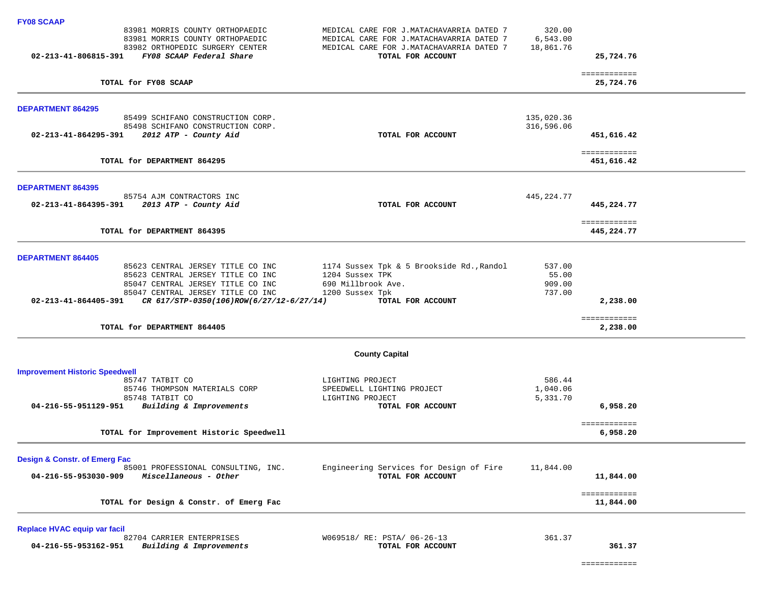| <b>FY08 SCAAP</b>                        |                                          |                                           |                          |                            |  |
|------------------------------------------|------------------------------------------|-------------------------------------------|--------------------------|----------------------------|--|
|                                          | 83981 MORRIS COUNTY ORTHOPAEDIC          | MEDICAL CARE FOR J.MATACHAVARRIA DATED 7  | 320.00                   |                            |  |
|                                          | 83981 MORRIS COUNTY ORTHOPAEDIC          | MEDICAL CARE FOR J.MATACHAVARRIA DATED 7  | 6,543.00                 |                            |  |
|                                          | 83982 ORTHOPEDIC SURGERY CENTER          | MEDICAL CARE FOR J.MATACHAVARRIA DATED 7  | 18,861.76                |                            |  |
| 02-213-41-806815-391                     | FY08 SCAAP Federal Share                 | TOTAL FOR ACCOUNT                         |                          | 25,724.76                  |  |
|                                          |                                          |                                           |                          | ============               |  |
|                                          | TOTAL for FY08 SCAAP                     |                                           |                          | 25,724.76                  |  |
|                                          |                                          |                                           |                          |                            |  |
| <b>DEPARTMENT 864295</b>                 | 85499 SCHIFANO CONSTRUCTION CORP.        |                                           |                          |                            |  |
|                                          | 85498 SCHIFANO CONSTRUCTION CORP.        |                                           | 135,020.36<br>316,596.06 |                            |  |
| 02-213-41-864295-391                     | 2012 ATP - County Aid                    | TOTAL FOR ACCOUNT                         |                          | 451,616.42                 |  |
|                                          |                                          |                                           |                          |                            |  |
|                                          | TOTAL for DEPARTMENT 864295              |                                           |                          | ============<br>451,616.42 |  |
|                                          |                                          |                                           |                          |                            |  |
| <b>DEPARTMENT 864395</b>                 |                                          |                                           |                          |                            |  |
|                                          | 85754 AJM CONTRACTORS INC                |                                           | 445,224.77               |                            |  |
| 02-213-41-864395-391                     | 2013 ATP - County Aid                    | TOTAL FOR ACCOUNT                         |                          | 445,224.77                 |  |
|                                          | TOTAL for DEPARTMENT 864395              |                                           |                          | ============<br>445,224.77 |  |
|                                          |                                          |                                           |                          |                            |  |
| <b>DEPARTMENT 864405</b>                 |                                          |                                           |                          |                            |  |
|                                          | 85623 CENTRAL JERSEY TITLE CO INC        | 1174 Sussex Tpk & 5 Brookside Rd., Randol | 537.00                   |                            |  |
|                                          | 85623 CENTRAL JERSEY TITLE CO INC        | 1204 Sussex TPK                           | 55.00                    |                            |  |
|                                          | 85047 CENTRAL JERSEY TITLE CO INC        | 690 Millbrook Ave.                        | 909.00                   |                            |  |
|                                          | 85047 CENTRAL JERSEY TITLE CO INC        | 1200 Sussex Tpk                           | 737.00                   |                            |  |
| 02-213-41-864405-391                     | CR 617/STP-0350(106)ROW(6/27/12-6/27/14) | TOTAL FOR ACCOUNT                         |                          | 2,238.00                   |  |
|                                          | TOTAL for DEPARTMENT 864405              |                                           |                          | ============<br>2,238.00   |  |
|                                          |                                          |                                           |                          |                            |  |
|                                          |                                          | <b>County Capital</b>                     |                          |                            |  |
| <b>Improvement Historic Speedwell</b>    |                                          |                                           |                          |                            |  |
|                                          | 85747 TATBIT CO                          | LIGHTING PROJECT                          | 586.44                   |                            |  |
|                                          | 85746 THOMPSON MATERIALS CORP            | SPEEDWELL LIGHTING PROJECT                | 1,040.06                 |                            |  |
|                                          | 85748 TATBIT CO                          | LIGHTING PROJECT                          | 5,331.70                 |                            |  |
| 04-216-55-951129-951                     | Building & Improvements                  | TOTAL FOR ACCOUNT                         |                          | 6,958.20                   |  |
|                                          |                                          |                                           |                          | ============               |  |
|                                          | TOTAL for Improvement Historic Speedwell |                                           |                          | 6,958.20                   |  |
| <b>Design &amp; Constr. of Emerg Fac</b> |                                          |                                           |                          |                            |  |
|                                          | 85001 PROFESSIONAL CONSULTING, INC.      | Engineering Services for Design of Fire   | 11,844.00                |                            |  |
| 04-216-55-953030-909                     | Miscellaneous - Other                    | TOTAL FOR ACCOUNT                         |                          | 11,844.00                  |  |
|                                          | TOTAL for Design & Constr. of Emerg Fac  |                                           |                          | ============<br>11,844.00  |  |
|                                          |                                          |                                           |                          |                            |  |
| Replace HVAC equip var facil             |                                          |                                           |                          |                            |  |
|                                          | 82704 CARRIER ENTERPRISES                | W069518/ RE: PSTA/ 06-26-13               | 361.37                   |                            |  |
| 04-216-55-953162-951                     | Building & Improvements                  | TOTAL FOR ACCOUNT                         |                          | 361.37                     |  |

============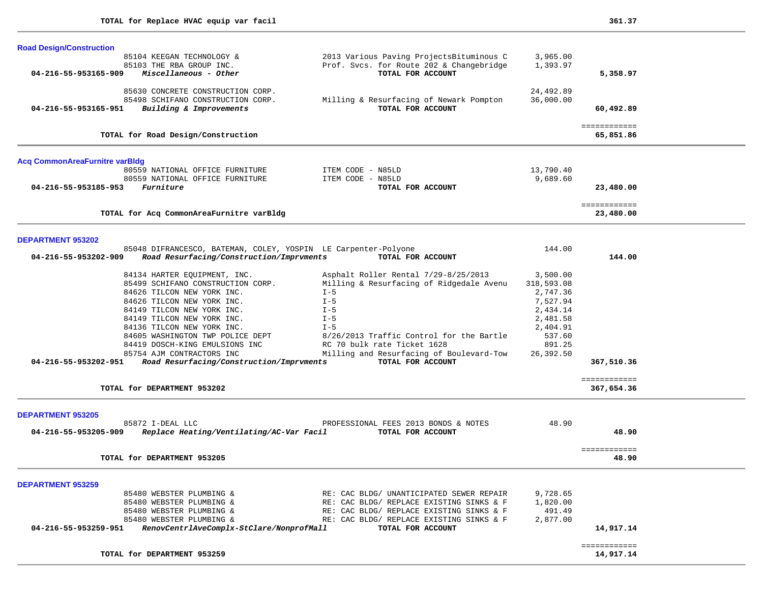| <b>Road Design/Construction</b>                                   |                                                                         |                        |                           |  |
|-------------------------------------------------------------------|-------------------------------------------------------------------------|------------------------|---------------------------|--|
| 85104 KEEGAN TECHNOLOGY &                                         | 2013 Various Paving ProjectsBituminous C                                | 3,965.00               |                           |  |
| 85103 THE RBA GROUP INC.                                          | Prof. Svcs. for Route 202 & Changebridge                                | 1,393.97               |                           |  |
| 04-216-55-953165-909<br>Miscellaneous - Other                     | TOTAL FOR ACCOUNT                                                       |                        | 5,358.97                  |  |
|                                                                   |                                                                         |                        |                           |  |
| 85630 CONCRETE CONSTRUCTION CORP.                                 |                                                                         | 24,492.89              |                           |  |
| 85498 SCHIFANO CONSTRUCTION CORP.                                 | Milling & Resurfacing of Newark Pompton                                 | 36,000.00              |                           |  |
| 04-216-55-953165-951<br>Building & Improvements                   | TOTAL FOR ACCOUNT                                                       |                        | 60,492.89                 |  |
|                                                                   |                                                                         |                        | ============              |  |
| TOTAL for Road Design/Construction                                |                                                                         |                        | 65,851.86                 |  |
| <b>Acq CommonAreaFurnitre varBldg</b>                             |                                                                         |                        |                           |  |
| 80559 NATIONAL OFFICE FURNITURE                                   | ITEM CODE - N85LD                                                       | 13,790.40              |                           |  |
| 80559 NATIONAL OFFICE FURNITURE                                   | ITEM CODE - N85LD                                                       | 9,689.60               |                           |  |
| Furniture<br>04-216-55-953185-953                                 | TOTAL FOR ACCOUNT                                                       |                        | 23,480.00                 |  |
|                                                                   |                                                                         |                        |                           |  |
| TOTAL for Acq CommonAreaFurnitre varBldg                          |                                                                         |                        | ============<br>23,480.00 |  |
|                                                                   |                                                                         |                        |                           |  |
| <b>DEPARTMENT 953202</b>                                          |                                                                         |                        |                           |  |
| 85048 DIFRANCESCO, BATEMAN, COLEY, YOSPIN LE Carpenter-Polyone    |                                                                         | 144.00                 |                           |  |
| Road Resurfacing/Construction/Imprvments<br>04-216-55-953202-909  | TOTAL FOR ACCOUNT                                                       |                        | 144.00                    |  |
|                                                                   | Asphalt Roller Rental 7/29-8/25/2013                                    |                        |                           |  |
| 84134 HARTER EQUIPMENT, INC.<br>85499 SCHIFANO CONSTRUCTION CORP. | Milling & Resurfacing of Ridgedale Avenu                                | 3,500.00<br>318,593.08 |                           |  |
|                                                                   |                                                                         |                        |                           |  |
| 84626 TILCON NEW YORK INC.                                        | $I - 5$                                                                 | 2,747.36               |                           |  |
| 84626 TILCON NEW YORK INC.                                        | $I - 5$                                                                 | 7,527.94               |                           |  |
| 84149 TILCON NEW YORK INC.<br>84149 TILCON NEW YORK INC.          | $I - 5$<br>$I - 5$                                                      | 2,434.14               |                           |  |
| 84136 TILCON NEW YORK INC.                                        | $I - 5$                                                                 | 2,481.58               |                           |  |
| 84605 WASHINGTON TWP POLICE DEPT                                  | 8/26/2013 Traffic Control for the Bartle                                | 2,404.91<br>537.60     |                           |  |
|                                                                   |                                                                         |                        |                           |  |
| 84419 DOSCH-KING EMULSIONS INC<br>85754 AJM CONTRACTORS INC       | RC 70 bulk rate Ticket 1628<br>Milling and Resurfacing of Boulevard-Tow | 891.25                 |                           |  |
| 04-216-55-953202-951<br>Road Resurfacing/Construction/Imprvments  | TOTAL FOR ACCOUNT                                                       | 26,392.50              | 367,510.36                |  |
|                                                                   |                                                                         |                        |                           |  |
|                                                                   |                                                                         |                        | ============              |  |
| TOTAL for DEPARTMENT 953202                                       |                                                                         |                        | 367,654.36                |  |
|                                                                   |                                                                         |                        |                           |  |
| <b>DEPARTMENT 953205</b><br>85872 I-DEAL LLC                      | PROFESSIONAL FEES 2013 BONDS & NOTES                                    | 48.90                  |                           |  |
| Replace Heating/Ventilating/AC-Var Facil<br>04-216-55-953205-909  | TOTAL FOR ACCOUNT                                                       |                        | 48.90                     |  |
|                                                                   |                                                                         |                        |                           |  |
| TOTAL for DEPARTMENT 953205                                       |                                                                         |                        | ============<br>48.90     |  |
|                                                                   |                                                                         |                        |                           |  |
| <b>DEPARTMENT 953259</b>                                          |                                                                         |                        |                           |  |
| 85480 WEBSTER PLUMBING &                                          | RE: CAC BLDG/ UNANTICIPATED SEWER REPAIR                                | 9,728.65               |                           |  |
| 85480 WEBSTER PLUMBING &                                          | RE: CAC BLDG/ REPLACE EXISTING SINKS & F                                | 1,820.00               |                           |  |
| 85480 WEBSTER PLUMBING &                                          | RE: CAC BLDG/ REPLACE EXISTING SINKS & F                                | 491.49                 |                           |  |
| 85480 WEBSTER PLUMBING &                                          | RE: CAC BLDG/ REPLACE EXISTING SINKS & F                                | 2,877.00               |                           |  |
| RenovCentrlAveComplx-StClare/NonprofMall<br>04-216-55-953259-951  | TOTAL FOR ACCOUNT                                                       |                        | 14,917.14                 |  |
|                                                                   |                                                                         |                        | ============              |  |
| TOTAL for DEPARTMENT 953259                                       |                                                                         |                        | 14,917.14                 |  |
|                                                                   |                                                                         |                        |                           |  |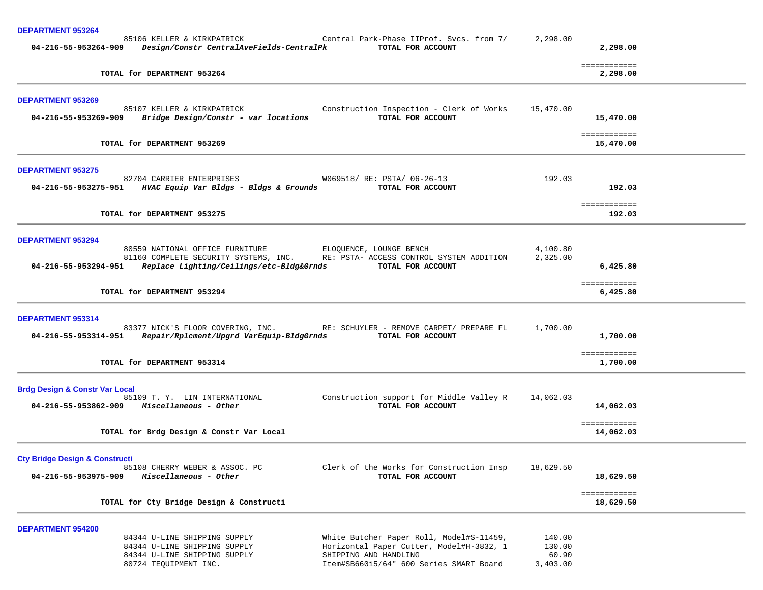| <b>DEPARTMENT 953264</b>                                                                                                                     |                                                                                                                                                          |                                       |                           |  |
|----------------------------------------------------------------------------------------------------------------------------------------------|----------------------------------------------------------------------------------------------------------------------------------------------------------|---------------------------------------|---------------------------|--|
| 85106 KELLER & KIRKPATRICK<br>04-216-55-953264-909<br>Design/Constr CentralAveFields-CentralPk                                               | Central Park-Phase IIProf. Svcs. from 7/<br>TOTAL FOR ACCOUNT                                                                                            | 2,298.00                              | 2,298.00                  |  |
| TOTAL for DEPARTMENT 953264                                                                                                                  |                                                                                                                                                          |                                       | ============<br>2,298.00  |  |
| <b>DEPARTMENT 953269</b>                                                                                                                     |                                                                                                                                                          |                                       |                           |  |
| 85107 KELLER & KIRKPATRICK<br>04-216-55-953269-909<br>Bridge Design/Constr - var locations                                                   | Construction Inspection - Clerk of Works<br>TOTAL FOR ACCOUNT                                                                                            | 15,470.00                             | 15,470.00                 |  |
| TOTAL for DEPARTMENT 953269                                                                                                                  |                                                                                                                                                          |                                       | ============<br>15,470.00 |  |
| <b>DEPARTMENT 953275</b>                                                                                                                     |                                                                                                                                                          |                                       |                           |  |
| 82704 CARRIER ENTERPRISES<br>04-216-55-953275-951<br>HVAC Equip Var Bldgs - Bldgs & Grounds                                                  | W069518/ RE: PSTA/ 06-26-13<br>TOTAL FOR ACCOUNT                                                                                                         | 192.03                                | 192.03                    |  |
| TOTAL for DEPARTMENT 953275                                                                                                                  |                                                                                                                                                          |                                       | ============<br>192.03    |  |
| <b>DEPARTMENT 953294</b>                                                                                                                     |                                                                                                                                                          |                                       |                           |  |
| 80559 NATIONAL OFFICE FURNITURE<br>81160 COMPLETE SECURITY SYSTEMS, INC.<br>04-216-55-953294-951<br>Replace Lighting/Ceilings/etc-Bldg&Grnds | ELOQUENCE, LOUNGE BENCH<br>RE: PSTA- ACCESS CONTROL SYSTEM ADDITION<br>TOTAL FOR ACCOUNT                                                                 | 4,100.80<br>2,325.00                  | 6,425.80                  |  |
| TOTAL for DEPARTMENT 953294                                                                                                                  |                                                                                                                                                          |                                       | ============<br>6,425.80  |  |
| DEPARTMENT 953314                                                                                                                            |                                                                                                                                                          |                                       |                           |  |
| 83377 NICK'S FLOOR COVERING, INC.<br>04-216-55-953314-951<br>Repair/Rplcment/Upgrd VarEquip-BldgGrnds                                        | RE: SCHUYLER - REMOVE CARPET/ PREPARE FL<br>TOTAL FOR ACCOUNT                                                                                            | 1,700.00                              | 1,700.00                  |  |
| TOTAL for DEPARTMENT 953314                                                                                                                  |                                                                                                                                                          |                                       | ============<br>1,700.00  |  |
| <b>Brdg Design &amp; Constr Var Local</b>                                                                                                    |                                                                                                                                                          |                                       |                           |  |
| 85109 T. Y. LIN INTERNATIONAL<br>04-216-55-953862-909 Miscellaneous - Other                                                                  | Construction support for Middle Valley R<br>TOTAL FOR ACCOUNT                                                                                            | 14,062.03                             | 14,062.03                 |  |
| TOTAL for Brdg Design & Constr Var Local                                                                                                     |                                                                                                                                                          |                                       | ============<br>14,062.03 |  |
| <b>Cty Bridge Design &amp; Constructi</b>                                                                                                    |                                                                                                                                                          |                                       |                           |  |
| 85108 CHERRY WEBER & ASSOC. PC<br>04-216-55-953975-909<br>Miscellaneous - Other                                                              | Clerk of the Works for Construction Insp<br>TOTAL FOR ACCOUNT                                                                                            | 18,629.50                             | 18,629.50                 |  |
| TOTAL for Cty Bridge Design & Constructi                                                                                                     |                                                                                                                                                          |                                       | ============<br>18,629.50 |  |
| <b>DEPARTMENT 954200</b>                                                                                                                     |                                                                                                                                                          |                                       |                           |  |
| 84344 U-LINE SHIPPING SUPPLY<br>84344 U-LINE SHIPPING SUPPLY<br>84344 U-LINE SHIPPING SUPPLY<br>80724 TEQUIPMENT INC.                        | White Butcher Paper Roll, Model#S-11459,<br>Horizontal Paper Cutter, Model#H-3832, 1<br>SHIPPING AND HANDLING<br>Item#SB660i5/64" 600 Series SMART Board | 140.00<br>130.00<br>60.90<br>3,403.00 |                           |  |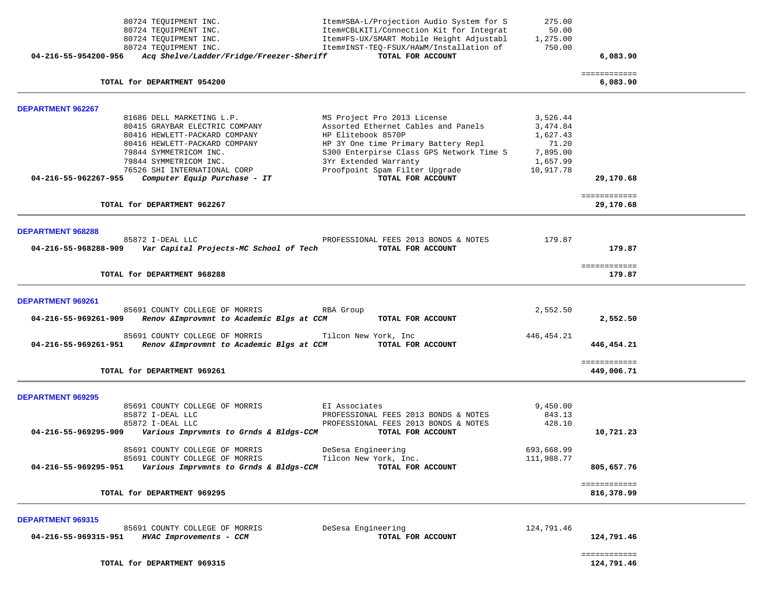|                                                  |                                                                                                                  |                                                                                                                                 |                                   | ============               |  |
|--------------------------------------------------|------------------------------------------------------------------------------------------------------------------|---------------------------------------------------------------------------------------------------------------------------------|-----------------------------------|----------------------------|--|
| <b>DEPARTMENT 969315</b><br>04-216-55-969315-951 | 85691 COUNTY COLLEGE OF MORRIS<br>HVAC Improvements - CCM                                                        | DeSesa Engineering<br>TOTAL FOR ACCOUNT                                                                                         | 124,791.46                        | 124,791.46                 |  |
|                                                  | TOTAL for DEPARTMENT 969295                                                                                      |                                                                                                                                 |                                   | ============<br>816,378.99 |  |
| 04-216-55-969295-951                             | 85691 COUNTY COLLEGE OF MORRIS<br>Various Imprvmnts to Grnds & Bldgs-CCM                                         | Tilcon New York, Inc.<br>TOTAL FOR ACCOUNT                                                                                      | 111,988.77                        | 805,657.76                 |  |
|                                                  | 85691 COUNTY COLLEGE OF MORRIS                                                                                   | DeSesa Engineering                                                                                                              | 693,668.99                        |                            |  |
| 04-216-55-969295-909                             | 85872 I-DEAL LLC<br>85872 I-DEAL LLC<br>Various Imprvmnts to Grnds & Bldgs-CCM                                   | PROFESSIONAL FEES 2013 BONDS & NOTES<br>PROFESSIONAL FEES 2013 BONDS & NOTES<br>TOTAL FOR ACCOUNT                               | 843.13<br>428.10                  | 10,721.23                  |  |
| <b>DEPARTMENT 969295</b>                         | 85691 COUNTY COLLEGE OF MORRIS                                                                                   | EI Associates                                                                                                                   | 9,450.00                          |                            |  |
|                                                  | TOTAL for DEPARTMENT 969261                                                                                      |                                                                                                                                 |                                   | ============<br>449,006.71 |  |
| 04-216-55-969261-951                             | 85691 COUNTY COLLEGE OF MORRIS<br>Renov & Improvmnt to Academic Blgs at CCM                                      | Tilcon New York, Inc<br>TOTAL FOR ACCOUNT                                                                                       | 446, 454. 21                      | 446,454.21                 |  |
| DEPARTMENT 969261<br>04-216-55-969261-909        | 85691 COUNTY COLLEGE OF MORRIS<br>Renov & Improvmnt to Academic Blgs at CCM                                      | RBA Group<br>TOTAL FOR ACCOUNT                                                                                                  | 2,552.50                          | 2,552.50                   |  |
|                                                  | TOTAL for DEPARTMENT 968288                                                                                      |                                                                                                                                 |                                   | ============<br>179.87     |  |
| <b>DEPARTMENT 968288</b><br>04-216-55-968288-909 | 85872 I-DEAL LLC<br>Var Capital Projects-MC School of Tech                                                       | PROFESSIONAL FEES 2013 BONDS & NOTES<br>TOTAL FOR ACCOUNT                                                                       | 179.87                            | 179.87                     |  |
|                                                  | TOTAL for DEPARTMENT 962267                                                                                      |                                                                                                                                 |                                   | 29,170.68                  |  |
|                                                  |                                                                                                                  |                                                                                                                                 |                                   | ============               |  |
| 04-216-55-962267-955                             | 79844 SYMMETRICOM INC.<br>79844 SYMMETRICOM INC.<br>76526 SHI INTERNATIONAL CORP<br>Computer Equip Purchase - IT | S300 Enterpirse Class GPS Network Time S<br>3Yr Extended Warranty<br>Proofpoint Spam Filter Upgrade<br>TOTAL FOR ACCOUNT        | 7,895.00<br>1,657.99<br>10,917.78 | 29,170.68                  |  |
|                                                  | 80415 GRAYBAR ELECTRIC COMPANY<br>80416 HEWLETT-PACKARD COMPANY<br>80416 HEWLETT-PACKARD COMPANY                 | Assorted Ethernet Cables and Panels<br>HP Elitebook 8570P<br>HP 3Y One time Primary Battery Repl                                | 3,474.84<br>1,627.43<br>71.20     |                            |  |
| <b>DEPARTMENT 962267</b>                         | 81686 DELL MARKETING L.P.                                                                                        | MS Project Pro 2013 License                                                                                                     | 3,526.44                          |                            |  |
|                                                  | TOTAL for DEPARTMENT 954200                                                                                      |                                                                                                                                 |                                   | ============<br>6,083.90   |  |
| 04-216-55-954200-956                             | Acq Shelve/Ladder/Fridge/Freezer-Sheriff                                                                         | TOTAL FOR ACCOUNT                                                                                                               |                                   | 6,083.90                   |  |
|                                                  | 80724 TEQUIPMENT INC.<br>80724 TEQUIPMENT INC.<br>80724 TEQUIPMENT INC.                                          | Item#CBLKITi/Connection Kit for Integrat<br>Item#FS-UX/SMART Mobile Height Adjustabl<br>Item#INST-TEQ-FSUX/HAWM/Installation of | 50.00<br>1,275.00<br>750.00       |                            |  |
|                                                  | 80724 TEQUIPMENT INC.                                                                                            | Item#SBA-L/Projection Audio System for S                                                                                        | 275.00                            |                            |  |

124,791.46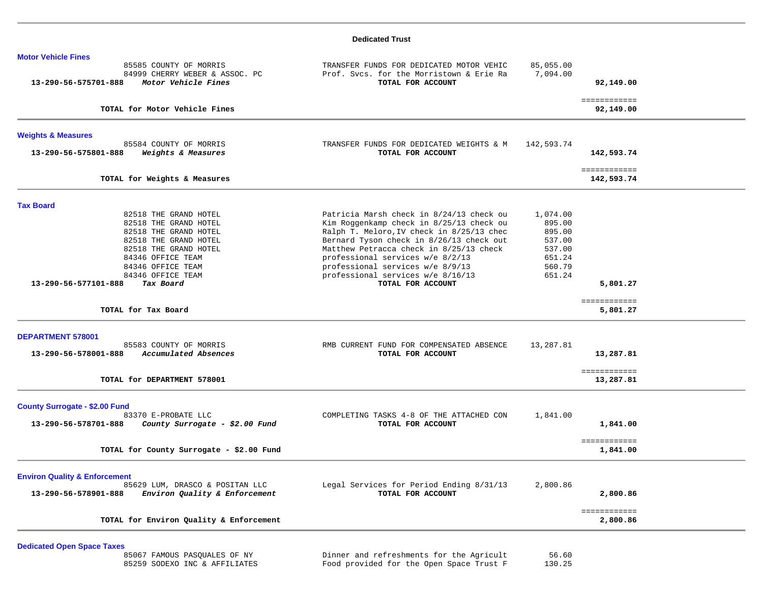### **Dedicated Trust**

| <b>Motor Vehicle Fines</b>                                                                              |                                                                                                           |                       |                            |  |
|---------------------------------------------------------------------------------------------------------|-----------------------------------------------------------------------------------------------------------|-----------------------|----------------------------|--|
| 85585 COUNTY OF MORRIS<br>84999 CHERRY WEBER & ASSOC. PC<br>13-290-56-575701-888<br>Motor Vehicle Fines | TRANSFER FUNDS FOR DEDICATED MOTOR VEHIC<br>Prof. Svcs. for the Morristown & Erie Ra<br>TOTAL FOR ACCOUNT | 85,055.00<br>7,094.00 | 92,149.00                  |  |
| TOTAL for Motor Vehicle Fines                                                                           |                                                                                                           |                       | ============<br>92,149.00  |  |
| <b>Weights &amp; Measures</b>                                                                           |                                                                                                           |                       |                            |  |
| 85584 COUNTY OF MORRIS<br>13-290-56-575801-888<br>Weights & Measures                                    | TRANSFER FUNDS FOR DEDICATED WEIGHTS & M<br>TOTAL FOR ACCOUNT                                             | 142,593.74            | 142,593.74                 |  |
| TOTAL for Weights & Measures                                                                            |                                                                                                           |                       | ============<br>142,593.74 |  |
| <b>Tax Board</b>                                                                                        |                                                                                                           |                       |                            |  |
| 82518 THE GRAND HOTEL<br>82518 THE GRAND HOTEL                                                          | Patricia Marsh check in 8/24/13 check ou<br>Kim Roggenkamp check in 8/25/13 check ou                      | 1,074.00<br>895.00    |                            |  |
| 82518 THE GRAND HOTEL                                                                                   | Ralph T. Meloro, IV check in 8/25/13 chec                                                                 | 895.00                |                            |  |
| 82518 THE GRAND HOTEL                                                                                   | Bernard Tyson check in 8/26/13 check out                                                                  | 537.00                |                            |  |
| 82518 THE GRAND HOTEL                                                                                   | Matthew Petracca check in 8/25/13 check                                                                   | 537.00                |                            |  |
| 84346 OFFICE TEAM<br>84346 OFFICE TEAM                                                                  | professional services w/e 8/2/13                                                                          | 651.24<br>560.79      |                            |  |
| 84346 OFFICE TEAM                                                                                       | professional services w/e 8/9/13<br>professional services w/e 8/16/13                                     | 651.24                |                            |  |
| 13-290-56-577101-888<br>Tax Board                                                                       | TOTAL FOR ACCOUNT                                                                                         |                       | 5,801.27                   |  |
| TOTAL for Tax Board                                                                                     |                                                                                                           |                       | ============<br>5,801.27   |  |
| <b>DEPARTMENT 578001</b>                                                                                |                                                                                                           |                       |                            |  |
| 85583 COUNTY OF MORRIS<br>Accumulated Absences<br>13-290-56-578001-888                                  | RMB CURRENT FUND FOR COMPENSATED ABSENCE<br>TOTAL FOR ACCOUNT                                             | 13,287.81             | 13,287.81                  |  |
| TOTAL for DEPARTMENT 578001                                                                             |                                                                                                           |                       | ============<br>13,287.81  |  |
| <b>County Surrogate - \$2.00 Fund</b>                                                                   |                                                                                                           |                       |                            |  |
| 83370 E-PROBATE LLC<br>13-290-56-578701-888<br>County Surrogate - \$2.00 Fund                           | COMPLETING TASKS 4-8 OF THE ATTACHED CON<br>TOTAL FOR ACCOUNT                                             | 1,841.00              | 1,841.00                   |  |
| TOTAL for County Surrogate - \$2.00 Fund                                                                |                                                                                                           |                       | ============<br>1,841.00   |  |
| <b>Environ Quality &amp; Enforcement</b>                                                                |                                                                                                           |                       |                            |  |
| 85629 LUM, DRASCO & POSITAN LLC<br>13-290-56-578901-888<br>Environ Quality & Enforcement                | Legal Services for Period Ending 8/31/13<br>TOTAL FOR ACCOUNT                                             | 2,800.86              | 2,800.86                   |  |
|                                                                                                         |                                                                                                           |                       | ============               |  |

**Dedicated Open Space Taxes**

|  | 85067 FAMOUS PASOUALES OF NY  |  |
|--|-------------------------------|--|
|  | 85259 SODEXO INC & AFFILIATES |  |

 85067 FAMOUS PASQUALES OF NY Dinner and refreshments for the Agricult 56.60 85259 SODEXO INC & AFFILIATES Food provided for the Open Space Trust F 130.25